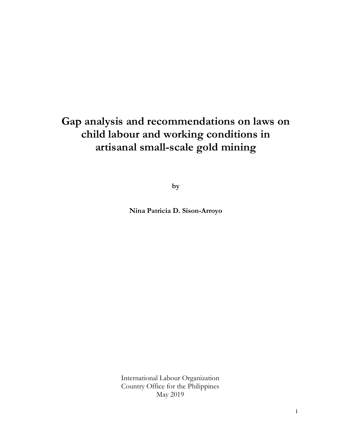# **Gap analysis and recommendations on laws on child labour and working conditions in artisanal small-scale gold mining**

**by** 

**Nina Patricia D. Sison-Arroyo** 

International Labour Organization Country Office for the Philippines May 2019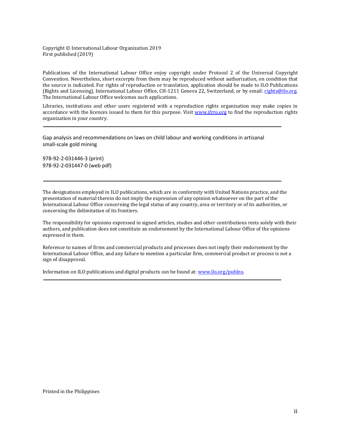Copyright © International Labour Organization 2019 First published (2019)

Publications of the International Labour Office enjoy copyright under Protocol 2 of the Universal Copyright Convention. Nevertheless, short excerpts from them may be reproduced without authorization, on condition that the source is indicated. For rights of reproduction or translation, application should be made to ILO Publications (Rights and Licensing), International Labour Office, CH-1211 Geneva 22, Switzerland, or by email: rights@ilo.org. The International Labour Office welcomes such applications.

Libraries, institutions and other users registered with a reproduction rights organization may make copies in accordance with the licences issued to them for this purpose. Visit www.ifrro.org to find the reproduction rights organization in your country.

Gap analysis and recommendations on laws on child labour and working conditions in artisanal small-scale gold mining

978-92-2-031446-3 (print) 978-92-2-031447-0 (web pdf)

The designations employed in ILO publications, which are in conformity with United Nations practice, and the presentation of material therein do not imply the expression of any opinion whatsoever on the part of the International Labour Office concerning the legal status of any country, area or territory or of its authorities, or concerning the delimitation of its frontiers.

The responsibility for opinions expressed in signed articles, studies and other contributions rests solely with their authors, and publication does not constitute an endorsement by the International Labour Office of the opinions expressed in them.

Reference to names of firms and commercial products and processes does not imply their endorsement by the International Labour Office, and any failure to mention a particular firm, commercial product or process is not a sign of disapproval.

Information on ILO publications and digital products can be found at: www.ilo.org/publns.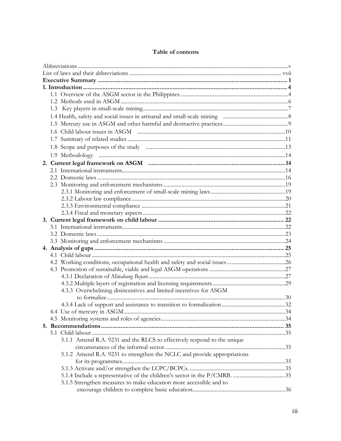| 4.3.3 Overwhelming disincentives and limited incentives for ASGM        |  |
|-------------------------------------------------------------------------|--|
|                                                                         |  |
|                                                                         |  |
|                                                                         |  |
|                                                                         |  |
|                                                                         |  |
| 5.1.1 Amend R.A. 9231 and the RLCS to effectively respond to the unique |  |
|                                                                         |  |
| 5.1.2 Amend R.A. 9231 to strengthen the NCLC and provide appropriations |  |
|                                                                         |  |
|                                                                         |  |
|                                                                         |  |
| 5.1.5 Strengthen measures to make education more accessible and to      |  |
|                                                                         |  |

# Table of contents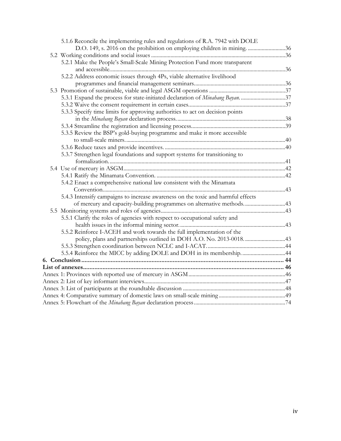| 5.1.6 Reconcile the implementing rules and regulations of R.A. 7942 with DOLE    |  |
|----------------------------------------------------------------------------------|--|
| D.O. 149, s. 2016 on the prohibition on employing children in mining. 36         |  |
|                                                                                  |  |
| 5.2.1 Make the People's Small-Scale Mining Protection Fund more transparent      |  |
|                                                                                  |  |
| 5.2.2 Address economic issues through 4Ps, viable alternative livelihood         |  |
|                                                                                  |  |
|                                                                                  |  |
| 5.3.1 Expand the process for state-initiated declaration of Minahang Bayan. 37   |  |
|                                                                                  |  |
| 5.3.3 Specify time limits for approving authorities to act on decision points    |  |
|                                                                                  |  |
|                                                                                  |  |
| 5.3.5 Review the BSP's gold-buying programme and make it more accessible         |  |
|                                                                                  |  |
|                                                                                  |  |
| 5.3.7 Strengthen legal foundations and support systems for transitioning to      |  |
|                                                                                  |  |
|                                                                                  |  |
|                                                                                  |  |
| 5.4.2 Enact a comprehensive national law consistent with the Minamata            |  |
|                                                                                  |  |
| 5.4.3 Intensify campaigns to increase awareness on the toxic and harmful effects |  |
| of mercury and capacity-building programmes on alternative methods43             |  |
|                                                                                  |  |
| 5.5.1 Clarify the roles of agencies with respect to occupational safety and      |  |
|                                                                                  |  |
| 5.5.2 Reinforce I-ACEH and work towards the full implementation of the           |  |
| policy, plans and partnerships outlined in DOH A.O. No. 2013-0018. 43            |  |
|                                                                                  |  |
| 5.5.4 Reinforce the MICC by adding DOLE and DOH in its membership44              |  |
|                                                                                  |  |
|                                                                                  |  |
|                                                                                  |  |
|                                                                                  |  |
|                                                                                  |  |
|                                                                                  |  |
|                                                                                  |  |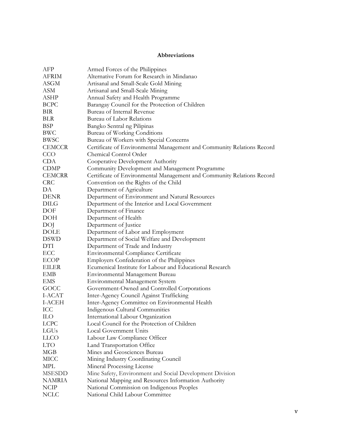# **Abbreviations**

| AFP           | Armed Forces of the Philippines                                        |
|---------------|------------------------------------------------------------------------|
| <b>AFRIM</b>  | Alternative Forum for Research in Mindanao                             |
| ASGM          | Artisanal and Small-Scale Gold Mining                                  |
| ASM           | Artisanal and Small-Scale Mining                                       |
| ASHP          | Annual Safety and Health Programme                                     |
| <b>BCPC</b>   | Barangay Council for the Protection of Children                        |
| <b>BIR</b>    | Bureau of Internal Revenue                                             |
| <b>BLR</b>    | Bureau of Labor Relations                                              |
| BSP           | Bangko Sentral ng Pilipinas                                            |
| BWC           | Bureau of Working Conditions                                           |
| BWSC          | Bureau of Workers with Special Concerns                                |
| <b>CEMCCR</b> | Certificate of Environmental Management and Community Relations Record |
| CCO           | Chemical Control Order                                                 |
| CDA           | Cooperative Development Authority                                      |
| <b>CDMP</b>   | Community Development and Management Programme                         |
| <b>CEMCRR</b> | Certificate of Environmental Management and Community Relations Record |
| <b>CRC</b>    | Convention on the Rights of the Child                                  |
| DA            | Department of Agriculture                                              |
| <b>DENR</b>   | Department of Environment and Natural Resources                        |
| <b>DILG</b>   | Department of the Interior and Local Government                        |
| DOF           | Department of Finance                                                  |
| DOH           | Department of Health                                                   |
| DOJ           | Department of Justice                                                  |
| <b>DOLE</b>   | Department of Labor and Employment                                     |
| <b>DSWD</b>   | Department of Social Welfare and Development                           |
| DTI           | Department of Trade and Industry                                       |
| ECC           | <b>Environmental Compliance Certificate</b>                            |
| <b>ECOP</b>   | Employers Confederation of the Philippines                             |
| <b>EILER</b>  | Ecumenical Institute for Labour and Educational Research               |
| EMB           | Environmental Management Bureau                                        |
| EMS           | Environmental Management System                                        |
| GOCC          | Government-Owned and Controlled Corporations                           |
| I-ACAT        | Inter-Agency Council Against Trafficking                               |
| <b>I-ACEH</b> | Inter-Agency Committee on Environmental Health                         |
| ICC           | Indigenous Cultural Communities                                        |
| ${\rm ILO}$   | International Labour Organization                                      |
| <b>LCPC</b>   | Local Council for the Protection of Children                           |
| LGUs          | Local Government Units                                                 |
| <b>LLCO</b>   | Labour Law Compliance Officer                                          |
| <b>LTO</b>    | Land Transportation Office                                             |
| MGB           | Mines and Geosciences Bureau                                           |
| MICC          | Mining Industry Coordinating Council                                   |
| <b>MPL</b>    | Mineral Processing License                                             |
| <b>MSESDD</b> | Mine Safety, Environment and Social Development Division               |
| NAMRIA        | National Mapping and Resources Information Authority                   |
| <b>NCIP</b>   | National Commission on Indigenous Peoples                              |
| NCLC          | National Child Labour Committee                                        |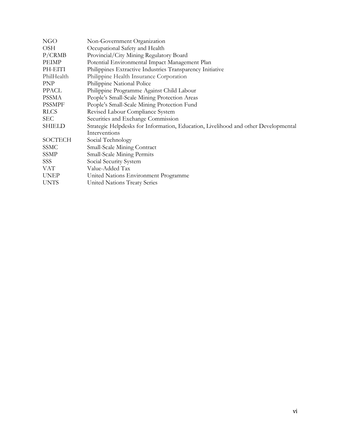| NGO           | Non-Government Organization                                                        |
|---------------|------------------------------------------------------------------------------------|
| <b>OSH</b>    | Occupational Safety and Health                                                     |
| P/CRMB        | Provincial/City Mining Regulatory Board                                            |
| <b>PEIMP</b>  | Potential Environmental Impact Management Plan                                     |
| PH-EITI       | Philippines Extractive Industries Transparency Initiative                          |
| PhilHealth    | Philippine Health Insurance Corporation                                            |
| PNP           | Philippine National Police                                                         |
| PPACL         | Philippine Programme Against Child Labour                                          |
| <b>PSSMA</b>  | People's Small-Scale Mining Protection Areas                                       |
| <b>PSSMPF</b> | People's Small-Scale Mining Protection Fund                                        |
| <b>RLCS</b>   | Revised Labour Compliance System                                                   |
| <b>SEC</b>    | Securities and Exchange Commission                                                 |
| SHIELD        | Strategic Helpdesks for Information, Education, Livelihood and other Developmental |
|               | Interventions                                                                      |
| SOCTECH       | Social Technology                                                                  |
| SSMC          | Small-Scale Mining Contract                                                        |
| SSMP          | Small-Scale Mining Permits                                                         |
| SSS           | Social Security System                                                             |
| VAT           | Value-Added Tax                                                                    |
| <b>UNEP</b>   | United Nations Environment Programme                                               |
| <b>UNTS</b>   | United Nations Treaty Series                                                       |
|               |                                                                                    |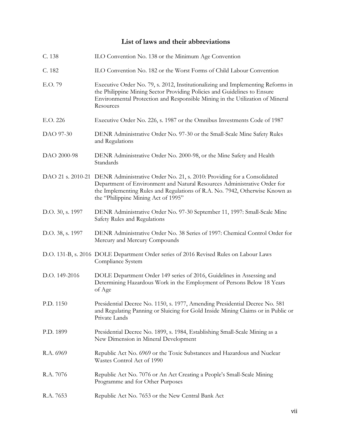# **List of laws and their abbreviations**

| C. 138           | ILO Convention No. 138 or the Minimum Age Convention                                                                                                                                                                                                                                        |
|------------------|---------------------------------------------------------------------------------------------------------------------------------------------------------------------------------------------------------------------------------------------------------------------------------------------|
| C. 182           | ILO Convention No. 182 or the Worst Forms of Child Labour Convention                                                                                                                                                                                                                        |
| E.O. 79          | Executive Order No. 79, s. 2012, Institutionalizing and Implementing Reforms in<br>the Philippine Mining Sector Providing Policies and Guidelines to Ensure<br>Environmental Protection and Responsible Mining in the Utilization of Mineral<br>Resources                                   |
| E.O. 226         | Executive Order No. 226, s. 1987 or the Omnibus Investments Code of 1987                                                                                                                                                                                                                    |
| DAO 97-30        | DENR Administrative Order No. 97-30 or the Small-Scale Mine Safety Rules<br>and Regulations                                                                                                                                                                                                 |
| DAO 2000-98      | DENR Administrative Order No. 2000-98, or the Mine Safety and Health<br>Standards                                                                                                                                                                                                           |
|                  | DAO 21 s. 2010-21 DENR Administrative Order No. 21, s. 2010: Providing for a Consolidated<br>Department of Environment and Natural Resources Administrative Order for<br>the Implementing Rules and Regulations of R.A. No. 7942, Otherwise Known as<br>the "Philippine Mining Act of 1995" |
| D.O. 30, s. 1997 | DENR Administrative Order No. 97-30 September 11, 1997: Small-Scale Mine<br>Safety Rules and Regulations                                                                                                                                                                                    |
| D.O. 38, s. 1997 | DENR Administrative Order No. 38 Series of 1997: Chemical Control Order for<br>Mercury and Mercury Compounds                                                                                                                                                                                |
|                  | D.O. 131-B, s. 2016 DOLE Department Order series of 2016 Revised Rules on Labour Laws<br>Compliance System                                                                                                                                                                                  |
| D.O. 149-2016    | DOLE Department Order 149 series of 2016, Guidelines in Assessing and<br>Determining Hazardous Work in the Employment of Persons Below 18 Years<br>of Age                                                                                                                                   |
| P.D. 1150        | Presidential Decree No. 1150, s. 1977, Amending Presidential Decree No. 581<br>and Regulating Panning or Sluicing for Gold Inside Mining Claims or in Public or<br>Private Lands                                                                                                            |
| P.D. 1899        | Presidential Decree No. 1899, s. 1984, Establishing Small-Scale Mining as a<br>New Dimension in Mineral Development                                                                                                                                                                         |
| R.A. 6969        | Republic Act No. 6969 or the Toxic Substances and Hazardous and Nuclear<br>Wastes Control Act of 1990                                                                                                                                                                                       |
| R.A. 7076        | Republic Act No. 7076 or An Act Creating a People's Small-Scale Mining<br>Programme and for Other Purposes                                                                                                                                                                                  |
| R.A. 7653        | Republic Act No. 7653 or the New Central Bank Act                                                                                                                                                                                                                                           |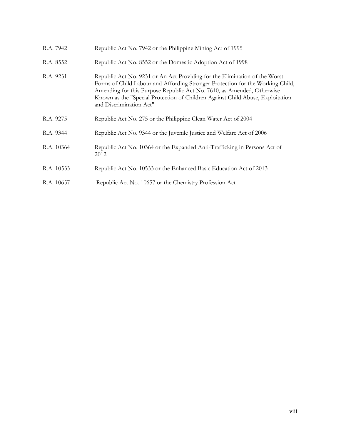| R.A. 7942  | Republic Act No. 7942 or the Philippine Mining Act of 1995                                                                                                                                                                                                                                                                                          |
|------------|-----------------------------------------------------------------------------------------------------------------------------------------------------------------------------------------------------------------------------------------------------------------------------------------------------------------------------------------------------|
| R.A. 8552  | Republic Act No. 8552 or the Domestic Adoption Act of 1998                                                                                                                                                                                                                                                                                          |
| R.A. 9231  | Republic Act No. 9231 or An Act Providing for the Elimination of the Worst<br>Forms of Child Labour and Affording Stronger Protection for the Working Child,<br>Amending for this Purpose Republic Act No. 7610, as Amended, Otherwise<br>Known as the "Special Protection of Children Against Child Abuse, Exploitation<br>and Discrimination Act" |
| R.A. 9275  | Republic Act No. 275 or the Philippine Clean Water Act of 2004                                                                                                                                                                                                                                                                                      |
| R.A. 9344  | Republic Act No. 9344 or the Juvenile Justice and Welfare Act of 2006                                                                                                                                                                                                                                                                               |
| R.A. 10364 | Republic Act No. 10364 or the Expanded Anti-Trafficking in Persons Act of<br>2012                                                                                                                                                                                                                                                                   |
| R.A. 10533 | Republic Act No. 10533 or the Enhanced Basic Education Act of 2013                                                                                                                                                                                                                                                                                  |
| R.A. 10657 | Republic Act No. 10657 or the Chemistry Profession Act                                                                                                                                                                                                                                                                                              |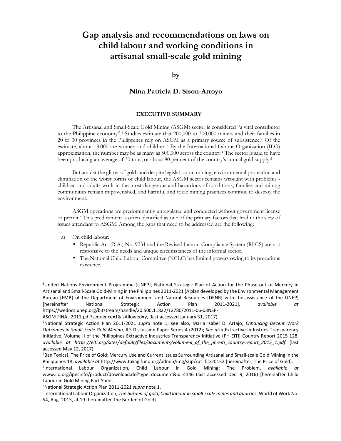# **Gap analysis and recommendations on laws on child labour and working conditions in artisanal small-scale gold mining**

### **by**

## **Nina Patricia D. Sison-Arroyo**

#### **EXECUTIVE SUMMARY**

The Artisanal and Small-Scale Gold Mining (ASGM) sector is considered "a vital contributor to the Philippine economy".<sup>1</sup> Studies estimate that 200,000 to 300,000 miners and their families in 20 to 30 provinces in the Philippines rely on ASGM as a primary source of subsistence.<sup>2</sup> Of the estimate, about 18,000 are women and children.3 By the International Labour Organization (ILO) approximation, the number may be as many as 500,000 across the country.<sup>4</sup> The sector is said to have been producing an average of 30 tons, or about 80 per cent of the country's annual gold supply.<sup>5</sup>

But amidst the glitter of gold, and despite legislation on mining, environmental protection and elimination of the worst forms of child labour, the ASGM sector remains wrought with problems children and adults work in the most dangerous and hazardous of conditions, families and mining communities remain impoverished, and harmful and toxic mining practices continue to destroy the environment.

ASGM operations are predominantly unregulated and conducted without government license or permit.6 This predicament is often identified as one of the primary factors that lead to the slew of issues attendant to ASGM. Among the gaps that need to be addressed are the following:

a) On child labour:

- Republic Act (R.A.) No. 9231 and the Revised Labour Compliance System (RLCS) are not responsive to the needs and unique circumstances of the informal sector.
- The National Child Labour Committee (NCLC) has limited powers owing to its precarious existence.

<sup>1</sup>United Nations Environment Programme (UNEP), National Strategic Plan of Action for the Phase-out of Mercury in Artisanal and Small-Scale Gold-Mining in the Philippines 2011-2021 (A plan developed by the Environmental Management Bureau [EMB] of the Department of Environment and Natural Resources [DENR] with the assistance of the UNEP) [hereinafter National Strategic Action Plan 2011-2021], *available at*  https://wedocs.unep.org/bitstream/handle/20.500.11822/12780/2011-06-03NSP-

ASGM.FINAL.2011.pdf?sequence=1&isAllowed=y, (last accessed January 31, 2017).

<sup>2</sup>National Strategic Action Plan 2011-2021 *supra* note 1; see also, Maria Isabel D. Artajo, *Enhancing Decent Work Outcomes in Small-Scale Gold Mining,* ILS Discussion Paper Series 4 (2012); *See also* Extractive Industries Transparency Initiative, Volume II of the Philippines Extractive Industries Transparency Initiative (PH-EITI) Country Report 2015 128, *available at https://eiti.org/sites/default/files/documents/volume-ii\_of\_the\_ph-eiti\_country-report\_2015\_1.pdf* (last accessed May 12, 2017).

<sup>&</sup>lt;sup>3</sup>Ban Toxics!, The Price of Gold: Mercury Use and Current Issues Surrounding Artisanal and Small-scale Gold Mining in the Philippines 18, *available at* http://www.takagifund.org/admin/img/sup/rpt\_file20152 [hereinafter, The Price of Gold].

<sup>&</sup>lt;sup>4</sup>International Labour Organization, Child Labour in Gold Mining: The Problem, *available at* www.ilo.org/ipecinfo/product/download.do?type=document&id=4146 (last accessed Dec. 9, 2016) [hereinafter Child Labour in Gold Mining Fact Sheet].

<sup>5</sup>National Strategic Action Plan 2011-2021 *supra* note 1.

<sup>&</sup>lt;sup>6</sup>International Labour Organization, *The burden of gold, Child labour in small-scale mines and quarries, World of Work No.* 54, Aug. 2015, at 19 [hereinafter The Burden of Gold].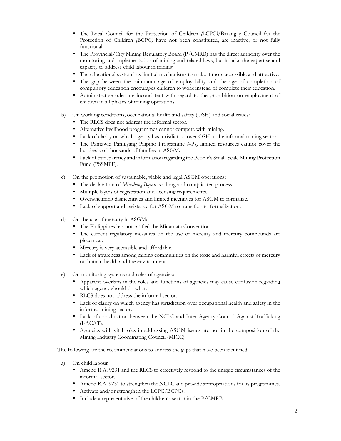- The Local Council for the Protection of Children *(*LCPC*)/*Barangay Council for the Protection of Children *(*BCPC*)* have not been constituted, are inactive, or not fully functional.
- The Provincial/City Mining Regulatory Board (P*/*CMRB) has the direct authority over the monitoring and implementation of mining and related laws, but it lacks the expertise and capacity to address child labour in mining.
- The educational system has limited mechanisms to make it more accessible and attractive.
- The gap between the minimum age of employability and the age of completion of compulsory education encourages children to work instead of complete their education.
- Administrative rules are inconsistent with regard to the prohibition on employment of children in all phases of mining operations.
- b) On working conditions, occupational health and safety (OSH) and social issues:
	- The RLCS does not address the informal sector.
	- Alternative livelihood programmes cannot compete with mining.
	- Lack of clarity on which agency has jurisdiction over OSH in the informal mining sector.
	- The Pantawid Pamilyang Pilipino Programme *(*4Ps*)* limited resources cannot cover the hundreds of thousands of families in ASGM.
	- Lack of transparency and information regarding the People's Small-Scale Mining Protection Fund (PSSMPF).
- c) On the promotion of sustainable, viable and legal ASGM operations:
	- The declaration of *Minahang Bayan* is a long and complicated process.
	- Multiple layers of registration and licensing requirements.
	- Overwhelming disincentives and limited incentives for ASGM to formalize.
	- Lack of support and assistance for ASGM to transition to formalization.
- d) On the use of mercury in ASGM:
	- The Philippines has not ratified the Minamata Convention.
	- The current regulatory measures on the use of mercury and mercury compounds are piecemeal.
	- Mercury is very accessible and affordable.
	- Lack of awareness among mining communities on the toxic and harmful effects of mercury on human health and the environment.
- e) On monitoring systems and roles of agencies:
	- Apparent overlaps in the roles and functions of agencies may cause confusion regarding which agency should do what.
	- RLCS does not address the informal sector.
	- Lack of clarity on which agency has jurisdiction over occupational health and safety in the informal mining sector.
	- Lack of coordination between the NCLC and Inter-Agency Council Against Trafficking (I-ACAT).
	- Agencies with vital roles in addressing ASGM issues are not in the composition of the Mining Industry Coordinating Council (MICC).

The following are the recommendations to address the gaps that have been identified:

- a) On child labour
	- Amend R.A. 9231 and the RLCS to effectively respond to the unique circumstances of the informal sector.
	- Amend R.A. 9231 to strengthen the NCLC and provide appropriations for its programmes.
	- Activate and/or strengthen the LCPC/BCPCs.
	- Include a representative of the children's sector in the P/CMRB.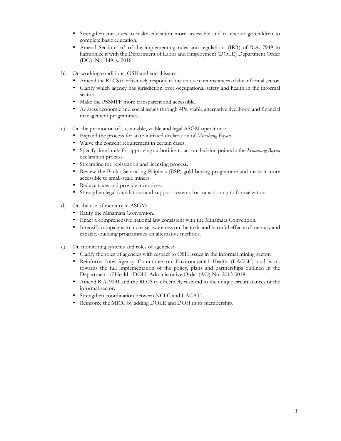- Strengthen measures to make education more accessible and to encourage children to complete basic education.
- Amend Section 163 of the implementing rules and regulations (IRR) of R.A. 7949 to harmonize it with the Department of Labor and Employment (DOLE) Department Order (DO) No. 149, s. 2016.
- b) On working conditions, OSH and social issues:
	- Amend the RLCS to effectively respond to the unique circumstances of the informal sector.
	- Clarify which agency has jurisdiction over occupational safety and health in the informal sectors.
	- Make the PSSMPF more transparent and accessible.
	- Address economic and social issues through 4Ps, viable alternative livelihood and financial management programmes.
- c) On the promotion of sustainable, viable and legal ASGM operations:
	- Expand the process for state-initiated declaration of *Minahang Bayan.*
	- Waive the consent requirement in certain cases.
	- Specify time limits for approving authorities to act on decision points in the *Minahang Bayan*  declaration process.
	- Streamline the registration and licensing process.
	- Review the Banko Sentral ng Pilipinas (BSP) gold-buying programme and make it more accessible to small-scale miners.
	- Reduce taxes and provide incentives.
	- Strengthen legal foundations and support systems for transitioning to formalization.
- d) On the use of mercury in ASGM:
	- Ratify the Minamata Convention.
	- Enact a comprehensive national law consistent with the Minamata Convention.
	- Intensify campaigns to increase awareness on the toxic and harmful effects of mercury and capacity-building programmes on alternative methods.
- e) On monitoring systems and roles of agencies:
	- Clarify the roles of agencies with respect to OSH issues in the informal mining sector.
	- Reinforce Inter-Agency Committee on Environmental Health (I-ACEH) and work towards the full implementation of the policy, plans and partnerships outlined in the Department of Health (DOH) Administrative Order (AO) No. 2013-0018.
	- Amend R.A. 9231 and the RLCS to effectively respond to the unique circumstances of the informal sector.
	- Strengthen coordination between NCLC and I-ACAT.
	- Reinforce the MICC by adding DOLE and DOH in its membership.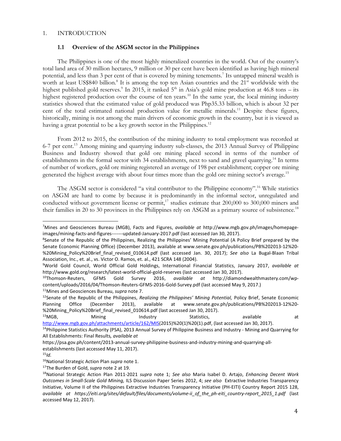#### 1. INTRODUCTION

# **1.1 Overview of the ASGM sector in the Philippines**

 The Philippines is one of the most highly mineralized countries in the world. Out of the country's total land area of 30 million hectares, 9 million or 30 per cent have been identified as having high mineral potential, and less than 3 per cent of that is covered by mining tenements.<sup>7</sup> Its untapped mineral wealth is worth at least US\$840 billion.<sup>8</sup> It is among the top ten Asian countries and the 21<sup>st</sup> worldwide with the highest published gold reserves.<sup>9</sup> In 2015, it ranked 5<sup>th</sup> in Asia's gold mine production at 46.8 tons – its highest registered production over the course of ten years.<sup>10</sup> In the same year, the local mining industry statistics showed that the estimated value of gold produced was Php35.33 billion, which is about 32 per cent of the total estimated national production value for metallic minerals.<sup>11</sup> Despite these figures, historically, mining is not among the main drivers of economic growth in the country, but it is viewed as having a great potential to be a key growth sector in the Philippines.<sup>12</sup>

 From 2012 to 2015, the contribution of the mining industry to total employment was recorded at 6-7 per cent.<sup>13</sup> Among mining and quarrying industry sub-classes, the 2013 Annual Survey of Philippine Business and Industry showed that gold ore mining placed second in terms of the number of establishments in the formal sector with 34 establishments, next to sand and gravel quarrying.<sup>14</sup> In terms of number of workers, gold ore mining registered an average of 198 per establishment; copper ore mining generated the highest average with about four times more than the gold ore mining sector's average.<sup>15</sup>

The ASGM sector is considered "a vital contributor to the Philippine economy".<sup>16</sup> While statistics on ASGM are hard to come by because it is predominantly in the informal sector, unregulated and conducted without government license or permit,<sup>17</sup> studies estimate that 200,000 to 300,000 miners and their families in 20 to 30 provinces in the Philippines rely on ASGM as a primary source of subsistence.<sup>18</sup>

<sup>13</sup>MGB, Mining Industry Statistics, available at

<sup>7</sup>Mines and Geosciences Bureau (MGB), Facts and Figures, *available at* http://www.mgb.gov.ph/images/homepageimages/mining-facts-and-figures-------updated-January-2017.pdf (last accessed Jan 30, 2017).

<sup>&</sup>lt;sup>8</sup>Senate of the Republic of the Philippines, Realizing the Philippines' Mining Potential (A Policy Brief prepared by the Senate Economic Planning Office) (December 2013), available at www.senate.gov.ph/publications/PB%202013-12%20- %20Mining\_Policy%20Brief\_final\_revised\_010614.pdf (last accessed Jan. 30, 2017); See also La Bugal-Blaan Tribal Association, Inc., et. al., vs. Victor O. Ramos, et. al., 421 SCRA 148 (2004).

<sup>9</sup>World Gold Council, World Official Gold Holdings, International Financial Statistics, January 2017, *available at* http://www.gold.org/research/latest-world-official-gold-reserves (last accessed Jan 30, 2017).

<sup>10</sup>Thomson-Reuters, GFMS Gold Survey 2016, *available at* http://diamondwealthmastery.com/wpcontent/uploads/2016/04/Thomson-Reuters-GFMS-2016-Gold-Survey.pdf (last accessed May 9, 2017.)

<sup>11</sup>Mines and Geosciences Bureau, *supra* note 7.

<sup>12</sup>Senate of the Republic of the Philippines, *Realizing the Philippines' Mining Potential,* Policy Brief, Senate Economic Planning Office (December 2013), available at www.senate.gov.ph/publications/PB%202013-12%20- %20Mining\_Policy%20Brief\_final\_revised\_010614.pdf (last accessed Jan 30, 2017).

http://www.mgb.gov.ph/attachments/article/162/MIS(2015)%20(1)%20(1).pdf, (last accessed Jan 30, 2017). <sup>14</sup>Philippine Statistics Authority (PSA), 2013 Annual Survey of Philippine Business and Industry - Mining and Quarrying for

All Establishments: Final Results*, available at* 

https://psa.gov.ph/content/2013-annual-survey-philippine-business-and-industry-mining-and-quarrying-allestablishments (last accessed May 11, 2017).

<sup>15</sup>*Id.*

<sup>16</sup>National Strategic Action Plan *supra* note 1.

<sup>17</sup>The Burden of Gold, *supra* note 2 at 19.

<sup>18</sup>National Strategic Action Plan 2011-2021 *supra* note 1; *See also* Maria Isabel D. Artajo, *Enhancing Decent Work Outcomes in Small-Scale Gold Mining,* ILS Discussion Paper Series 2012, 4; *see also* Extractive Industries Transparency Initiative, Volume II of the Philippines Extractive Industries Transparency Initiative (PH-EITI) Country Report 2015 128, *available at https://eiti.org/sites/default/files/documents/volume-ii\_of\_the\_ph-eiti\_country-report\_2015\_1.pdf* (last accessed May 12, 2017).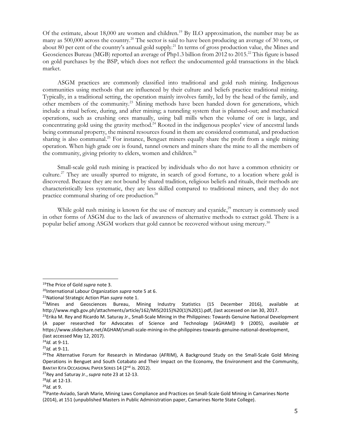Of the estimate, about 18,000 are women and children.<sup>19</sup> By ILO approximation, the number may be as many as 500,000 across the country.<sup>20</sup> The sector is said to have been producing an average of 30 tons, or about 80 per cent of the country's annual gold supply.<sup>21</sup> In terms of gross production value, the Mines and Geosciences Bureau (MGB) reported an average of Php1.3 billion from 2012 to 2015.<sup>22</sup> This figure is based on gold purchases by the BSP, which does not reflect the undocumented gold transactions in the black market.

 ASGM practices are commonly classified into traditional and gold rush mining. Indigenous communities using methods that are influenced by their culture and beliefs practice traditional mining. Typically, in a traditional setting, the operation mainly involves family, led by the head of the family, and other members of the community.<sup>23</sup> Mining methods have been handed down for generations, which include a ritual before, during, and after mining; a tunneling system that is planned-out; and mechanical operations, such as crushing ores manually, using ball mills when the volume of ore is large, and concentrating gold using the gravity method.<sup>24</sup> Rooted in the indigenous peoples' view of ancestral lands being communal property, the mineral resources found in them are considered communal, and production sharing is also communal.<sup>25</sup> For instance, Benguet miners equally share the profit from a single mining operation. When high grade ore is found, tunnel owners and miners share the mine to all the members of the community, giving priority to elders, women and children.<sup>26</sup>

 Small-scale gold rush mining is practiced by individuals who do not have a common ethnicity or culture.<sup>27</sup> They are usually spurred to migrate, in search of good fortune, to a location where gold is discovered. Because they are not bound by shared tradition, religious beliefs and rituals, their methods are characteristically less systematic, they are less skilled compared to traditional miners, and they do not practice communal sharing of ore production.<sup>28</sup>

While gold rush mining is known for the use of mercury and cyanide, $2^9$  mercury is commonly used in other forms of ASGM due to the lack of awareness of alternative methods to extract gold. There is a popular belief among ASGM workers that gold cannot be recovered without using mercury. $^{30}$ 

<sup>19</sup>The Price of Gold *supra* note 3.

<sup>20</sup>International Labour Organization *supra* note 5 at 6.

<sup>21</sup>National Strategic Action Plan *supra* note 1.

 $22$ Mines and Geosciences Bureau, Mining Industry Statistics (15 December 2016), available at http://www.mgb.gov.ph/attachments/article/162/MIS(2015)%20(1)%20(1).pdf, (last accessed on Jan 30, 2017.

<sup>&</sup>lt;sup>23</sup>Erika M. Rey and Ricardo M. Saturay Jr., Small-Scale Mining in the Philippines: Towards Genuine National Development (A paper researched for Advocates of Science and Technology [AGHAM]) 9 (2005), *available at*  https://www.slideshare.net/AGHAM/small-scale-mining-in-the-philippines-towards-genuine-national-development, (last accessed May 12, 2017).

<sup>24</sup>*Id.* at 9-11.

<sup>25</sup>*Id.* at 9-11.

<sup>&</sup>lt;sup>26</sup>The Alternative Forum for Research in Mindanao (AFRIM), A Background Study on the Small-Scale Gold Mining Operations in Benguet and South Cotabato and Their Impact on the Economy, the Environment and the Community, BANTAY KITA OCCASIONAL PAPER SERIES 14 (2<sup>nd</sup> is. 2012).

<sup>27</sup>Rey and Saturay Jr.,*supra* note 23 at 12-13.

<sup>28</sup>*Id.* at 12-13.

<sup>29</sup>*Id.* at 9.

<sup>&</sup>lt;sup>30</sup>Pante-Aviado, Sarah Marie, Mining Laws Compliance and Practices on Small-Scale Gold Mining in Camarines Norte (2014), at 151 (unpublished Masters in Public Administration paper, Camarines Norte State College).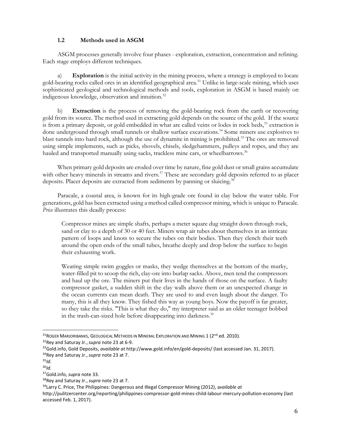# **1.2 Methods used in ASGM**

 ASGM processes generally involve four phases - exploration, extraction, concentration and refining. Each stage employs different techniques.

a) **Exploration** is the initial activity in the mining process, where a strategy is employed to locate gold-bearing rocks called ores in an identified geographical area.<sup>31</sup> Unlike in large-scale mining, which uses sophisticated geological and technological methods and tools, exploration in ASGM is based mainly on indigenous knowledge, observation and intuition.<sup>32</sup>

b) **Extraction** is the process of removing the gold-bearing rock from the earth or recovering gold from its source. The method used in extracting gold depends on the source of the gold. If the source is from a primary deposit, or gold embedded in what are called veins or lodes in rock beds,<sup>33</sup> extraction is done underground through small tunnels or shallow surface excavations.<sup>34</sup> Some miners use explosives to blast tunnels into hard rock, although the use of dynamite in mining is prohibited.<sup>35</sup> The ores are removed using simple implements, such as picks, shovels, chisels, sledgehammers, pulleys and ropes, and they are hauled and transported manually using sacks, trackless mine cars, or wheelbarrows.<sup>36</sup>

When primary gold deposits are eroded over time by nature, fine gold dust or small grains accumulate with other heavy minerals in streams and rivers.<sup>37</sup> These are secondary gold deposits referred to as placer deposits. Placer deposits are extracted from sediments by panning or sluicing.<sup>38</sup>

 Paracale, a coastal area, is known for its high-grade ore found in clay below the water table. For generations, gold has been extracted using a method called compressor mining, which is unique to Paracale. *Price* illustrates this deadly process:

Compressor mines are simple shafts, perhaps a meter square dug straight down through rock, sand or clay to a depth of 30 or 40 feet. Miners wrap air tubes about themselves in an intricate pattern of loops and knots to secure the tubes on their bodies. Then they clench their teeth around the open ends of the small tubes, breathe deeply and drop below the surface to begin their exhausting work.

Wearing simple swim goggles or masks, they wedge themselves at the bottom of the murky, water-filled pit to scoop the rich, clay-ore into burlap sacks. Above, men tend the compressors and haul up the ore. The miners put their lives in the hands of those on the surface. A faulty compressor gasket, a sudden shift in the clay walls above them or an unexpected change in the ocean currents can mean death. They are used to and even laugh about the danger. To many, this is all they know. They fished this way as young boys. Now the payoff is far greater, so they take the risks. "This is what they do," my interpreter said as an older teenager bobbed in the trash-can-sized hole before disappearing into darkness.<sup>39</sup>

<sup>&</sup>lt;sup>31</sup>ROGER MARJORIBANKS, GEOLOGICAL METHODS IN MINERAL EXPLORATION AND MINING 1 (2<sup>nd</sup> ed. 2010).

<sup>32</sup>Rey and Saturay Jr.,*supra* note 23 at 6-9.

<sup>33</sup>Gold.info, Gold Deposits, *available at* http://www.gold.info/en/gold-deposits/ (last accessed Jan. 31, 2017).

<sup>34</sup>Rey and Saturay Jr.,*supra* note 23 at 7.

<sup>35</sup>*Id.* 

<sup>36</sup>*Id.* 

<sup>37</sup>Gold.info, *supra* note 33.

<sup>38</sup>Rey and Saturay Jr.,*supra* note 23 at 7.

<sup>39</sup>Larry C. Price, The Philippines: Dangerous and Illegal Compressor Mining (2012), a*vailable at*

http://pulitzercenter.org/reporting/philippines-compressor-gold-mines-child-labour-mercury-pollution-economy (last accessed Feb. 1, 2017).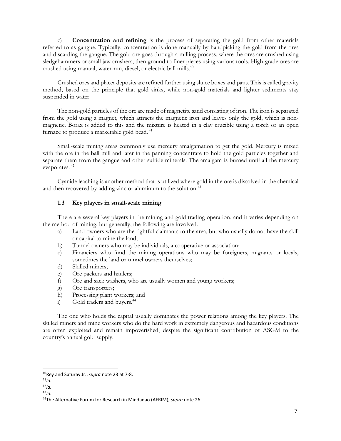c) **Concentration and refining** is the process of separating the gold from other materials referred to as gangue. Typically, concentration is done manually by handpicking the gold from the ores and discarding the gangue. The gold ore goes through a milling process, where the ores are crushed using sledgehammers or small jaw crushers, then ground to finer pieces using various tools. High-grade ores are crushed using manual, water-run, diesel, or electric ball mills.<sup>40</sup>

Crushed ores and placer deposits are refined further using sluice boxes and pans. This is called gravity method, based on the principle that gold sinks, while non-gold materials and lighter sediments stay suspended in water.

The non-gold particles of the ore are made of magnetite sand consisting of iron. The iron is separated from the gold using a magnet, which attracts the magnetic iron and leaves only the gold, which is nonmagnetic. Borax is added to this and the mixture is heated in a clay crucible using a torch or an open furnace to produce a marketable gold bead.<sup>41</sup>

 Small-scale mining areas commonly use mercury amalgamation to get the gold. Mercury is mixed with the ore in the ball mill and later in the panning concentrate to hold the gold particles together and separate them from the gangue and other sulfide minerals. The amalgam is burned until all the mercury evaporates.<sup>42</sup>

 Cyanide leaching is another method that is utilized where gold in the ore is dissolved in the chemical and then recovered by adding zinc or aluminum to the solution.<sup>43</sup>

#### **1.3 Key players in small-scale mining**

There are several key players in the mining and gold trading operation, and it varies depending on the method of mining; but generally, the following are involved:

- a) Land owners who are the rightful claimants to the area, but who usually do not have the skill or capital to mine the land;
- b) Tunnel owners who may be individuals, a cooperative or association;
- c) Financiers who fund the mining operations who may be foreigners, migrants or locals, sometimes the land or tunnel owners themselves;
- d) Skilled miners;
- e) Ore packers and haulers;
- f) Ore and sack washers, who are usually women and young workers;
- g) Ore transporters;
- h) Processing plant workers; and
- i) Gold traders and buyers.<sup>44</sup>

The one who holds the capital usually dominates the power relations among the key players. The skilled miners and mine workers who do the hard work in extremely dangerous and hazardous conditions are often exploited and remain impoverished, despite the significant contribution of ASGM to the country's annual gold supply.

<sup>40</sup>Rey and Saturay Jr.,*supra* note 23 at 7-8.

 $41/d.$ 

<sup>42</sup>*Id.*

<sup>43</sup>*Id.*

<sup>44</sup>The Alternative Forum for Research in Mindanao (AFRIM), *supra* note 26.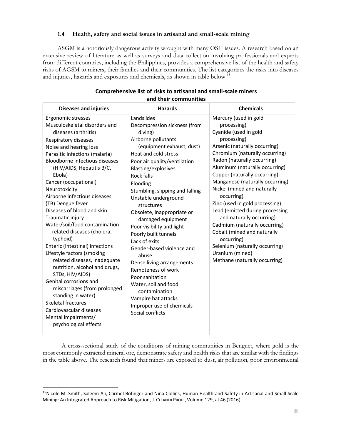# **1.4 Health, safety and social issues in artisanal and small-scale mining**

 ASGM is a notoriously dangerous activity wrought with many OSH issues. A research based on an extensive review of literature as well as surveys and data collection involving professionals and experts from different countries, including the Philippines, provides a comprehensive list of the health and safety risks of AGSM to miners, their families and their communities. The list categorizes the risks into diseases and injuries, hazards and exposures and chemicals, as shown in table below.<sup>45</sup>

## **Comprehensive list of risks to artisanal and small-scale miners and their communities**

 A cross-sectional study of the conditions of mining communities in Benguet, where gold is the most commonly extracted mineral ore, demonstrate safety and health risks that are similar with the findings in the table above. The research found that miners are exposed to dust, air pollution, poor environmental

<sup>&</sup>lt;sup>45</sup>Nicole M. Smith, Saleem Ali, Carmel Bofinger and Nina Collins, Human Health and Safety in Artisanal and Small-Scale Mining: An Integrated Approach to Risk Mitigation, J. CLEANER PROD., Volume 129, at 46 (2016).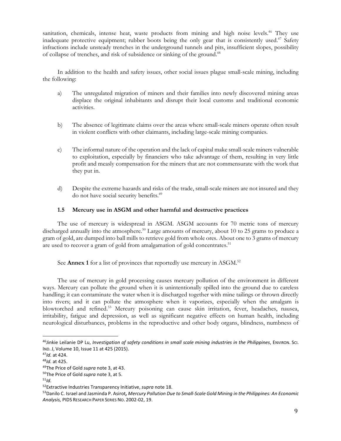sanitation, chemicals, intense heat, waste products from mining and high noise levels.<sup>46</sup> They use inadequate protective equipment; rubber boots being the only gear that is consistently used.<sup>47</sup> Safety infractions include unsteady trenches in the underground tunnels and pits, insufficient slopes, possibility of collapse of trenches, and risk of subsidence or sinking of the ground.<sup>48</sup>

 In addition to the health and safety issues, other social issues plague small-scale mining, including the following:

- a) The unregulated migration of miners and their families into newly discovered mining areas displace the original inhabitants and disrupt their local customs and traditional economic activities.
- b) The absence of legitimate claims over the areas where small-scale miners operate often result in violent conflicts with other claimants, including large-scale mining companies.
- c) The informal nature of the operation and the lack of capital make small-scale miners vulnerable to exploitation, especially by financiers who take advantage of them, resulting in very little profit and measly compensation for the miners that are not commensurate with the work that they put in.
- d) Despite the extreme hazards and risks of the trade, small-scale miners are not insured and they do not have social security benefits.<sup>49</sup>

# **1.5 Mercury use in ASGM and other harmful and destructive practices**

 The use of mercury is widespread in ASGM. ASGM accounts for 70 metric tons of mercury discharged annually into the atmosphere.<sup>50</sup> Large amounts of mercury, about 10 to 25 grams to produce a gram of gold, are dumped into ball mills to retrieve gold from whole ores. About one to 3 grams of mercury are used to recover a gram of gold from amalgamation of gold concentrates.<sup>51</sup>

See **Annex 1** for a list of provinces that reportedly use mercury in ASGM.<sup>52</sup>

 The use of mercury in gold processing causes mercury pollution of the environment in different ways. Mercury can pollute the ground when it is unintentionally spilled into the ground due to careless handling; it can contaminate the water when it is discharged together with mine tailings or thrown directly into rivers; and it can pollute the atmosphere when it vaporizes, especially when the amalgam is blowtorched and refined.<sup>53</sup> Mercury poisoning can cause skin irritation, fever, headaches, nausea, irritability, fatigue and depression, as well as significant negative effects on human health, including neurological disturbances, problems in the reproductive and other body organs, blindness, numbness of

<sup>&</sup>lt;sup>46</sup>Jinkie Leilanie DP Lu, *Investigation of safety conditions in small scale mining industries in the Philippines, ENVIRON. Sci.* IND. J, Volume 10, Issue 11 at 425 (2015).

<sup>47</sup>*Id.* at 424.

<sup>48</sup>*Id.* at 425.

<sup>49</sup>The Price of Gold *supra* note 3, at 43.

<sup>50</sup>The Price of Gold *supra* note 3, at 5.

<sup>51</sup>*Id.*

<sup>52</sup>Extractive Industries Transparency Initiative, *supra* note 18.

<sup>53</sup>Danilo C. Israel and Jasminda P. Asirot*, Mercury Pollution Due to Small-Scale Gold Mining in the Philippines: An Economic Analysis,* PIDS RESEARCH PAPER SERIES NO. 2002-02, 19.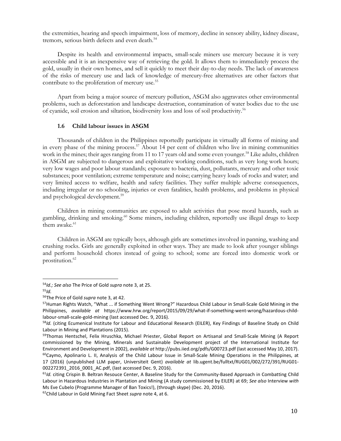the extremities, hearing and speech impairment, loss of memory, decline in sensory ability, kidney disease, tremors, serious birth defects and even death.<sup>54</sup>

 Despite its health and environmental impacts, small-scale miners use mercury because it is very accessible and it is an inexpensive way of retrieving the gold. It allows them to immediately process the gold, usually in their own homes, and sell it quickly to meet their day-to-day needs. The lack of awareness of the risks of mercury use and lack of knowledge of mercury-free alternatives are other factors that contribute to the proliferation of mercury use.<sup>55</sup>

 Apart from being a major source of mercury pollution, ASGM also aggravates other environmental problems, such as deforestation and landscape destruction, contamination of water bodies due to the use of cyanide, soil erosion and siltation, biodiversity loss and loss of soil productivity.<sup>56</sup>

#### **1.6 Child labour issues in ASGM**

 Thousands of children in the Philippines reportedly participate in virtually all forms of mining and in every phase of the mining process.<sup>57</sup> About 14 per cent of children who live in mining communities work in the mines; their ages ranging from 11 to 17 years old and some even younger.<sup>58</sup> Like adults, children in ASGM are subjected to dangerous and exploitative working conditions, such as very long work hours; very low wages and poor labour standards; exposure to bacteria, dust, pollutants, mercury and other toxic substances; poor ventilation; extreme temperature and noise; carrying heavy loads of rocks and water; and very limited access to welfare, health and safety facilities. They suffer multiple adverse consequences, including irregular or no schooling, injuries or even fatalities, health problems, and problems in physical and psychological development.<sup>59</sup>

 Children in mining communities are exposed to adult activities that pose moral hazards, such as gambling, drinking and smoking.<sup>60</sup> Some miners, including children, reportedly use illegal drugs to keep them awake.<sup>61</sup>

 Children in ASGM are typically boys, although girls are sometimes involved in panning, washing and crushing rocks. Girls are generally exploited in other ways. They are made to look after younger siblings and perform household chores instead of going to school; some are forced into domestic work or prostitution.<sup>62</sup>

<sup>54</sup>*Id.; See also* The Price of Gold *supra* note 3, at 25.

<sup>55</sup>*Id.* 

<sup>56</sup>The Price of Gold *supra* note 3, at 42.

<sup>&</sup>lt;sup>57</sup>Human Rights Watch, "What ... if Something Went Wrong?" Hazardous Child Labour in Small-Scale Gold Mining in the Philippines, *available at* https://www.hrw.org/report/2015/09/29/what-if-something-went-wrong/hazardous-childlabour-small-scale-gold-mining (last accessed Dec. 9, 2016).

<sup>58</sup>*Id.* (citing Ecumenical Institute for Labour and Educational Research (EILER), Key Findings of Baseline Study on Child Labour in Mining and Plantations (2015).

<sup>59</sup>Thomas Hentschel, Felix Hruschka, Michael Priester, Global Report on Artisanal and Small-Scale Mining (A Report commissioned by the Mining, Minerals and Sustainable Development project of the International Institute for Environment and Development in 2002), *available at* http://pubs.iied.org/pdfs/G00723.pdf (last accessed May 10, 2017).  $60$ Caymo, Apolinario L. II, Analysis of the Child Labour Issue in Small-Scale Mining Operations in the Philippines, at 17 (2016) (unpublished LLM paper, Universiteit Gent) *available at* lib.ugent.be/fulltxt/RUG01/002/272/391/RUG01- 002272391\_2016\_0001\_AC.pdf, (last accessed Dec. 9, 2016).

<sup>&</sup>lt;sup>61</sup>/d. citing Crispin B. Beltran Resouce Center, A Baseline Study for the Community-Based Approach in Combatting Child Labour in Hazardous Industries in Plantation and Mining (A study commissioned by EILER) at 69; *See also* Interview *with* Ms Eve Cubelo (Programme Manager of Ban Toxics!), (through skype) (Dec. 20, 2016).

<sup>62</sup>Child Labour in Gold Mining Fact Sheet *supra* note 4, at 6.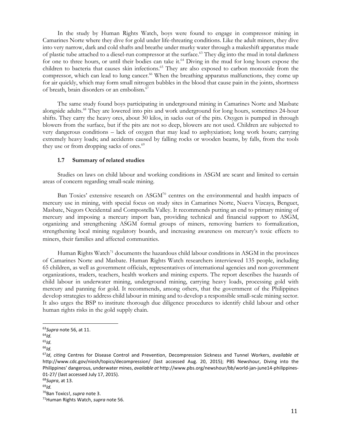In the study by Human Rights Watch, boys were found to engage in compressor mining in Camarines Norte where they dive for gold under life-threating conditions. Like the adult miners, they dive into very narrow, dark and cold shafts and breathe under murky water through a makeshift apparatus made of plastic tube attached to a diesel-run compressor at the surface.<sup>63</sup> They dig into the mud in total darkness for one to three hours, or until their bodies can take it.<sup>64</sup> Diving in the mud for long hours expose the children to bacteria that causes skin infections.<sup>65</sup> They are also exposed to carbon monoxide from the compressor, which can lead to lung cancer.<sup>66</sup> When the breathing apparatus malfunctions, they come up for air quickly, which may form small nitrogen bubbles in the blood that cause pain in the joints, shortness of breath, brain disorders or an embolism.<sup>67</sup>

 The same study found boys participating in underground mining in Camarines Norte and Masbate alongside adults.<sup>68</sup> They are lowered into pits and work underground for long hours, sometimes 24-hour shifts. They carry the heavy ores, about 30 kilos, in sacks out of the pits. Oxygen is pumped in through blowers from the surface, but if the pits are not so deep, blowers are not used. Children are subjected to very dangerous conditions – lack of oxygen that may lead to asphyxiation; long work hours; carrying extremely heavy loads; and accidents caused by falling rocks or wooden beams, by falls, from the tools they use or from dropping sacks of ores.<sup>69</sup>

#### **1.7 Summary of related studies**

 Studies on laws on child labour and working conditions in ASGM are scant and limited to certain areas of concern regarding small-scale mining.

Ban Toxics' extensive research on ASGM<sup>70</sup> centres on the environmental and health impacts of mercury use in mining, with special focus on study sites in Camarines Norte, Nueva Vizcaya, Benguet, Masbate, Negors Occidental and Compostella Valley. It recommends putting an end to primary mining of mercury and imposing a mercury import ban, providing technical and financial support to ASGM, organizing and strengthening ASGM formal groups of miners, removing barriers to formalization, strengthening local mining regulatory boards, and increasing awareness on mercury's toxic effects to miners, their families and affected communities.

Human Rights Watch<sup>71</sup> documents the hazardous child labour conditions in ASGM in the provinces of Camarines Norte and Masbate. Human Rights Watch researchers interviewed 135 people, including 65 children, as well as government officials, representatives of international agencies and non-government organizations, traders, teachers, health workers and mining experts. The report describes the hazards of child labour in underwater mining, underground mining, carrying heavy loads, processing gold with mercury and panning for gold. It recommends, among others, that the government of the Philippines develop strategies to address child labour in mining and to develop a responsible small-scale mining sector. It also urges the BSP to institute thorough due diligence procedures to identify child labour and other human rights risks in the gold supply chain.

<sup>63</sup>*Supra* note 56, at 11.

<sup>64</sup>*Id.* 

 $65$ *Id.* 

<sup>66</sup>*Id.*

<sup>67</sup>*Id*, *citing* Centres for Disease Control and Prevention, Decompression Sickness and Tunnel Workers, *available at*  http://www.cdc.gov/niosh/topics/decompression/ (last accessed Aug. 20, 2015); PBS Newshour, Diving into the Philippines' dangerous, underwater mines, *available at* http://www.pbs.org/newshour/bb/world-jan-june14-philippines-01-27/ (last accessed July 17, 2015).

<sup>68</sup>*Supra*, at 13.

<sup>69</sup>*Id.*

<sup>70</sup>Ban Toxics!, *supra* note 3.

<sup>71</sup>Human Rights Watch, *supra* note 56.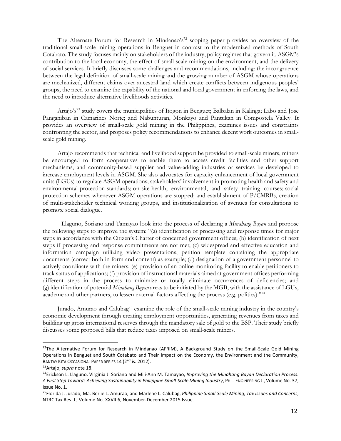The Alternate Forum for Research in Mindanao's<sup>72</sup> scoping paper provides an overview of the traditional small-scale mining operations in Benguet in contrast to the modernized methods of South Cotabato. The study focuses mainly on stakeholders of the industry, policy regimes that govern it, ASGM's contribution to the local economy, the effect of small-scale mining on the environment, and the delivery of social services. It briefly discusses some challenges and recommendations, including: the incongruence between the legal definition of small-scale mining and the growing number of ASGM whose operations are mechanized, different claims over ancestral land which create conflicts between indigenous peoples' groups, the need to examine the capability of the national and local government in enforcing the laws, and the need to introduce alternative livelihoods activities.

Artajo's<sup>73</sup> study covers the municipalities of Itogon in Benguet; Balbalan in Kalinga; Labo and Jose Panganiban in Camarines Norte; and Nabunturan, Monkayo and Pantukan in Compostela Valley. It provides an overview of small-scale gold mining in the Philippines, examines issues and constraints confronting the sector, and proposes policy recommendations to enhance decent work outcomes in smallscale gold mining.

Artajo recommends that technical and livelihood support be provided to small-scale miners, miners be encouraged to form cooperatives to enable them to access credit facilities and other support mechanisms, and community-based supplier and value-adding industries or services be developed to increase employment levels in ASGM. She also advocates for capacity enhancement of local government units (LGUs) to regulate ASGM operations; stakeholders' involvement in promoting health and safety and environmental protection standards; on-site health, environmental, and safety training courses; social protection schemes whenever ASGM operations are stopped; and establishment of P/CMRBs, creation of multi-stakeholder technical working groups, and institutionalization of avenues for consultations to promote social dialogue.

 Llaguno, Soriano and Tamayao look into the process of declaring a *Minahang Bayan* and propose the following steps to improve the system: "(a) identification of processing and response times for major steps in accordance with the Citizen's Charter of concerned government offices; (b) identification of next steps if processing and response commitments are not met; (c) widespread and effective education and information campaign utilizing video presentations, petition template containing the appropriate documents (correct both in form and content) as example; (d) designation of a government personnel to actively coordinate with the miners; (e) provision of an online monitoring facility to enable petitioners to track status of applications; (f) provision of instructional materials aimed at government offices performing different steps in the process to minimize or totally eliminate occurrences of deficiencies; and (g) identification of potential *Minahang Bayan* areas to be initiated by the MGB, with the assistance of LGUs, academe and other partners, to lessen external factors affecting the process (e.g. politics)."<sup>74</sup>

 Jurado, Amurao and Calubag<sup>75</sup> examine the role of the small-scale mining industry in the country's economic development through creating employment opportunities, generating revenues from taxes and building up gross international reserves through the mandatory sale of gold to the BSP. Their study briefly discusses some proposed bills that reduce taxes imposed on small-scale miners.

 $72$ The Alternative Forum for Research in Mindanao (AFRIM), A Background Study on the Small-Scale Gold Mining Operations in Benguet and South Cotabato and Their Impact on the Economy, the Environment and the Community, BANTAY KITA OCCASIONAL PAPER SERIES 14 (2<sup>nd</sup> is. 2012).

<sup>73</sup>Artajo, *supra* note 18.

<sup>74</sup>Erickson L. Llaguno, Virginia J. Soriano and Mili-Ann M. Tamayao, *Improving the Minahang Bayan Declaration Process: A First Step Towards Achieving Sustainability in Philippine Small-Scale Mining Industry*, PHIL. ENGINEERING J., Volume No. 37, Issue No. 1.

<sup>75</sup>Florida J. Jurado, Ma. Berlie L. Amurao, and Marlene L. Calubag, *Philippine Small-Scale Mining, Tax Issues and Concerns*, NTRC Tax Res. J., Volume No. XXVII.6, November-December 2015 Issue.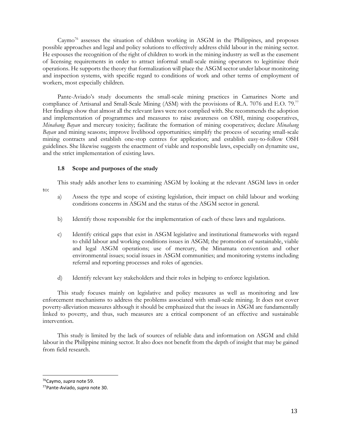Caymo<sup>76</sup> assesses the situation of children working in ASGM in the Philippines, and proposes possible approaches and legal and policy solutions to effectively address child labour in the mining sector. He espouses the recognition of the right of children to work in the mining industry as well as the easement of licensing requirements in order to attract informal small-scale mining operators to legitimize their operations. He supports the theory that formalization will place the ASGM sector under labour monitoring and inspection systems, with specific regard to conditions of work and other terms of employment of workers, most especially children.

Pante-Aviado's study documents the small-scale mining practices in Camarines Norte and compliance of Artisanal and Small-Scale Mining (ASM) with the provisions of R.A. 7076 and E.O. 79.<sup>77</sup> Her findings show that almost all the relevant laws were not complied with. She recommends the adoption and implementation of programmes and measures to raise awareness on OSH, mining cooperatives, *Minahang Bayan* and mercury toxicity; facilitate the formation of mining cooperatives; declare *Minahang Bayan* and mining seasons; improve livelihood opportunities; simplify the process of securing small-scale mining contracts and establish one-stop centres for application; and establish easy-to-follow OSH guidelines. She likewise suggests the enactment of viable and responsible laws, especially on dynamite use, and the strict implementation of existing laws.

### **1.8 Scope and purposes of the study**

This study adds another lens to examining ASGM by looking at the relevant ASGM laws in order

- a) Assess the type and scope of existing legislation, their impact on child labour and working conditions concerns in ASGM and the status of the ASGM sector in general.
- b) Identify those responsible for the implementation of each of these laws and regulations.
- c) Identify critical gaps that exist in ASGM legislative and institutional frameworks with regard to child labour and working conditions issues in ASGM; the promotion of sustainable, viable and legal ASGM operations; use of mercury, the Minamata convention and other environmental issues; social issues in ASGM communities; and monitoring systems including referral and reporting processes and roles of agencies.
- d) Identify relevant key stakeholders and their roles in helping to enforce legislation.

 This study focuses mainly on legislative and policy measures as well as monitoring and law enforcement mechanisms to address the problems associated with small-scale mining. It does not cover poverty-alleviation measures although it should be emphasized that the issues in ASGM are fundamentally linked to poverty, and thus, such measures are a critical component of an effective and sustainable intervention.

 This study is limited by the lack of sources of reliable data and information on ASGM and child labour in the Philippine mining sector. It also does not benefit from the depth of insight that may be gained from field research.

 $\overline{a}$ 

to:

<sup>76</sup>Caymo, *supra* note 59.

<sup>77</sup>Pante-Aviado, *supra* note 30.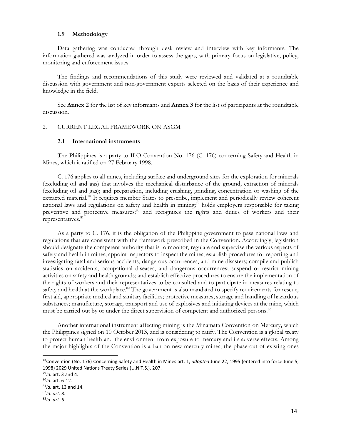#### **1.9 Methodology**

 Data gathering was conducted through desk review and interview with key informants. The information gathered was analyzed in order to assess the gaps, with primary focus on legislative, policy, monitoring and enforcement issues.

 The findings and recommendations of this study were reviewed and validated at a roundtable discussion with government and non-government experts selected on the basis of their experience and knowledge in the field.

 See **Annex 2** for the list of key informants and **Annex 3** for the list of participants at the roundtable discussion.

#### 2. CURRENT LEGAL FRAMEWORK ON ASGM

#### **2.1 International instruments**

 The Philippines is a party to ILO Convention No. 176 (C. 176) concerning Safety and Health in Mines, which it ratified on 27 February 1998.

 C. 176 applies to all mines, including surface and underground sites for the exploration for minerals (excluding oil and gas) that involves the mechanical disturbance of the ground; extraction of minerals (excluding oil and gas); and preparation, including crushing, grinding, concentration or washing of the extracted material.<sup>78</sup> It requires member States to prescribe, implement and periodically review coherent national laws and regulations on safety and health in mining;<sup>79</sup> holds employers responsible for taking preventive and protective measures;<sup>80</sup> and recognizes the rights and duties of workers and their representatives.<sup>81</sup>

 As a party to C. 176, it is the obligation of the Philippine government to pass national laws and regulations that are consistent with the framework prescribed in the Convention. Accordingly, legislation should designate the competent authority that is to monitor, regulate and supervise the various aspects of safety and health in mines; appoint inspectors to inspect the mines; establish procedures for reporting and investigating fatal and serious accidents, dangerous occurrences, and mine disasters; compile and publish statistics on accidents, occupational diseases, and dangerous occurrences; suspend or restrict mining activities on safety and health grounds; and establish effective procedures to ensure the implementation of the rights of workers and their representatives to be consulted and to participate in measures relating to safety and health at the workplace.<sup>82</sup> The government is also mandated to specify requirements for rescue, first aid, appropriate medical and sanitary facilities; protective measures; storage and handling of hazardous substances; manufacture, storage, transport and use of explosives and initiating devices at the mine, which must be carried out by or under the direct supervision of competent and authorized persons.<sup>83</sup>

 Another international instrument affecting mining is the Minamata Convention on Mercury**,** which the Philippines signed on 10 October 2013, and is considering to ratify. The Convention is a global treaty to protect human health and the environment from exposure to mercury and its adverse effects. Among the major highlights of the Convention is a ban on new mercury mines, the phase-out of existing ones

<sup>78</sup>Convention (No. 176) Concerning Safety and Health in Mines art. 1, *adopted* June 22, 1995 (entered into force June 5, 1998) 2029 United Nations Treaty Series (U.N.T.S.). 207.

<sup>79</sup>*Id.* art. 3 and 4.

<sup>80</sup>*Id.* art. 6-12.

<sup>81</sup>*Id.* art. 13 and 14.

<sup>82</sup>*Id. art. 3.* 

<sup>83</sup>*Id. art. 5.*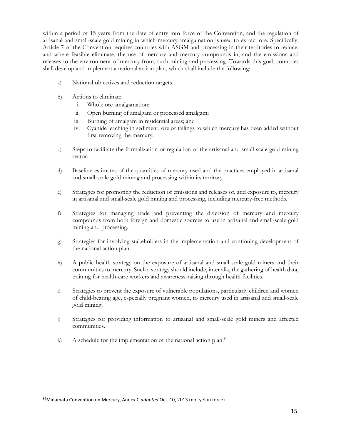within a period of 15 years from the date of entry into force of the Convention, and the regulation of artisanal and small-scale gold mining in which mercury amalgamation is used to extract ore. Specifically, Article 7 of the Convention requires countries with ASGM and processing in their territories to reduce, and where feasible eliminate, the use of mercury and mercury compounds in, and the emissions and releases to the environment of mercury from, such mining and processing. Towards this goal, countries shall develop and implement a national action plan, which shall include the following:

- a) National objectives and reduction targets.
- b) Actions to eliminate:
	- i. Whole ore amalgamation;
	- ii. Open burning of amalgam or processed amalgam;
	- iii. Burning of amalgam in residential areas; and
	- iv. Cyanide leaching in sediment, ore or tailings to which mercury has been added without first removing the mercury.
- c) Steps to facilitate the formalization or regulation of the artisanal and small-scale gold mining sector.
- d) Baseline estimates of the quantities of mercury used and the practices employed in artisanal and small-scale gold mining and processing within its territory.
- e) Strategies for promoting the reduction of emissions and releases of, and exposure to, mercury in artisanal and small-scale gold mining and processing, including mercury-free methods.
- f) Strategies for managing trade and preventing the diversion of mercury and mercury compounds from both foreign and domestic sources to use in artisanal and small-scale gold mining and processing.
- g) Strategies for involving stakeholders in the implementation and continuing development of the national action plan.
- h) A public health strategy on the exposure of artisanal and small-scale gold miners and their communities to mercury. Such a strategy should include, inter alia, the gathering of health data, training for health-care workers and awareness-raising through health facilities.
- i) Strategies to prevent the exposure of vulnerable populations, particularly children and women of child-bearing age, especially pregnant women, to mercury used in artisanal and small-scale gold mining.
- j) Strategies for providing information to artisanal and small-scale gold miners and affected communities.
- k) A schedule for the implementation of the national action plan.<sup>84</sup>

 $\overline{a}$ 84Minamata Convention on Mercury, Annex C *adopted* Oct. 10, 2013 (not yet in force).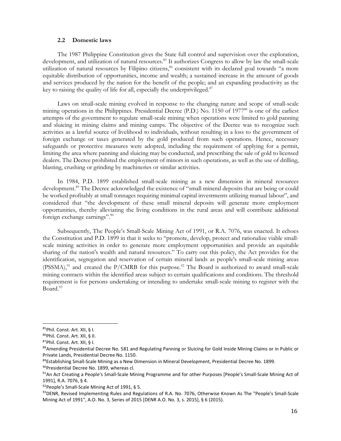#### **2.2 Domestic laws**

 The 1987 Philippine Constitution gives the State full control and supervision over the exploration, development, and utilization of natural resources.<sup>85</sup> It authorizes Congress to allow by law the small-scale utilization of natural resources by Filipino citizens,<sup>86</sup> consistent with its declared goal towards "a more equitable distribution of opportunities, income and wealth; a sustained increase in the amount of goods and services produced by the nation for the benefit of the people; and an expanding productivity as the key to raising the quality of life for all, especially the underprivileged. $87$ 

 Laws on small-scale mining evolved in response to the changing nature and scope of small-scale mining operations in the Philippines. Presidential Decree (P.D.) No. 1150 of 1977<sup>88</sup> is one of the earliest attempts of the government to regulate small-scale mining when operations were limited to gold panning and sluicing in mining claims and mining camps. The objective of the Decree was to recognize such activities as a lawful source of livelihood to individuals, without resulting in a loss to the government of foreign exchange or taxes generated by the gold produced from such operations. Hence, necessary safeguards or protective measures were adopted, including the requirement of applying for a permit, limiting the area where panning and sluicing may be conducted, and prescribing the sale of gold to licensed dealers. The Decree prohibited the employment of minors in such operations, as well as the use of drilling, blasting, crushing or grinding by machineries or similar activities.

 In 1984, P.D. 1899 established small-scale mining as a new dimension in mineral resources development.<sup>89</sup> The Decree acknowledged the existence of "small mineral deposits that are being or could be worked profitably at small tonnages requiring minimal capital investments utilizing manual labour", and considered that "the development of these small mineral deposits will generate more employment opportunities, thereby alleviating the living conditions in the rural areas and will contribute additional foreign exchange earnings".<sup>90</sup>

 Subsequently, The People's Small-Scale Mining Act of 1991, or R.A. 7076, was enacted. It echoes the Constitution and P.D. 1899 in that it seeks to "promote, develop, protect and rationalize viable smallscale mining activities in order to generate more employment opportunities and provide an equitable sharing of the nation's wealth and natural resources." To carry out this policy, the Act provides for the identification, segregation and reservation of certain mineral lands as people's small-scale mining areas (PSSMA),<sup>91</sup> and created the P/CMRB for this purpose.<sup>92</sup> The Board is authorized to award small-scale mining contracts within the identified areas subject to certain qualifications and conditions. The threshold requirement is for persons undertaking or intending to undertake small-scale mining to register with the Board.<sup>93</sup>

<sup>85</sup>Phil. Const. Art. XII, § I.

<sup>86</sup>Phil. Const. Art. XII, § II.

<sup>87</sup>Phil. Const. Art. XII, § I.

<sup>88</sup>Amending Presidential Decree No. 581 and Regulating Panning or Sluicing for Gold Inside Mining Claims or in Public or Private Lands, Presidential Decree No. 1150.

<sup>&</sup>lt;sup>89</sup>Establishing Small-Scale Mining as a New Dimension in Mineral Development, Presidential Decree No. 1899.

<sup>90</sup> Presidential Decree No. 1899, whereas cl.

<sup>91</sup>An Act Creating a People's Small-Scale Mining Programme and for other Purposes [People's Small-Scale Mining Act of 1991], R.A. 7076, § 4.

<sup>92</sup> People's Small-Scale Mining Act of 1991, § 5.

<sup>93</sup> DENR, Revised Implementing Rules and Regulations of R.A. No. 7076, Otherwise Known As The "People's Small-Scale Mining Act of 1991", A.O. No. 3, Series of 2015 [DENR A.O. No. 3, s. 2015], § 6 (2015).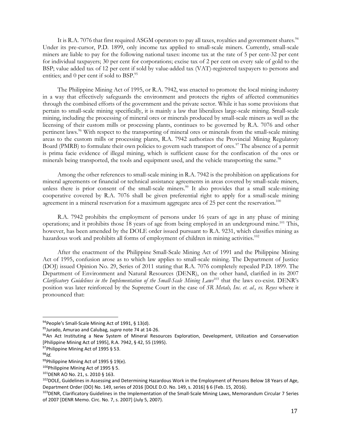It is R.A. 7076 that first required ASGM operators to pay all taxes, royalties and government shares.<sup>94</sup> Under its pre-cursor, P.D. 1899, only income tax applied to small-scale miners. Currently, small-scale miners are liable to pay for the following national taxes: income tax at the rate of 5 per cent-32 per cent for individual taxpayers; 30 per cent for corporations; excise tax of 2 per cent on every sale of gold to the BSP; value added tax of 12 per cent if sold by value-added tax (VAT)-registered taxpayers to persons and entities; and 0 per cent if sold to  $BSP.^{95}$ .

The Philippine Mining Act of 1995, or R.A. 7942, was enacted to promote the local mining industry in a way that effectively safeguards the environment and protects the rights of affected communities through the combined efforts of the government and the private sector. While it has some provisions that pertain to small-scale mining specifically, it is mainly a law that liberalizes large-scale mining. Small-scale mining, including the processing of mineral ores or minerals produced by small-scale miners as well as the licensing of their custom mills or processing plants, continues to be governed by R.A. 7076 and other pertinent laws.<sup>96</sup> With respect to the transporting of mineral ores or minerals from the small-scale mining areas to the custom mills or processing plants, R.A. 7942 authorizes the Provincial Mining Regulatory Board (PMRB) to formulate their own policies to govern such transport of ores.<sup>97</sup> The absence of a permit is prima facie evidence of illegal mining, which is sufficient cause for the confiscation of the ores or minerals being transported, the tools and equipment used, and the vehicle transporting the same.<sup>98</sup>

 Among the other references to small-scale mining in R.A. 7942 is the prohibition on applications for mineral agreements or financial or technical assistance agreements in areas covered by small-scale miners, unless there is prior consent of the small-scale miners.<sup>99</sup> It also provides that a small scale-mining cooperative covered by R.A. 7076 shall be given preferential right to apply for a small-scale mining agreement in a mineral reservation for a maximum aggregate area of 25 per cent the reservation.<sup>100</sup>

 R.A. 7942 prohibits the employment of persons under 16 years of age in any phase of mining operations; and it prohibits those 18 years of age from being employed in an underground mine.<sup>101</sup> This, however, has been amended by the DOLE order issued pursuant to R.A. 9231, which classifies mining as hazardous work and prohibits all forms of employment of children in mining activities.<sup>102</sup>

 After the enactment of the Philippine Small-Scale Mining Act of 1991 and the Philippine Mining Act of 1995, confusion arose as to which law applies to small-scale mining. The Department of Justice (DOJ) issued Opinion No. 29, Series of 2011 stating that R.A. 7076 completely repealed P.D. 1899. The Department of Environment and Natural Resources (DENR), on the other hand, clarified in its 2007 *Clarificatory Guidelines in the Implementation of the Small-Scale Mining Laws*<sup>103</sup> that the laws co-exist. DENR's position was later reinforced by the Supreme Court in the case of *SR Metals, Inc. et. al., vs. Reyes* where it pronounced that:

<sup>94</sup> People's Small-Scale Mining Act of 1991, § 13(d).

<sup>95</sup>Jurado, Amurao and Calubag, *supra* note 74 at 14-26.

<sup>96</sup>An Act Instituting a New System of Mineral Resources Exploration, Development, Utilization and Conservation [Philippine Mining Act of 1995], R.A. 7942, § 42, 55 (1995).

<sup>97</sup>Philippine Mining Act of 1995 § 53.

<sup>98</sup>*Id.*

<sup>99</sup>Philippine Mining Act of 1995 § 19(e).

<sup>100</sup>Philippine Mining Act of 1995 § 5.

<sup>101</sup>DENR AO No. 21, s. 2010 § 163.

<sup>102</sup> DOLE, Guidelines in Assessing and Determining Hazardous Work in the Employment of Persons Below 18 Years of Age, Department Order (DO) No. 149, series of 2016 [DOLE D.O. No. 149, s. 2016] § 6 (Feb. 15, 2016).

<sup>103</sup> DENR, Clarificatory Guidelines in the Implementation of the Small-Scale Mining Laws, Memorandum Circular 7 Series of 2007 [DENR Memo. Circ. No. 7, s. 2007] (July 5, 2007).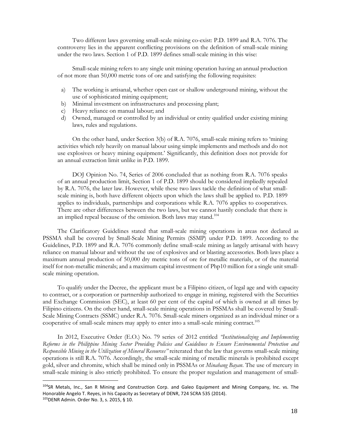Two different laws governing small-scale mining co-exist: P.D. 1899 and R.A. 7076. The controversy lies in the apparent conflicting provisions on the definition of small-scale mining under the two laws. Section 1 of P.D. 1899 defines small-scale mining in this wise:

 Small-scale mining refers to any single unit mining operation having an annual production of not more than 50,000 metric tons of ore and satisfying the following requisites:

- a) The working is artisanal, whether open cast or shallow underground mining, without the use of sophisticated mining equipment;
- b) Minimal investment on infrastructures and processing plant;
- c) Heavy reliance on manual labour; and

 $\overline{a}$ 

d) Owned, managed or controlled by an individual or entity qualified under existing mining laws, rules and regulations.

 On the other hand, under Section 3(b) of R.A. 7076, small-scale mining refers to 'mining activities which rely heavily on manual labour using simple implements and methods and do not use explosives or heavy mining equipment.' Significantly, this definition does not provide for an annual extraction limit unlike in P.D. 1899.

 DOJ Opinion No. 74, Series of 2006 concluded that as nothing from R.A. 7076 speaks of an annual production limit, Section 1 of P.D. 1899 should be considered impliedly repealed by R.A. 7076, the later law. However, while these two laws tackle the definition of what smallscale mining is, both have different objects upon which the laws shall be applied to. P.D. 1899 applies to individuals, partnerships and corporations while R.A. 7076 applies to cooperatives. There are other differences between the two laws, but we cannot hastily conclude that there is an implied repeal because of the omission. Both laws may stand.<sup>104</sup>

 The Clarificatory Guidelines stated that small-scale mining operations in areas not declared as PSSMA shall be covered by Small-Scale Mining Permits (SSMP) under P.D. 1899. According to the Guidelines, P.D. 1899 and R.A. 7076 commonly define small-scale mining as largely artisanal with heavy reliance on manual labour and without the use of explosives and or blasting accessories. Both laws place a maximum annual production of 50,000 dry metric tons of ore for metallic materials, or of the material itself for non-metallic minerals; and a maximum capital investment of Php10 million for a single unit smallscale mining operation.

 To qualify under the Decree, the applicant must be a Filipino citizen, of legal age and with capacity to contract, or a corporation or partnership authorized to engage in mining, registered with the Securities and Exchange Commission (SEC), at least 60 per cent of the capital of which is owned at all times by Filipino citizens. On the other hand, small-scale mining operations in PSSMAs shall be covered by Small-Scale Mining Contracts (SSMC) under R.A. 7076. Small-scale miners organized as an individual miner or a cooperative of small-scale miners may apply to enter into a small-scale mining contract.<sup>105</sup>

 In 2012, Executive Order (E.O.) No. 79 series of 2012 entitled *"Institutionalizing and Implementing Reforms in the Philippine Mining Sector Providing Policies and Guidelines to Ensure Environmental Protection and Responsible Mining in the Utilization of Mineral Resources"* reiterated that the law that governs small-scale mining operations is still R.A. 7076. Accordingly, the small-scale mining of metallic minerals is prohibited except gold, silver and chromite, which shall be mined only in PSSMAs or *Minahang Bayan*. The use of mercury in small-scale mining is also strictly prohibited. To ensure the proper regulation and management of small-

<sup>104</sup>SR Metals, Inc., San R Mining and Construction Corp. and Galeo Equipment and Mining Company, Inc. vs. The Honorable Angelo T. Reyes, in his Capacity as Secretary of DENR, 724 SCRA 535 (2014). 105DENR Admin. Order No. 3, s. 2015, § 10.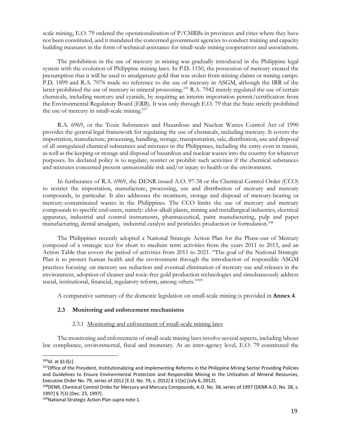scale mining, E.O. 79 ordered the operationalization of P/CMRBs in provinces and cities where they have not been constituted, and it mandated the concerned government agencies to conduct training and capacity building measures in the form of technical assistance for small-scale mining cooperatives and associations.

 The prohibition in the use of mercury in mining was gradually introduced in the Philippine legal system with the evolution of Philippine mining laws. In P.D. 1150, the possession of mercury created the presumption that it will be used to amalgamate gold that was stolen from mining claims or mining camps. P.D. 1899 and R.A. 7076 made no reference to the use of mercury in ASGM, although the IRR of the latter prohibited the use of mercury in mineral processing.<sup>106</sup> R.A. 7942 merely regulated the use of certain chemicals, including mercury and cyanide, by requiring an interim importation permit/certification from the Environmental Regulatory Board (ERB). It was only through E.O. 79 that the State strictly prohibited the use of mercury in small-scale mining.<sup>107</sup>

 R.A. 6969, or the Toxic Substances and Hazardous and Nuclear Wastes Control Act of 1990 provides the general legal framework for regulating the use of chemicals, including mercury. It covers the importation, manufacture, processing, handling, storage, transportation, sale, distribution, use and disposal of all unregulated chemical substances and mixtures in the Philippines, including the entry even in transit, as well as the keeping or storage and disposal of hazardous and nuclear wastes into the country for whatever purposes. Its declared policy is to regulate, restrict or prohibit such activities if the chemical substances and mixtures concerned present unreasonable risk and/or injury to health or the environment.

 In furtherance of R.A. 6969, the DENR issued A.O. 97-38 or the Chemical Control Order (CCO) to restrict the importation, manufacture, processing, use and distribution of mercury and mercury compounds, in particular. It also addresses the treatment, storage and disposal of mercury-bearing or mercury-contaminated wastes in the Philippines. The CCO limits the use of mercury and mercury compounds to specific end-users, namely: chlor-alkali plants, mining and metallurgical industries, electrical apparatus, industrial and control instruments, pharmaceutical, paint manufacturing, pulp and paper manufacturing, dental amalgam, industrial catalyst and pesticides production or formulation.<sup>108</sup>

 The Philippines recently adopted a National Strategic Action Plan for the Phase-out of Mercury composed of a strategic text for short to medium term activities from the years 2011 to 2015, and an Action Table that covers the period of activities from 2011 to 2021. "The goal of the National Strategic Plan is to protect human health and the environment through the introduction of responsible ASGM practices focusing on mercury use reduction and eventual elimination of mercury use and releases in the environment, adoption of cleaner and toxic-free gold production technologies and simultaneously address social, institutional, financial, regulatory reform, among others."<sup>109</sup>

A comparative summary of the domestic legislation on small-scale mining is provided in **Annex 4**.

# **2.3 Monitoring and enforcement mechanisms**

#### 2.3.1 Monitoring and enforcement of small-scale mining laws

 The monitoring and enforcement of small-scale mining laws involve several aspects, including labour law compliance, environmental, fiscal and monetary. At an inter-agency level, E.O. 79 constituted the

<sup>106</sup>*Id.* at §13[c].

<sup>107</sup> Office of the President, Institutionalizing and Implementing Reforms in the Philippine Mining Sector Providing Policies and Guidelines to Ensure Environmental Protection and Responsible Mining in the Utilization of Mineral Resources, Executive Order No. 79, series of 2012 [E.O. No. 79, s. 2012] § 11[e] (July 6, 2012).

<sup>108</sup> DENR, Chemical Control Order for Mercury and Mercury Compounds, A.O. No. 38, series of 1997 [DENR A.O. No. 38, s. 1997] § 7(3) (Dec. 23, 1997).

<sup>109</sup>National Strategic Action Plan *supra* note 1.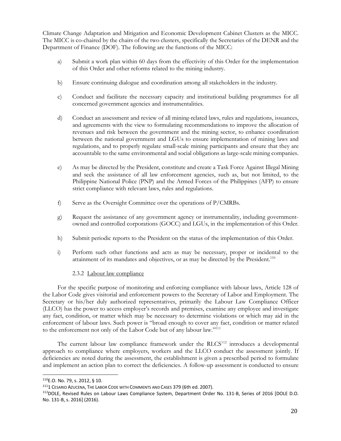Climate Change Adaptation and Mitigation and Economic Development Cabinet Clusters as the MICC. The MICC is co-chaired by the chairs of the two clusters, specifically the Secretaries of the DENR and the Department of Finance (DOF). The following are the functions of the MICC:

- a) Submit a work plan within 60 days from the effectivity of this Order for the implementation of this Order and other reforms related to the mining industry.
- b) Ensure continuing dialogue and coordination among all stakeholders in the industry.
- c) Conduct and facilitate the necessary capacity and institutional building programmes for all concerned government agencies and instrumentalities.
- d) Conduct an assessment and review of all mining-related laws, rules and regulations, issuances, and agreements with the view to formulating recommendations to improve the allocation of revenues and risk between the government and the mining sector, to enhance coordination between the national government and LGUs to ensure implementation of mining laws and regulations, and to properly regulate small-scale mining participants and ensure that they are accountable to the same environmental and social obligations as large-scale mining companies.
- e) As may be directed by the President, constitute and create a Task Force Against Illegal Mining and seek the assistance of all law enforcement agencies, such as, but not limited, to the Philippine National Police (PNP) and the Armed Forces of the Philippines (AFP) to ensure strict compliance with relevant laws, rules and regulations.
- f) Serve as the Oversight Committee over the operations of P/CMRBs.
- g) Request the assistance of any government agency or instrumentality, including governmentowned and controlled corporations (GOCC) and LGUs, in the implementation of this Order.
- h) Submit periodic reports to the President on the status of the implementation of this Order.
- i) Perform such other functions and acts as may be necessary, proper or incidental to the attainment of its mandates and objectives, or as may be directed by the President.<sup>110</sup>

# 2.3.2 Labour law compliance

 For the specific purpose of monitoring and enforcing compliance with labour laws, Article 128 of the Labor Code gives visitorial and enforcement powers to the Secretary of Labor and Employment. The Secretary or his/her duly authorized representatives, primarily the Labour Law Compliance Officer (LLCO) has the power to access employer's records and premises, examine any employee and investigate any fact, condition, or matter which may be necessary to determine violations or which may aid in the enforcement of labour laws. Such power is "broad enough to cover any fact, condition or matter related to the enforcement not only of the Labor Code but of any labour law."<sup>111</sup>

The current labour law compliance framework under the  $RLCS<sup>112</sup>$  introduces a developmental approach to compliance where employers, workers and the LLCO conduct the assessment jointly. If deficiencies are noted during the assessment, the establishment is given a prescribed period to formulate and implement an action plan to correct the deficiencies. A follow-up assessment is conducted to ensure

<sup>110</sup>E.O. No. 79, s. 2012, § 10.

<sup>&</sup>lt;sup>111</sup>1 CESARIO AZUCENA, THE LABOR CODE WITH COMMENTS AND CASES 379 (6th ed. 2007).

<sup>112</sup>DOLE, Revised Rules on Labour Laws Compliance System, Department Order No. 131-B, Series of 2016 [DOLE D.O. No. 131-B, s. 2016] (2016).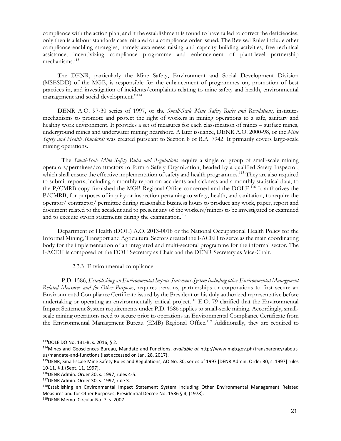compliance with the action plan, and if the establishment is found to have failed to correct the deficiencies, only then is a labour standards case initiated or a compliance order issued. The Revised Rules include other compliance-enabling strategies, namely awareness raising and capacity building activities, free technical assistance, incentivizing compliance programme and enhancement of plant-level partnership mechanisms.<sup>113</sup>

 The DENR, particularly the Mine Safety, Environment and Social Development Division (MSESDD) of the MGB, is responsible for the enhancement of programmes on, promotion of best practices in, and investigation of incidents/complaints relating to mine safety and health, environmental management and social development."<sup>114</sup>

 DENR A.O. 97-30 series of 1997, or the *Small-Scale Mine Safety Rules and Regulations,* institutes mechanisms to promote and protect the right of workers in mining operations to a safe, sanitary and healthy work environment. It provides a set of measures for each classification of mines – surface mines, underground mines and underwater mining nearshore. A later issuance, DENR A.O. 2000-98, or the *Mine Safety and Health Standards* was created pursuant to Section 8 of R.A. 7942. It primarily covers large-scale mining operations.

 The *Small-Scale Mine Safety Rules and Regulations* require a single or group of small-scale mining operators/permitees/contractors to form a Safety Organization, headed by a qualified Safety Inspector, which shall ensure the effective implementation of safety and health programmes.<sup>115</sup> They are also required to submit reports, including a monthly report on accidents and sickness and a monthly statistical data, to the P/CMRB copy furnished the MGB Regional Office concerned and the DOLE.<sup>116</sup> It authorizes the P/CMRB, for purposes of inquiry or inspection pertaining to safety, health, and sanitation, to require the operator/ contractor/ permittee during reasonable business hours to produce any work, paper, report and document related to the accident and to present any of the workers/miners to be investigated or examined and to execute sworn statements during the examination.<sup>117</sup>

 Department of Health (DOH) A.O. 2013-0018 or the National Occupational Health Policy for the Informal Mining, Transport and Agricultural Sectors created the I-ACEH to serve as the main coordinating body for the implementation of an integrated and multi-sectoral programme for the informal sector. The I-ACEH is composed of the DOH Secretary as Chair and the DENR Secretary as Vice-Chair.

#### 2.3.3 Environmental compliance

 P.D. 1586, *Establishing an Environmental Impact Statement System including other Environmental Management Related Measures and for Other Purposes*, requires persons, partnerships or corporations to first secure an Environmental Compliance Certificate issued by the President or his duly authorized representative before undertaking or operating an environmentally critical project.<sup>118</sup> E.O. 79 clarified that the Environmental Impact Statement System requirements under P.D. 1586 applies to small-scale mining. Accordingly, smallscale mining operations need to secure prior to operations an Environmental Compliance Certificate from the Environmental Management Bureau (EMB) Regional Office.<sup>119</sup> Additionally, they are required to

<sup>113</sup>DOLE DO No. 131-B, s. 2016, § 2.

<sup>114</sup>Mines and Geosciences Bureau, Mandate and Functions, *available at* http://www.mgb.gov.ph/transparency/aboutus/mandate-and-functions (last accessed on Jan. 28, 2017).

<sup>115</sup>DENR, Small-scale Mine Safety Rules and Regulations, AO No. 30, series of 1997 [DENR Admin. Order 30, s. 1997] rules 10-11, § 1 (Sept. 11, 1997).

<sup>116</sup>DENR Admin. Order 30, s. 1997, rules 4-5.

<sup>117</sup>DENR Admin. Order 30, s. 1997, rule 3.

<sup>&</sup>lt;sup>118</sup>Establishing an Environmental Impact Statement System Including Other Environmental Management Related Measures and for Other Purposes, Presidential Decree No. 1586 § 4, (1978).

<sup>119</sup>DENR Memo. Circular No. 7, s. 2007.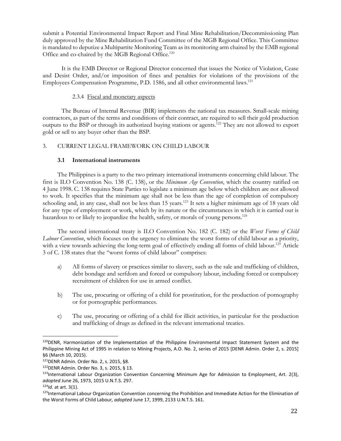submit a Potential Environmental Impact Report and Final Mine Rehabilitation/Decommissioning Plan duly approved by the Mine Rehabilitation Fund Committee of the MGB Regional Office. This Committee is mandated to deputize a Multipartite Monitoring Team as its monitoring arm chaired by the EMB regional Office and co-chaired by the MGB Regional Office.<sup>120</sup>

 It is the EMB Director or Regional Director concerned that issues the Notice of Violation, Cease and Desist Order, and/or imposition of fines and penalties for violations of the provisions of the Employees Compensation Programme, P.D. 1586, and all other environmental laws.<sup>121</sup>

# 2.3.4 Fiscal and monetary aspects

 The Bureau of Internal Revenue (BIR) implements the national tax measures. Small-scale mining contractors, as part of the terms and conditions of their contract, are required to sell their gold production outputs to the BSP or through its authorized buying stations or agents.<sup>122</sup> They are not allowed to export gold or sell to any buyer other than the BSP.

# 3. CURRENT LEGAL FRAMEWORK ON CHILD LABOUR

# **3.1 International instruments**

 The Philippines is a party to the two primary international instruments concerning child labour. The first is ILO Convention No. 138 (C. 138), or the *Minimum Age Convention*, which the country ratified on 4 June 1998. C. 138 requires State Parties to legislate a minimum age below which children are not allowed to work. It specifies that the minimum age shall not be less than the age of completion of compulsory schooling and, in any case, shall not be less than 15 years.<sup>123</sup> It sets a higher minimum age of 18 years old for any type of employment or work, which by its nature or the circumstances in which it is carried out is hazardous to or likely to jeopardize the health, safety, or morals of young persons.<sup>124</sup>

 The second international treaty is ILO Convention No. 182 (C. 182) or the *Worst Forms of Child Labour Convention*, which focuses on the urgency to eliminate the worst forms of child labour as a priority, with a view towards achieving the long-term goal of effectively ending all forms of child labour.<sup>125</sup> Article 3 of C. 138 states that the "worst forms of child labour" comprises:

- a) All forms of slavery or practices similar to slavery, such as the sale and trafficking of children, debt bondage and serfdom and forced or compulsory labour, including forced or compulsory recruitment of children for use in armed conflict.
- b) The use, procuring or offering of a child for prostitution, for the production of pornography or for pornographic performances.
- c) The use, procuring or offering of a child for illicit activities, in particular for the production and trafficking of drugs as defined in the relevant international treaties.

<sup>&</sup>lt;sup>120</sup>DENR, Harmonization of the Implementation of the Philippine Environmental Impact Statement System and the Philippine Mining Act of 1995 in relation to Mining Projects, A.O. No. 2, series of 2015 [DENR Admin. Order 2, s. 2015] §6 (March 10, 2015).

<sup>121</sup>DENR Admin. Order No. 2, s. 2015, §8.

<sup>122</sup>DENR Admin. Order No. 3, s. 2015, § 13.

 $123$ International Labour Organization Convention Concerning Minimum Age for Admission to Employment, Art. 2(3), *adopted* June 26, 1973, 1015 U.N.T.S. 297.

<sup>124</sup>*Id.* at art. 3(1).

<sup>125</sup>International Labour Organization Convention concerning the Prohibition and Immediate Action for the Elimination of the Worst Forms of Child Labour*, adopted* June 17, 1999, 2133 U.N.T.S. 161.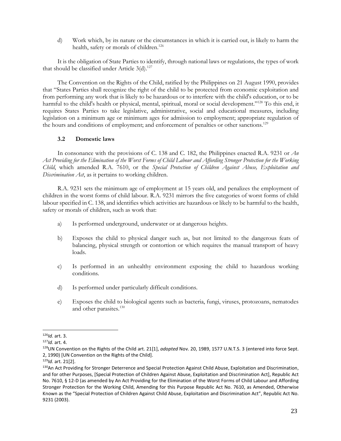d) Work which, by its nature or the circumstances in which it is carried out, is likely to harm the health, safety or morals of children.<sup>126</sup>

 It is the obligation of State Parties to identify, through national laws or regulations, the types of work that should be classified under Article  $3(d)$ .<sup>127</sup>

 The Convention on the Rights of the Child, ratified by the Philippines on 21 August 1990, provides that "States Parties shall recognize the right of the child to be protected from economic exploitation and from performing any work that is likely to be hazardous or to interfere with the child's education, or to be harmful to the child's health or physical, mental, spiritual, moral or social development."<sup>128</sup> To this end, it requires States Parties to take legislative, administrative, social and educational measures, including legislation on a minimum age or minimum ages for admission to employment; appropriate regulation of the hours and conditions of employment; and enforcement of penalties or other sanctions.<sup>129</sup>

# **3.2 Domestic laws**

 In consonance with the provisions of C. 138 and C. 182, the Philippines enacted R.A. 9231 or *An Act Providing for the Elimination of the Worst Forms of Child Labour and Affording Stronger Protection for the Working Child*, which amended R.A. 7610, or the *Special Protection of Children Against Abuse, Exploitation and Discrimination Act*, as it pertains to working children.

 R.A. 9231 sets the minimum age of employment at 15 years old, and penalizes the employment of children in the worst forms of child labour. R.A. 9231 mirrors the five categories of worst forms of child labour specified in C. 138, and identifies which activities are hazardous or likely to be harmful to the health, safety or morals of children, such as work that:

- a) Is performed underground, underwater or at dangerous heights.
- b) Exposes the child to physical danger such as, but not limited to the dangerous feats of balancing, physical strength or contortion or which requires the manual transport of heavy loads.
- c) Is performed in an unhealthy environment exposing the child to hazardous working conditions.
- d) Is performed under particularly difficult conditions.
- e) Exposes the child to biological agents such as bacteria, fungi, viruses, protozoans, nematodes and other parasites.<sup>130</sup>

 $\overline{a}$ <sup>126</sup>*Id.* art. 3.

<sup>127</sup>*Id.* art. 4.

<sup>128</sup>UN Convention on the Rights of the Child art. 21[1], *adopted* Nov. 20, 1989, 1577 U.N.T.S. 3 (entered into force Sept. 2, 1990) [UN Convention on the Rights of the Child].

<sup>129</sup>*Id.* art. 21[2].

<sup>130</sup>An Act Providing for Stronger Deterrence and Special Protection Against Child Abuse, Exploitation and Discrimination, and for other Purposes, [Special Protection of Children Against Abuse, Exploitation and Discrimination Act], Republic Act No. 7610, § 12-D (as amended by An Act Providing for the Elimination of the Worst Forms of Child Labour and Affording Stronger Protection for the Working Child, Amending for this Purpose Republic Act No. 7610, as Amended, Otherwise Known as the "Special Protection of Children Against Child Abuse, Exploitation and Discrimination Act", Republic Act No. 9231 (2003).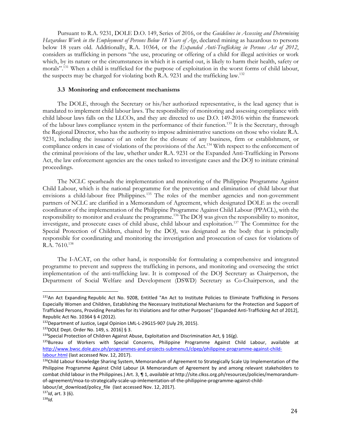Pursuant to R.A. 9231, DOLE D.O. 149, Series of 2016, or the *Guidelines in Assessing and Determining Hazardous Work in the Employment of Persons Below 18 Years of Age*, declared mining as hazardous to persons below 18 years old. Additionally, R.A. 10364, or the *Expanded Anti-Trafficking in Persons Act of 2012*, considers as trafficking in persons "the use, procuring or offering of a child for illegal activities or work which, by its nature or the circumstances in which it is carried out, is likely to harm their health, safety or morals".<sup>131</sup> When a child is trafficked for the purpose of exploitation in the worst forms of child labour, the suspects may be charged for violating both R.A. 9231 and the trafficking law.<sup>132</sup>

#### **3.3 Monitoring and enforcement mechanisms**

 The DOLE, through the Secretary or his/her authorized representative, is the lead agency that is mandated to implement child labour laws. The responsibility of monitoring and assessing compliance with child labour laws falls on the LLCOs, and they are directed to use D.O. 149-2016 within the framework of the labour laws compliance system in the performance of their function.<sup>133</sup> It is the Secretary, through the Regional Director, who has the authority to impose administrative sanctions on those who violate R.A. 9231, including the issuance of an order for the closure of any business, firm or establishment, or compliance orders in case of violations of the provisions of the Act.<sup>134</sup> With respect to the enforcement of the criminal provisions of the law, whether under R.A. 9231 or the Expanded Anti-Trafficking in Persons Act, the law enforcement agencies are the ones tasked to investigate cases and the DOJ to initiate criminal proceedings.

 The NCLC spearheads the implementation and monitoring of the Philippine Programme Against Child Labour, which is the national programme for the prevention and elimination of child labour that envisions a child-labour free Philippines.<sup>135</sup> The roles of the member agencies and non-government partners of NCLC are clarified in a Memorandum of Agreement, which designated DOLE as the overall coordinator of the implementation of the Philippine Programme Against Child Labour (PPACL), with the responsibility to monitor and evaluate the programme.<sup>136</sup> The DOJ was given the responsibility to monitor, investigate, and prosecute cases of child abuse, child labour and exploitation.<sup>137</sup> The Committee for the Special Protection of Children, chaired by the DOJ, was designated as the body that is principally responsible for coordinating and monitoring the investigation and prosecution of cases for violations of  $R.A. 7610.<sup>138</sup>$ 

 The I-ACAT, on the other hand, is responsible for formulating a comprehensive and integrated programme to prevent and suppress the trafficking in persons, and monitoring and overseeing the strict implementation of the anti-trafficking law. It is composed of the DOJ Secretary as Chairperson, the Department of Social Welfare and Development (DSWD) Secretary as Co-Chairperson, and the

labour/at download/policy file (last accessed Nov. 12, 2017).

<sup>131</sup>An Act Expanding Republic Act No. 9208, Entitled "An Act to Institute Policies to Eliminate Trafficking in Persons Especially Women and Children, Establishing the Necessary Institutional Mechanisms for the Protection and Support of Trafficked Persons, Providing Penalties for its Violations and for other Purposes" [Expanded Anti-Trafficking Act of 2012], Republic Act No. 10364 § 4 (2012).

<sup>&</sup>lt;sup>132</sup>Department of Justice, Legal Opinion LML-L-29G15-907 (July 29, 2015).

<sup>133</sup>DOLE Dept. Order No. 149, s. 2016] § 3.

<sup>&</sup>lt;sup>134</sup>Special Protection of Children Against Abuse, Exploitation and Discrimination Act, § 16(g).

<sup>&</sup>lt;sup>135</sup>Bureau of Workers with Special Concerns, Philippine Programme Against Child Labour, available at http://www.bwsc.dole.gov.ph/programmes-and-projects-submenu1/clpep/philippine-programme-against-childlabour.html (last accessed Nov. 12, 2017).

<sup>136</sup>Child Labour Knowledge Sharing System, Memorandum of Agreement to Strategically Scale Up Implementation of the Philippine Programme Against Child Labour (A Memorandum of Agreement by and among relevant stakeholders to combat child labour in the Philippines.) Art. 3, ¶ 1, *available at* http://site.clkss.org.ph/resources/policies/memorandumof-agreement/moa-to-strategically-scale-up-imlementation-of-the-philippine-programme-against-child-

<sup>137</sup>*Id*, art. 3 (6).

<sup>138</sup>*Id.*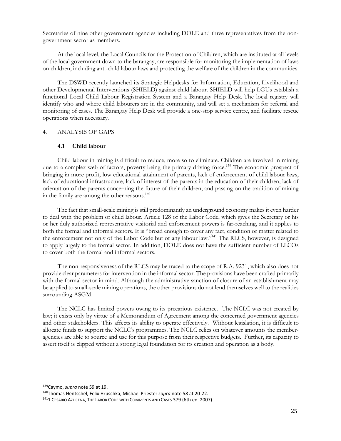Secretaries of nine other government agencies including DOLE and three representatives from the nongovernment sector as members.

 At the local level, the Local Councils for the Protection of Children, which are instituted at all levels of the local government down to the barangay, are responsible for monitoring the implementation of laws on children, including anti-child labour laws and protecting the welfare of the children in the communities.

 The DSWD recently launched its Strategic Helpdesks for Information, Education, Livelihood and other Developmental Interventions (SHIELD) against child labour. SHIELD will help LGUs establish a functional Local Child Labour Registration System and a Barangay Help Desk. The local registry will identify who and where child labourers are in the community, and will set a mechanism for referral and monitoring of cases. The Barangay Help Desk will provide a one-stop service centre, and facilitate rescue operations when necessary.

#### 4. ANALYSIS OF GAPS

#### **4.1 Child labour**

 Child labour in mining is difficult to reduce, more so to eliminate. Children are involved in mining due to a complex web of factors, poverty being the primary driving force.<sup>139</sup> The economic prospect of bringing in more profit, low educational attainment of parents, lack of enforcement of child labour laws, lack of educational infrastructure, lack of interest of the parents in the education of their children, lack of orientation of the parents concerning the future of their children, and passing on the tradition of mining in the family are among the other reasons.<sup>140</sup>

 The fact that small-scale mining is still predominantly an underground economy makes it even harder to deal with the problem of child labour. Article 128 of the Labor Code, which gives the Secretary or his or her duly authorized representative visitorial and enforcement powers is far-reaching, and it applies to both the formal and informal sectors. It is "broad enough to cover any fact, condition or matter related to the enforcement not only of the Labor Code but of any labour law."<sup>141</sup> The RLCS, however, is designed to apply largely to the formal sector. In addition, DOLE does not have the sufficient number of LLCOs to cover both the formal and informal sectors.

 The non-responsiveness of the RLCS may be traced to the scope of R.A. 9231, which also does not provide clear parameters for intervention in the informal sector. The provisions have been crafted primarily with the formal sector in mind. Although the administrative sanction of closure of an establishment may be applied to small-scale mining operations, the other provisions do not lend themselves well to the realities surrounding ASGM.

 The NCLC has limited powers owing to its precarious existence. The NCLC was not created by law; it exists only by virtue of a Memorandum of Agreement among the concerned government agencies and other stakeholders. This affects its ability to operate effectively. Without legislation, it is difficult to allocate funds to support the NCLC's programmes. The NCLC relies on whatever amounts the memberagencies are able to source and use for this purpose from their respective budgets. Further, its capacity to assert itself is clipped without a strong legal foundation for its creation and operation as a body.

<sup>139</sup>Caymo, *supra* note 59 at 19.

<sup>140</sup>Thomas Hentschel, Felix Hruschka, Michael Priester *supra* note 58 at 20-22.

<sup>&</sup>lt;sup>141</sup>1 CESARIO AZUCENA, THE LABOR CODE WITH COMMENTS AND CASES 379 (6th ed. 2007).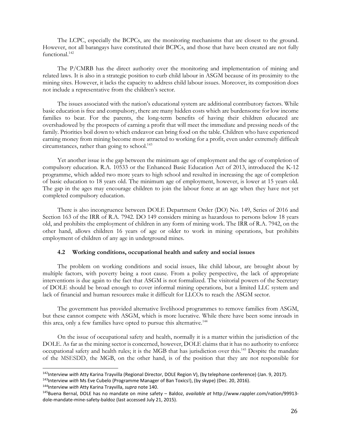The LCPC, especially the BCPCs, are the monitoring mechanisms that are closest to the ground. However, not all barangays have constituted their BCPCs, and those that have been created are not fully functional.<sup>142</sup>

 The P*/*CMRB has the direct authority over the monitoring and implementation of mining and related laws. It is also in a strategic position to curb child labour in ASGM because of its proximity to the mining sites. However, it lacks the capacity to address child labour issues. Moreover, its composition does not include a representative from the children's sector.

 The issues associated with the nation's educational system are additional contributory factors. While basic education is free and compulsory, there are many hidden costs which are burdensome for low income families to bear. For the parents, the long-term benefits of having their children educated are overshadowed by the prospects of earning a profit that will meet the immediate and pressing needs of the family. Priorities boil down to which endeavor can bring food on the table. Children who have experienced earning money from mining become more attracted to working for a profit, even under extremely difficult circumstances, rather than going to school.<sup>143</sup>

 Yet another issue is the gap between the minimum age of employment and the age of completion of compulsory education. R.A. 10533 or the Enhanced Basic Education Act of 2013, introduced the K-12 programme, which added two more years to high school and resulted in increasing the age of completion of basic education to 18 years old. The minimum age of employment, however, is lower at 15 years old. The gap in the ages may encourage children to join the labour force at an age when they have not yet completed compulsory education.

 There is also incongruence between DOLE Department Order (DO) No. 149, Series of 2016 and Section 163 of the IRR of R.A. 7942. DO 149 considers mining as hazardous to persons below 18 years old, and prohibits the employment of children in any form of mining work. The IRR of R.A. 7942, on the other hand, allows children 16 years of age or older to work in mining operations, but prohibits employment of children of any age in underground mines.

#### **4.2 Working conditions, occupational health and safety and social issues**

 The problem on working conditions and social issues, like child labour, are brought about by multiple factors, with poverty being a root cause. From a policy perspective, the lack of appropriate interventions is due again to the fact that ASGM is not formalized. The visitorial powers of the Secretary of DOLE should be broad enough to cover informal mining operations, but a limited LLC system and lack of financial and human resources make it difficult for LLCOs to reach the ASGM sector.

 The government has provided alternative livelihood programmes to remove families from ASGM, but these cannot compete with ASGM, which is more lucrative. While there have been some inroads in this area, only a few families have opted to pursue this alternative.<sup>144</sup>

 On the issue of occupational safety and health, normally it is a matter within the jurisdiction of the DOLE. As far as the mining sector is concerned, however, DOLE claims that it has no authority to enforce occupational safety and health rules; it is the MGB that has jurisdiction over this.<sup>145</sup> Despite the mandate of the MSESDD, the MGB, on the other hand, is of the position that they are not responsible for

<sup>142</sup>Interview *with* Atty Karina Trayvilla (Regional Director, DOLE Region V), (by telephone conference) (Jan. 9, 2017).

<sup>143</sup>Interview *with* Ms Eve Cubelo (Programme Manager of Ban Toxics!), (by skype) (Dec. 20, 2016).

<sup>144</sup>Interview *with* Atty Karina Trayvilla, *supra* note 140.

<sup>145</sup>Buena Bernal, DOLE has no mandate on mine safety – Baldoz, *available at* http://www.rappler.com/nation/99913 dole-mandate-mine-safety-baldoz (last accessed July 21, 2015).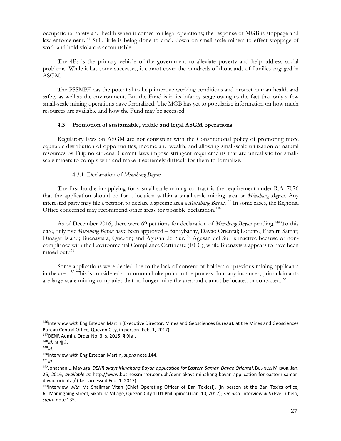occupational safety and health when it comes to illegal operations; the response of MGB is stoppage and law enforcement.<sup>146</sup> Still, little is being done to crack down on small-scale miners to effect stoppage of work and hold violators accountable.

 The 4Ps is the primary vehicle of the government to alleviate poverty and help address social problems. While it has some successes, it cannot cover the hundreds of thousands of families engaged in ASGM.

 The PSSMPF has the potential to help improve working conditions and protect human health and safety as well as the environment. But the Fund is in its infancy stage owing to the fact that only a few small-scale mining operations have formalized. The MGB has yet to popularize information on how much resources are available and how the Fund may be accessed.

#### **4.3 Promotion of sustainable, viable and legal ASGM operations**

 Regulatory laws on ASGM are not consistent with the Constitutional policy of promoting more equitable distribution of opportunities, income and wealth, and allowing small-scale utilization of natural resources by Filipino citizens. Current laws impose stringent requirements that are unrealistic for smallscale miners to comply with and make it extremely difficult for them to formalize.

#### 4.3.1 Declaration of *Minahang Bayan*

 The first hurdle in applying for a small-scale mining contract is the requirement under R.A. 7076 that the application should be for a location within a small-scale mining area or *Minahang Bayan*. Any interested party may file a petition to declare a specific area a *Minahang Bayan*. <sup>147</sup> In some cases, the Regional Office concerned may recommend other areas for possible declaration.<sup>148</sup>

As of December 2016, there were 69 petitions for declaration of *Minahang Bayan* pending.<sup>149</sup> To this date, only five *Minahang Bayan* have been approved – Banaybanay, Davao Oriental; Lorente, Eastern Samar; Dinagat Island; Buenavista, Quezon; and Agusan del Sur.<sup>150</sup> Agusan del Sur is inactive because of noncompliance with the Environmental Compliance Certificate (ECC), while Buenavista appears to have been mined out.<sup>151</sup>

 Some applications were denied due to the lack of consent of holders or previous mining applicants in the area.<sup>152</sup> This is considered a common choke point in the process. In many instances, prior claimants are large-scale mining companies that no longer mine the area and cannot be located or contacted.<sup>153</sup>

<sup>146</sup>Interview *with* Eng Esteban Martin (Executive Director, Mines and Geosciences Bureau), at the Mines and Geosciences Bureau Central Office, Quezon City, in person (Feb. 1, 2017).

<sup>147</sup>DENR Admin. Order No. 3, s. 2015, § 9[a].

<sup>148</sup>*Id.* at ¶ 2.

<sup>149</sup>*Id.* 

<sup>150</sup>Interview *with* Eng Esteban Martin, *supra* note 144.

<sup>151</sup>*Id.*

<sup>152</sup>Jonathan L. Mayuga, *DENR okays Minahang Bayan application for Eastern Samar, Davao Oriental*, BUSINESS MIRROR, Jan. 26, 2016, *available at* http://www.businessmirror.com.ph/denr-okays-minahang-bayan-application-for-eastern-samardavao-oriental/ ( last accessed Feb. 1, 2017).

<sup>153</sup>Interview *with* Ms Shalimar Vitan (Chief Operating Officer of Ban Toxics!), (in person at the Ban Toxics office, 6C Maningning Street, Sikatuna Village, Quezon City 1101 Philippines) (Jan. 10, 2017); *See also,* Interview *with* Eve Cubelo, *supra* note 135.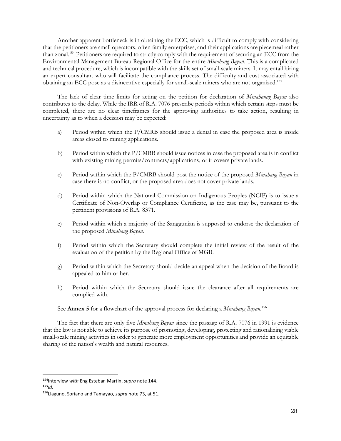Another apparent bottleneck is in obtaining the ECC, which is difficult to comply with considering that the petitioners are small operators, often family enterprises, and their applications are piecemeal rather than zonal.<sup>154</sup> Petitioners are required to strictly comply with the requirement of securing an ECC from the Environmental Management Bureau Regional Office for the entire *Minahang Bayan*. This is a complicated and technical procedure, which is incompatible with the skills set of small-scale miners. It may entail hiring an expert consultant who will facilitate the compliance process. The difficulty and cost associated with obtaining an ECC pose as a disincentive especially for small-scale miners who are not organized.<sup>155</sup>

 The lack of clear time limits for acting on the petition for declaration of *Minahanag Bayan* also contributes to the delay. While the IRR of R.A. 7076 prescribe periods within which certain steps must be completed, there are no clear timeframes for the approving authorities to take action, resulting in uncertainty as to when a decision may be expected:

- a) Period within which the P/CMRB should issue a denial in case the proposed area is inside areas closed to mining applications.
- b) Period within which the P/CMRB should issue notices in case the proposed area is in conflict with existing mining permits/contracts/applications, or it covers private lands.
- c) Period within which the P/CMRB should post the notice of the proposed *Minahang Bayan* in case there is no conflict, or the proposed area does not cover private lands.
- d) Period within which the National Commission on Indigenous Peoples (NCIP) is to issue a Certificate of Non-Overlap or Compliance Certificate, as the case may be, pursuant to the pertinent provisions of R.A. 8371.
- e) Period within which a majority of the Sanggunian is supposed to endorse the declaration of the proposed *Minahang Bayan*.
- f) Period within which the Secretary should complete the initial review of the result of the evaluation of the petition by the Regional Office of MGB.
- g) Period within which the Secretary should decide an appeal when the decision of the Board is appealed to him or her.
- h) Period within which the Secretary should issue the clearance after all requirements are complied with.

See **Annex 5** for a flowchart of the approval process for declaring a *Minahang Bayan*. 156

 The fact that there are only five *Minahang Bayan* since the passage of R.A. 7076 in 1991 is evidence that the law is not able to achieve its purpose of promoting, developing, protecting and rationalizing viable small-scale mining activities in order to generate more employment opportunities and provide an equitable sharing of the nation's wealth and natural resources.

<sup>154</sup>Interview *with* Eng Esteban Martin, *supra* note 144. *<sup>155</sup>Id.* 

<sup>156</sup>Llaguno, Soriano and Tamayao, *supra* note 73, at 51.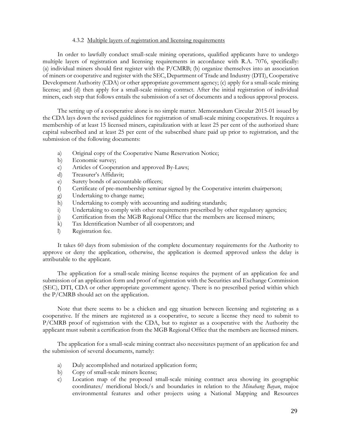#### 4.3.2 Multiple layers of registration and licensing requirements

 In order to lawfully conduct small-scale mining operations, qualified applicants have to undergo multiple layers of registration and licensing requirements in accordance with R.A. 7076, specifically: (a) individual miners should first register with the P/CMRB; (b) organize themselves into an association of miners or cooperative and register with the SEC, Department of Trade and Industry (DTI), Cooperative Development Authority (CDA) or other appropriate government agency; (c) apply for a small-scale mining license; and (d) then apply for a small-scale mining contract. After the initial registration of individual miners, each step that follows entails the submission of a set of documents and a tedious approval process.

 The setting up of a cooperative alone is no simple matter. Memorandum Circular 2015-01 issued by the CDA lays down the revised guidelines for registration of small-scale mining cooperatives. It requires a membership of at least 15 licensed miners, capitalization with at least 25 per cent of the authorized share capital subscribed and at least 25 per cent of the subscribed share paid up prior to registration, and the submission of the following documents:

- a) Original copy of the Cooperative Name Reservation Notice;
- b) Economic survey;
- c) Articles of Cooperation and approved By-Laws;
- d) Treasurer's Affidavit;
- e) Surety bonds of accountable officers;
- f) Certificate of pre-membership seminar signed by the Cooperative interim chairperson;
- g) Undertaking to change name;
- h) Undertaking to comply with accounting and auditing standards;
- i) Undertaking to comply with other requirements prescribed by other regulatory agencies;
- j) Certification from the MGB Regional Office that the members are licensed miners;
- k) Tax Identification Number of all cooperators; and
- l) Registration fee.

 It takes 60 days from submission of the complete documentary requirements for the Authority to approve or deny the application, otherwise, the application is deemed approved unless the delay is attributable to the applicant.

 The application for a small-scale mining license requires the payment of an application fee and submission of an application form and proof of registration with the Securities and Exchange Commission (SEC), DTI, CDA or other appropriate government agency. There is no prescribed period within which the P/CMRB should act on the application.

 Note that there seems to be a chicken and egg situation between licensing and registering as a cooperative. If the miners are registered as a cooperative, to secure a license they need to submit to P/CMRB proof of registration with the CDA, but to register as a cooperative with the Authority the applicant must submit a certification from the MGB Regional Office that the members are licensed miners.

 The application for a small-scale mining contract also necessitates payment of an application fee and the submission of several documents, namely:

- a) Duly accomplished and notarized application form;
- b) Copy of small-scale miners license;
- c) Location map of the proposed small-scale mining contract area showing its geographic coordinates/ meridional block/s and boundaries in relation to the *Minahang Bayan*, majoe environmental features and other projects using a National Mapping and Resources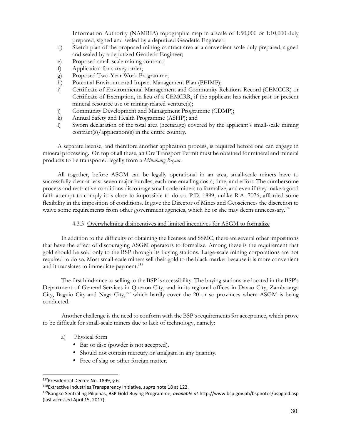Information Authority (NAMRIA) topographic map in a scale of 1:50,000 or 1:10,000 duly prepared, signed and sealed by a deputized Geodetic Engineer;

- d) Sketch plan of the proposed mining contract area at a convenient scale duly prepared, signed and sealed by a deputized Geodetic Engineer;
- e) Proposed small-scale mining contract;
- f) Application for survey order;
- g) Proposed Two-Year Work Programme;
- h) Potential Environmental Impact Management Plan (PEIMP);
- i) Certificate of Environmental Management and Community Relations Record (CEMCCR) or Certificate of Exemption, in lieu of a CEMCRR, if the applicant has neither past or present mineral resource use or mining-related venture(s);
- j) Community Development and Management Programme (CDMP);
- k) Annual Safety and Health Programme (ASHP); and
- l) Sworn declaration of the total area (hectarage) covered by the applicant's small-scale mining contract(s)/application(s) in the entire country.

 A separate license, and therefore another application process, is required before one can engage in mineral processing. On top of all these, an Ore Transport Permit must be obtained for mineral and mineral products to be transported legally from a *Minahang Bayan*.

 All together, before ASGM can be legally operational in an area, small-scale miners have to successfully clear at least seven major hurdles, each one entailing costs, time, and effort. The cumbersome process and restrictive conditions discourage small-scale miners to formalize, and even if they make a good faith attempt to comply it is close to impossible to do so. P.D. 1899, unlike R.A. 7076, afforded some flexibility in the imposition of conditions. It gave the Director of Mines and Geosciences the discretion to waive some requirements from other government agencies, which he or she may deem unnecessary.<sup>157</sup>

## 4.3.3 Overwhelming disincentives and limited incentives for ASGM to formalize

In addition to the difficulty of obtaining the licenses and SSMC, there are several other impositions that have the effect of discouraging ASGM operators to formalize. Among these is the requirement that gold should be sold only to the BSP through its buying stations. Large-scale mining corporations are not required to do so. Most small-scale miners sell their gold to the black market because it is more convenient and it translates to immediate payment.<sup>158</sup>

The first hindrance to selling to the BSP is accessibility. The buying stations are located in the BSP's Department of General Services in Quezon City, and in its regional offices in Davao City, Zamboanga City, Baguio City and Naga City,<sup>159</sup> which hardly cover the 20 or so provinces where ASGM is being conducted.

 Another challenge is the need to conform with the BSP's requirements for acceptance, which prove to be difficult for small-scale miners due to lack of technology, namely:

- a) Physical form
	- Bar or disc (powder is not accepted).
	- Should not contain mercury or amalgam in any quantity.
	- Free of slag or other foreign matter.

<sup>157</sup> Presidential Decree No. 1899, § 6.

<sup>158</sup>Extractive Industries Transparency Initiative, *supra* note 18 at 122.

<sup>159</sup>Bangko Sentral ng Pilipinas, BSP Gold Buying Programme, *available at* http://www.bsp.gov.ph/bspnotes/bspgold.asp (last accessed April 15, 2017).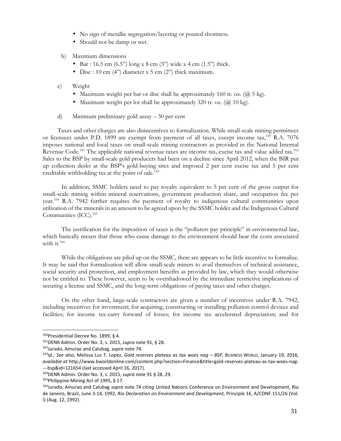- No sign of metallic segregation/layering or poured shortness.
- Should not be damp or wet.

#### b) Maximum dimensions

- Bar : 16.5 cm  $(6.5")$  long x 8 cm  $(3")$  wide x 4 cm  $(1.5")$  thick.
- Disc : 10 cm  $(4)$  diameter x 5 cm  $(2)$  thick maximum.

#### c) Weight

- Maximum weight per bar or disc shall be approximately 160 tr. oz.  $(\bar{a})$  5 kg).
- Maximum weight per lot shall be approximately 320 tr. oz.  $(Q\ 10\ \text{kg})$ .
- d) Minimum preliminary gold assay 30 per cent

 Taxes and other charges are also disincentives to formalization. While small-scale mining permittees or licensees under P.D. 1899 are exempt from payment of all taxes, except income tax,<sup>160</sup> R.A. 7076 imposes national and local taxes on small-scale mining contractors as provided in the National Internal Revenue Code.<sup>161</sup> The applicable national revenue taxes are income tax, excise tax and value added tax.<sup>162</sup> Sales to the BSP by small-scale gold producers had been on a decline since April 2012, when the BIR put up collection desks at the BSP's gold-buying sites and imposed 2 per cent excise tax and 5 per cent creditable withholding tax at the point of sale.<sup>163</sup>

 In addition, SSMC holders need to pay royalty equivalent to 5 per cent of the gross output for small-scale mining within mineral reservations, government production share, and occupation fee per year.<sup>164</sup> R.A. 7942 further requires the payment of royalty to indigenous cultural communities upon utilization of the minerals in an amount to be agreed upon by the SSMC holder and the Indigenous Cultural Communities (ICC).<sup>165</sup>

 The justification for the imposition of taxes is the "polluters pay principle" in environmental law, which basically means that those who cause damage to the environment should bear the costs associated with it.<sup>166</sup>

 While the obligations are piled up on the SSMC, there are appears to be little incentive to formalize. It may be said that formalization will allow small-scale miners to avail themselves of technical assistance, social security and protection, and employment benefits as provided by law, which they would otherwise not be entitled to. These however, seem to be overshadowed by the immediate restrictive implications of securing a license and SSMC, and the long-term obligations of paying taxes and other charges.

 On the other hand, large-scale contractors are given a number of incentives under R.A. 7942, including incentives for investment; for acquiring, constructing or installing pollution control devices and facilities; for income tax-carry forward of losses; for income tax accelerated depreciation; and for

<sup>160</sup> Presidential Decree No. 1899, § 4.

<sup>161</sup>DENR Admin. Order No. 3, s. 2015, *supra* note 91, § 28.

<sup>162</sup>Jurado, Amurao and Calubag, *supra* note 74.

<sup>163</sup>*Id.; See also*, Melissa Luz T. Lopez, *Gold reserves plateau as tax woes nag – BSP*, BUSINESS WORLD, January 19, 2016, *available at* http://www.bworldonline.com/content.php?section=Finance&title=gold-reserves-plateau-as-tax-woes-nag- ---bsp&id=121654 (last accessed April 16, 2017).

<sup>164</sup>DENR Admin. Order No. 3, s. 2015, *supra* note 91 § 28, 29.

<sup>165</sup>Philippine Mining Act of 1995, § 17.

<sup>166</sup>Jurado, Amurao and Calubag *supra* note 74 *citing* United Nations Conference on Environment and Development, Rio de Janeiro, Brazil, June 3-14, 1992, *Rio Declaration on Environment and Development,* Principle 16, A/CONF.151/26 (Vol. I) (Aug. 12, 1992).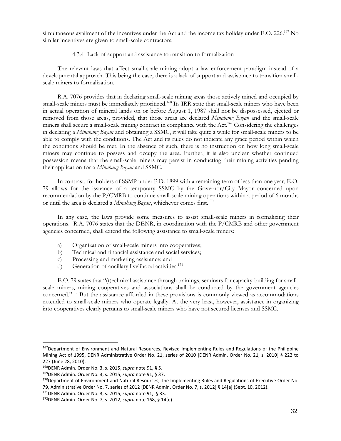simultaneous availment of the incentives under the Act and the income tax holiday under E.O. 226.<sup>167</sup> No similar incentives are given to small-scale contractors.

#### 4.3.4 Lack of support and assistance to transition to formalization

 The relevant laws that affect small-scale mining adopt a law enforcement paradigm instead of a developmental approach. This being the case, there is a lack of support and assistance to transition smallscale miners to formalization.

 R.A. 7076 provides that in declaring small-scale mining areas those actively mined and occupied by small-scale miners must be immediately prioritized.<sup>168</sup> Its IRR state that small-scale miners who have been in actual operation of mineral lands on or before August 1, 1987 shall not be dispossessed, ejected or removed from those areas, provided, that those areas are declared *Minahang Bayan* and the small-scale miners shall secure a small-scale mining contract in compliance with the Act.<sup>169</sup> Considering the challenges in declaring a *Minahang Bayan* and obtaining a SSMC, it will take quite a while for small-scale miners to be able to comply with the conditions. The Act and its rules do not indicate any grace period within which the conditions should be met. In the absence of such, there is no instruction on how long small-scale miners may continue to possess and occupy the area. Further, it is also unclear whether continued possession means that the small-scale miners may persist in conducting their mining activities pending their application for a *Minahang Bayan* and SSMC.

 In contrast, for holders of SSMP under P.D. 1899 with a remaining term of less than one year, E.O. 79 allows for the issuance of a temporary SSMC by the Governor/City Mayor concerned upon recommendation by the P/CMRB to continue small-scale mining operations within a period of 6 months or until the area is declared a *Minahang Bayan*, whichever comes first.<sup>170</sup>

 In any case, the laws provide some measures to assist small-scale miners in formalizing their operations. R.A. 7076 states that the DENR, in coordination with the P/CMRB and other government agencies concerned, shall extend the following assistance to small-scale miners:

- a) Organization of small-scale miners into cooperatives;
- b) Technical and financial assistance and social services;
- c) Processing and marketing assistance; and
- d) Generation of ancillary livelihood activities.<sup>171</sup>

 E.O. 79 states that "(t)echnical assistance through trainings, seminars for capacity-building for smallscale miners, mining cooperatives and associations shall be conducted by the government agencies concerned."<sup>172</sup> But the assistance afforded in these provisions is commonly viewed as accommodations extended to small-scale miners who operate legally. At the very least, however, assistance in organizing into cooperatives clearly pertains to small-scale miners who have not secured licenses and SSMC.

<sup>167</sup> Department of Environment and Natural Resources, Revised Implementing Rules and Regulations of the Philippine Mining Act of 1995, DENR Administrative Order No. 21, series of 2010 [DENR Admin. Order No. 21, s. 2010] § 222 to 227 (June 28, 2010).

<sup>168</sup>DENR Admin. Order No. 3, s. 2015, *supra* note 91, § 5.

<sup>169</sup>DENR Admin. Order No. 3, s. 2015, *supra* note 91, § 37.

<sup>170</sup> Department of Environment and Natural Resources, The Implementing Rules and Regulations of Executive Order No. 79, Administrative Order No. 7, series of 2012 [DENR Admin. Order No. 7, s. 2012] § 14[a] (Sept. 10, 2012).

<sup>171</sup>DENR Admin. Order No. 3, s. 2015, *supra* note 91, § 33.

<sup>172</sup>DENR Admin. Order No. 7, s. 2012, *supra* note 168, § 14(e)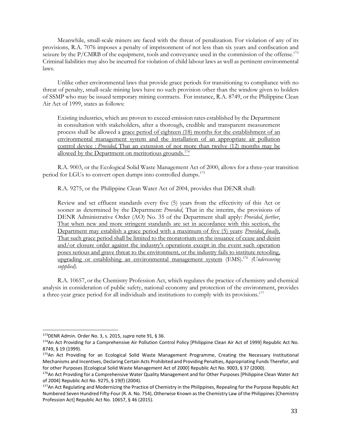Meanwhile, small-scale miners are faced with the threat of penalization. For violation of any of its provisions, R.A. 7076 imposes a penalty of imprisonment of not less than six years and confiscation and seizure by the P/CMRB of the equipment, tools and conveyance used in the commission of the offense.<sup>173</sup> Criminal liabilities may also be incurred for violation of child labour laws as well as pertinent environmental laws.

 Unlike other environmental laws that provide grace periods for transitioning to compliance with no threat of penalty, small-scale mining laws have no such provision other than the window given to holders of SSMP who may be issued temporary mining contracts. For instance, R.A. 8749, or the Philippine Clean Air Act of 1999, states as follows:

Existing industries, which are proven to exceed emission rates established by the Department in consultation with stakeholders, after a thorough, credible and transparent measurement process shall be allowed a grace period of eighteen (18) months for the establishment of an environmental management system and the installation of an appropriate air pollution control device : *Provided,* That an extension of not more than twelve (12) months may be allowed by the Department on meritorious grounds.<sup>174</sup>

 R.A. 9003, or the Ecological Solid Waste Management Act of 2000, allows for a three-year transition period for LGUs to convert open dumps into controlled dumps.<sup>175</sup>

R.A. 9275, or the Philippine Clean Water Act of 2004, provides that DENR shall:

Review and set effluent standards every five (5) years from the effectivity of this Act or sooner as determined by the Department: *Provided*, That in the interim, the provisions of DENR Administrative Order (AO) No. 35 of the Department shall apply: *Provided*, *further*, That when new and more stringent standards are set in accordance with this section, the Department may establish a grace period with a maximum of five (5) years: *Provided*, *finally*, That such grace period shall be limited to the moratorium on the issuance of cease and desist and/or closure order against the industry's operations except in the event such operation poses serious and grave threat to the environment, or the industry fails to institute retooling, upgrading or establishing an environmental management system (EMS).<sup>176</sup> *(Underscoring supplied).*

 R.A. 10657, or the Chemistry Profession Act, which regulates the practice of chemistry and chemical analysis in consideration of public safety, national economy and protection of the environment, provides a three-year grace period for all individuals and institutions to comply with its provisions.<sup>177</sup>

<sup>173</sup>DENR Admin. Order No. 3, s. 2015, *supra* note 91, § 36.

<sup>174</sup>An Act Providing for a Comprehensive Air Pollution Control Policy [Philippine Clean Air Act of 1999] Republic Act No. 8749, § 19 (1999).

<sup>175</sup>An Act Providing for an Ecological Solid Waste Management Programme, Creating the Necessary Institutional Mechanisms and Incentives, Declaring Certain Acts Prohibited and Providing Penalties, Appropriating Funds Therefor, and for other Purposes [Ecological Solid Waste Management Act of 2000] Republic Act No. 9003, § 37 (2000).

<sup>176</sup>An Act Providing for a Comprehensive Water Quality Management and for Other Purposes [Philippine Clean Water Act of 2004] Republic Act No. 9275, § 19(f) (2004).

<sup>177</sup>An Act Regulating and Modernizing the Practice of Chemistry in the Philippines, Repealing for the Purpose Republic Act Numbered Seven Hundred Fifty-Four (R. A. No. 754), Otherwise Known as the Chemistry Law of the Philippines [Chemistry Profession Act] Republic Act No. 10657, § 46 (2015).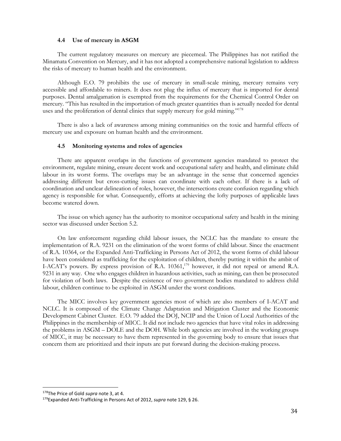#### **4.4 Use of mercury in ASGM**

The current regulatory measures on mercury are piecemeal. The Philippines has not ratified the Minamata Convention on Mercury, and it has not adopted a comprehensive national legislation to address the risks of mercury to human health and the environment.

 Although E.O. 79 prohibits the use of mercury in small-scale mining, mercury remains very accessible and affordable to miners. It does not plug the influx of mercury that is imported for dental purposes. Dental amalgamation is exempted from the requirements for the Chemical Control Order on mercury. "This has resulted in the importation of much greater quantities than is actually needed for dental uses and the proliferation of dental clinics that supply mercury for gold mining."<sup>178</sup>

 There is also a lack of awareness among mining communities on the toxic and harmful effects of mercury use and exposure on human health and the environment.

#### **4.5 Monitoring systems and roles of agencies**

 There are apparent overlaps in the functions of government agencies mandated to protect the environment, regulate mining, ensure decent work and occupational safety and health, and eliminate child labour in its worst forms. The overlaps may be an advantage in the sense that concerned agencies addressing different but cross-cutting issues can coordinate with each other. If there is a lack of coordination and unclear delineation of roles, however, the intersections create confusion regarding which agency is responsible for what. Consequently, efforts at achieving the lofty purposes of applicable laws become watered down.

 The issue on which agency has the authority to monitor occupational safety and health in the mining sector was discussed under Section 5.2.

 On law enforcement regarding child labour issues, the NCLC has the mandate to ensure the implementation of R.A. 9231 on the elimination of the worst forms of child labour. Since the enactment of R.A. 10364, or the Expanded Anti-Trafficking in Persons Act of 2012, the worst forms of child labour have been considered as trafficking for the exploitation of children, thereby putting it within the ambit of I-ACAT's powers. By express provision of R.A. 10361,<sup>179</sup> however, it did not repeal or amend R.A. 9231 in any way. One who engages children in hazardous activities, such as mining, can then be prosecuted for violation of both laws. Despite the existence of two government bodies mandated to address child labour, children continue to be exploited in ASGM under the worst conditions.

 The MICC involves key government agencies most of which are also members of I-ACAT and NCLC. It is composed of the Climate Change Adaptation and Mitigation Cluster and the Economic Development Cabinet Cluster. E.O. 79 added the DOJ, NCIP and the Union of Local Authorities of the Philippines in the membership of MICC. It did not include two agencies that have vital roles in addressing the problems in ASGM – DOLE and the DOH. While both agencies are involved in the working groups of MICC, it may be necessary to have them represented in the governing body to ensure that issues that concern them are prioritized and their inputs are put forward during the decision-making process.

<sup>178</sup>The Price of Gold *supra* note 3, at 4.

<sup>179</sup>Expanded Anti-Trafficking in Persons Act of 2012, *supra* note 129, § 26.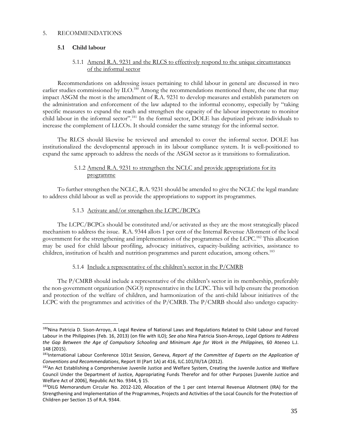## 5. RECOMMENDATIONS

## **5.1 Child labour**

 $\overline{a}$ 

## 5.1.1 Amend R.A. 9231 and the RLCS to effectively respond to the unique circumstances of the informal sector

 Recommendations on addressing issues pertaining to child labour in general are discussed in two earlier studies commissioned by ILO.<sup>180</sup> Among the recommendations mentioned there, the one that may impact ASGM the most is the amendment of R.A. 9231 to develop measures and establish parameters on the administration and enforcement of the law adapted to the informal economy, especially by "taking specific measures to expand the reach and strengthen the capacity of the labour inspectorate to monitor child labour in the informal sector".<sup>181</sup> In the formal sector, DOLE has deputized private individuals to increase the complement of LLCOs. It should consider the same strategy for the informal sector.

 The RLCS should likewise be reviewed and amended to cover the informal sector. DOLE has institutionalized the developmental approach in its labour compliance system. It is well-positioned to expand the same approach to address the needs of the ASGM sector as it transitions to formalization.

## 5.1.2 Amend R.A. 9231 to strengthen the NCLC and provide appropriations for its programme

 To further strengthen the NCLC, R.A. 9231 should be amended to give the NCLC the legal mandate to address child labour as well as provide the appropriations to support its programmes.

## 5.1.3 Activate and/or strengthen the LCPC/BCPCs

 The LCPC/BCPCs should be constituted and/or activated as they are the most strategically placed mechanism to address the issue. R.A. 9344 allots 1 per cent of the Internal Revenue Allotment of the local government for the strengthening and implementation of the programmes of the LCPC.<sup>182</sup> This allocation may be used for child labour profiling, advocacy initiatives, capacity-building activities, assistance to children, institution of health and nutrition programmes and parent education, among others.<sup>183</sup>

## 5.1.4 Include a representative of the children's sector in the P/CMRB

 The P/CMRB should include a representative of the children's sector in its membership, preferably the non-government organization (NGO) representative in the LCPC. This will help ensure the promotion and protection of the welfare of children, and harmonization of the anti-child labour initiatives of the LCPC with the programmes and activities of the P/CMRB. The P/CMRB should also undergo capacity-

<sup>&</sup>lt;sup>180</sup>Nina Patricia D. Sison-Arroyo, A Legal Review of National Laws and Regulations Related to Child Labour and Forced Labour in the Philippines (Feb. 16, 2013) (on file with ILO); *See also* Nina Patricia Sison-Arroyo, *Legal Options to Address the Gap Between the Age of Compulsory Schooling and Minimum Age for Work in the Philippines,* 60 Ateneo L.J. 148 (2015).

<sup>181</sup>International Labour Conference 101st Session, Geneva, *Report of the Committee of Experts on the Application of Conventions and Recommendations*, Report III (Part 1A) at 416, ILC.101/III/1A (2012).

<sup>182</sup>An Act Establishing a Comprehensive Juvenile Justice and Welfare System, Creating the Juvenile Justice and Welfare Council Under the Department of Justice, Appropriating Funds Therefor and for other Purposes [Juvenile Justice and Welfare Act of 2006], Republic Act No. 9344, § 15.

<sup>183</sup>DILG Memorandum Circular No. 2012-120, Allocation of the 1 per cent Internal Revenue Allotment (IRA) for the Strengthening and Implementation of the Programmes, Projects and Activities of the Local Councils for the Protection of Children per Section 15 of R.A. 9344.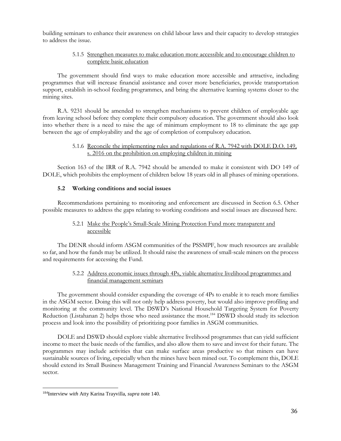building seminars to enhance their awareness on child labour laws and their capacity to develop strategies to address the issue.

## 5.1.5 Strengthen measures to make education more accessible and to encourage children to complete basic education

 The government should find ways to make education more accessible and attractive, including programmes that will increase financial assistance and cover more beneficiaries, provide transportation support, establish in-school feeding programmes, and bring the alternative learning systems closer to the mining sites.

 R.A. 9231 should be amended to strengthen mechanisms to prevent children of employable age from leaving school before they complete their compulsory education. The government should also look into whether there is a need to raise the age of minimum employment to 18 to eliminate the age gap between the age of employability and the age of completion of compulsory education.

#### 5.1.6 Reconcile the implementing rules and regulations of R.A. 7942 with DOLE D.O. 149, s. 2016 on the prohibition on employing children in mining

 Section 163 of the IRR of R.A. 7942 should be amended to make it consistent with DO 149 of DOLE, which prohibits the employment of children below 18 years old in all phases of mining operations.

## **5.2 Working conditions and social issues**

 Recommendations pertaining to monitoring and enforcement are discussed in Section 6.5. Other possible measures to address the gaps relating to working conditions and social issues are discussed here.

## 5.2.1 Make the People's Small-Scale Mining Protection Fund more transparent and accessible

 The DENR should inform ASGM communities of the PSSMPF, how much resources are available so far, and how the funds may be utilized. It should raise the awareness of small-scale miners on the process and requirements for accessing the Fund.

#### 5.2.2 Address economic issues through 4Ps, viable alternative livelihood programmes and financial management seminars

 The government should consider expanding the coverage of 4Ps to enable it to reach more families in the ASGM sector. Doing this will not only help address poverty, but would also improve profiling and monitoring at the community level. The DSWD's National Household Targeting System for Poverty Reduction (Listahanan 2) helps those who need assistance the most.<sup>184</sup> DSWD should study its selection process and look into the possibility of prioritizing poor families in ASGM communities.

 DOLE and DSWD should explore viable alternative livelihood programmes that can yield sufficient income to meet the basic needs of the families, and also allow them to save and invest for their future. The programmes may include activities that can make surface areas productive so that miners can have sustainable sources of living, especially when the mines have been mined out. To complement this, DOLE should extend its Small Business Management Training and Financial Awareness Seminars to the ASGM sector.

<sup>184</sup>Interview *with* Atty Karina Trayvilla, *supra* note 140.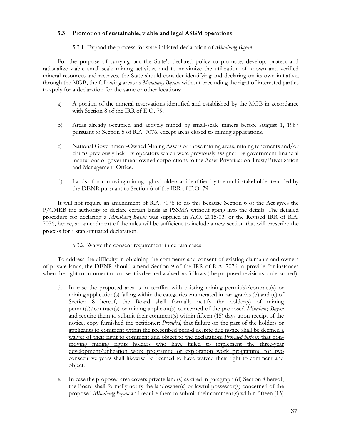# **5.3 Promotion of sustainable, viable and legal ASGM operations**

# 5.3.1 Expand the process for state-initiated declaration of *Minahang Bayan*

 For the purpose of carrying out the State's declared policy to promote, develop, protect and rationalize viable small-scale mining activities and to maximize the utilization of known and verified mineral resources and reserves, the State should consider identifying and declaring on its own initiative, through the MGB, the following areas as *Minahang Bayan,* without precluding the right of interested parties to apply for a declaration for the same or other locations:

- a) A portion of the mineral reservations identified and established by the MGB in accordance with Section 8 of the IRR of E.O. 79.
- b) Areas already occupied and actively mined by small-scale miners before August 1, 1987 pursuant to Section 5 of R.A. 7076, except areas closed to mining applications.
- c) National Government-Owned Mining Assets or those mining areas, mining tenements and/or claims previously held by operators which were previously assigned by government financial institutions or government-owned corporations to the Asset Privatization Trust/Privatization and Management Office.
- d) Lands of non-moving mining rights holders as identified by the multi-stakeholder team led by the DENR pursuant to Section 6 of the IRR of E.O. 79.

 It will not require an amendment of R.A. 7076 to do this because Section 6 of the Act gives the P/CMRB the authority to declare certain lands as PSSMA without going into the details. The detailed procedure for declaring a *Minahang Bayan* was supplied in A.O. 2015-03, or the Revised IRR of R.A. 7076, hence, an amendment of the rules will be sufficient to include a new section that will prescribe the process for a state-initiated declaration.

## 5.3.2 Waive the consent requirement in certain cases

 To address the difficulty in obtaining the comments and consent of existing claimants and owners of private lands, the DENR should amend Section 9 of the IRR of R.A. 7076 to provide for instances when the right to comment or consent is deemed waived, as follows (the proposed revisions underscored):

- d. In case the proposed area is in conflict with existing mining permit(s)/contract(s) or mining application(s) falling within the categories enumerated in paragraphs (b) and (c) of Section 8 hereof, the Board shall formally notify the holder(s) of mining permit(s)/contract(s) or mining applicant(s) concerned of the proposed *Minahang Bayan* and require them to submit their comment(s) within fifteen (15) days upon receipt of the notice, copy furnished the petitioner; *Provided*, that failure on the part of the holders or applicants to comment within the prescribed period despite due notice shall be deemed a waiver of their right to comment and object to the declaration; *Provided further*, that nonmoving mining rights holders who have failed to implement the three-year development/utilization work programne or exploration work programme for two consecutive years shall likewise be deemed to have waived their right to comment and object.
- e. In case the proposed area covers private land(s) as cited in paragraph (d) Section 8 hereof, the Board shall formally notify the landowner(s) or lawful possessor(s) concerned of the proposed *Minahang Bayan* and require them to submit their comment(s) within fifteen (15)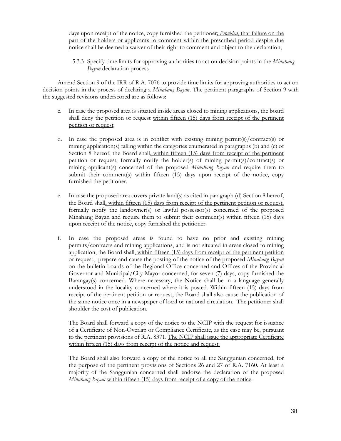days upon receipt of the notice, copy furnished the petitioner; *Provided*, that failure on the part of the holders or applicants to comment within the prescribed period despite due notice shall be deemed a waiver of their right to comment and object to the declaration;

5.3.3 Specify time limits for approving authorities to act on decision points in the *Minahang Bayan* declaration process

 Amend Section 9 of the IRR of R.A. 7076 to provide time limits for approving authorities to act on decision points in the process of declaring a *Minahang Bayan*. The pertinent paragraphs of Section 9 with the suggested revisions underscored are as follows:

- c. In case the proposed area is situated inside areas closed to mining applications, the board shall deny the petition or request within fifteen (15) days from receipt of the pertinent petition or request.
- d. In case the proposed area is in conflict with existing mining permit(s)/contract(s) or mining application(s) falling within the categories enumerated in paragraphs (b) and (c) of Section 8 hereof, the Board shall, within fifteen (15) days from receipt of the pertinent petition or request, formally notify the holder(s) of mining permit(s)/contract(s) or mining applicant(s) concerned of the proposed *Minahang Bayan* and require them to submit their comment(s) within fifteen (15) days upon receipt of the notice, copy furnished the petitioner.
- e. In case the proposed area covers private land(s) as cited in paragraph (d) Section 8 hereof, the Board shall, within fifteen (15) days from receipt of the pertinent petition or request, formally notify the landowner(s) or lawful possessor(s) concerned of the proposed Minahang Bayan and require them to submit their comment(s) within fifteen (15) days upon receipt of the notice, copy furnished the petitioner.
- f. In case the proposed areas is found to have no prior and existing mining permits/contracts and mining applications, and is not situated in areas closed to mining application, the Board shall, within fifteen (15) days from receipt of the pertinent petition or request, prepare and cause the posting of the notice of the proposed *Minahang Bayan*  on the bulletin boards of the Regional Office concerned and Offices of the Provincial Governor and Municipal/City Mayor concerned, for seven (7) days, copy furnished the Barangay(s) concerned. Where necessary, the Notice shall be in a language generally understood in the locality concerned where it is posted. Within fifteen (15) days from receipt of the pertinent petition or request, the Board shall also cause the publication of the same notice once in a newspaper of local or national circulation. The petitioner shall shoulder the cost of publication.

 The Board shall forward a copy of the notice to the NCIP with the request for issuance of a Certificate of Non-Overlap or Compliance Certificate, as the case may be, pursuant to the pertinent provisions of R.A. 8371. The NCIP shall issue the appropriate Certificate within fifteen (15) days from receipt of the notice and request.

 The Board shall also forward a copy of the notice to all the Sanggunian concerned, for the purpose of the pertinent provisions of Sections 26 and 27 of R.A. 7160. At least a majority of the Sanggunian concerned shall endorse the declaration of the proposed *Minahang Bayan* within fifteen (15) days from receipt of a copy of the notice.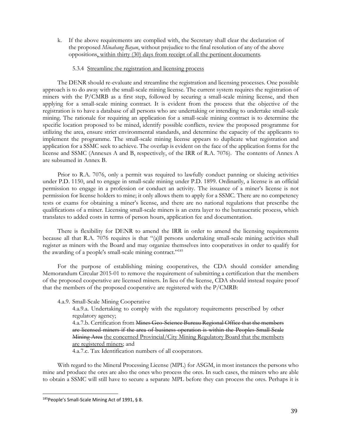k. If the above requirements are complied with, the Secretary shall clear the declaration of the proposed *Minahang Bayan*, without prejudice to the final resolution of any of the above oppositions, within thirty (30) days from receipt of all the pertinent documents.

#### 5.3.4 Streamline the registration and licensing process

 The DENR should re-evaluate and streamline the registration and licensing processes. One possible approach is to do away with the small-scale mining license. The current system requires the registration of miners with the P/CMRB as a first step, followed by securing a small-scale mining license, and then applying for a small-scale mining contract. It is evident from the process that the objective of the registration is to have a database of all persons who are undertaking or intending to undertake small-scale mining. The rationale for requiring an application for a small-scale mining contract is to determine the specific location proposed to be mined, identify possible conflicts, review the proposed programme for utilizing the area, ensure strict environmental standards, and determine the capacity of the applicants to implement the programme. The small-scale mining license appears to duplicate what registration and application for a SSMC seek to achieve. The overlap is evident on the face of the application forms for the license and SSMC (Annexes A and B, respectively, of the IRR of R.A. 7076). The contents of Annex A are subsumed in Annex B.

 Prior to R.A. 7076, only a permit was required to lawfully conduct panning or sluicing activities under P.D. 1150, and to engage in small-scale mining under P.D. 1899. Ordinarily, a license is an official permission to engage in a profession or conduct an activity. The issuance of a miner's license is not permission for license holders to mine; it only allows them to apply for a SSMC. There are no competency tests or exams for obtaining a miner's license, and there are no national regulations that prescribe the qualifications of a miner. Licensing small-scale miners is an extra layer to the bureaucratic process, which translates to added costs in terms of person hours, application fee and documentation.

 There is flexibility for DENR to amend the IRR in order to amend the licensing requirements because all that R.A. 7076 requires is that "(a)ll persons undertaking small-scale mining activities shall register as miners with the Board and may organize themselves into cooperatives in order to qualify for the awarding of a people's small-scale mining contract."<sup>185</sup>

 For the purpose of establishing mining cooperatives, the CDA should consider amending Memorandum Circular 2015-01 to remove the requirement of submitting a certification that the members of the proposed cooperative are licensed miners. In lieu of the license, CDA should instead require proof that the members of the proposed cooperative are registered with the P/CMRB:

4.a.9. Small-Scale Mining Cooperative

 4.a.9.a. Undertaking to comply with the regulatory requirements prescribed by other regulatory agency;

4.a.7.b. Certification from Mines Geo-Science Bureau Regional Office that the members are licensed miners if the area of business operation is within the Peoples Small-Scale Mining Area the concerned Provincial/City Mining Regulatory Board that the members are registered miners; and

4.a.7.c. Tax Identification numbers of all cooperators.

 With regard to the Mineral Processing License (MPL) for ASGM, in most instances the persons who mine and produce the ores are also the ones who process the ores. In such cases, the miners who are able to obtain a SSMC will still have to secure a separate MPL before they can process the ores. Perhaps it is

<sup>185</sup> People's Small-Scale Mining Act of 1991, § 8.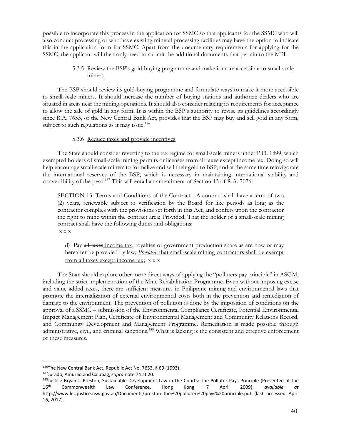possible to incorporate this process in the application for SSMC so that applicants for the SSMC who will also conduct processing or who have existing mineral processing facilities may have the option to indicate this in the application form for SSMC. Apart from the documentary requirements for applying for the SSMC, the applicant will then only need to submit the additional documents that pertain to the MPL.

# 5.3.5 Review the BSP's gold-buying programme and make it more accessible to small-scale miners

 The BSP should review its gold-buying programme and formulate ways to make it more accessible to small-scale miners. It should increase the number of buying stations and authorize dealers who are situated in areas near the mining operations. It should also consider relaxing its requirements for acceptance to allow the sale of gold in any form. It is within the BSP's authority to revise its guidelines accordingly since R.A. 7653, or the New Central Bank Act, provides that the BSP may buy and sell gold in any form, subject to such regulations as it may issue.<sup>186</sup>

#### 5.3.6 Reduce taxes and provide incentives

 The State should consider reverting to the tax regime for small-scale miners under P.D. 1899, which exempted holders of small-scale mining permits or licenses from all taxes except income tax. Doing so will help encourage small-scale miners to formalize and sell their gold to BSP, and at the same time reinvigorate the international reserves of the BSP, which is necessary in maintaining international stability and convertibility of the peso.<sup>187</sup> This will entail an amendment of Section 13 of R.A. 7076:

SECTION 13. Terms and Conditions of the Contract - A contract shall have a term of two (2) years, renewable subject to verification by the Board for like periods as long as the contractor complies with the provisions set forth in this Act, and confers upon the contractor the right to mine within the contract area: Provided, That the holder of a small-scale mining contract shall have the following duties and obligations: x x x

d) Pay all taxes income tax, royalties or government production share as are now or may hereafter be provided by law; *Provided*, that small-scale mining contractors shall be exempt from all taxes except income tax; x x x

 The State should explore other more direct ways of applying the "polluters pay principle" in ASGM, including the strict implementation of the Mine Rehabilitation Programme. Even without imposing excise and value added taxes, there are sufficient measures in Philippine mining and environmental laws that promote the internalization of external environmental costs both in the prevention and remediation of damage to the environment. The prevention of pollution is done by the imposition of conditions on the approval of a SSMC – submission of the Environmental Compliance Certificate, Potential Environmental Impact Management Plan, Certificate of Environmental Management and Community Relations Record, and Community Development and Management Programme. Remediation is made possible through administrative, civil, and criminal sanctions.<sup>188</sup> What is lacking is the consistent and effective enforcement of these measures.

 $\overline{a}$ 186The New Central Bank Act, Republic Act No. 7653, § 69 (1993).

<sup>187</sup>Jurado, Amurao and Calubag, *supra* note 74 at 20.

<sup>188</sup> Justice Bryan J. Preston, Sustainable Development Law in the Courts: The Polluter Pays Principle (Presented at the 16th Commonwealth Law Conference, Hong Kong, 7 April 2009), *available at* http://www.lec.justice.nsw.gov.au/Documents/preston\_the%20polluter%20pays%20principle.pdf (last accessed April 16, 2017).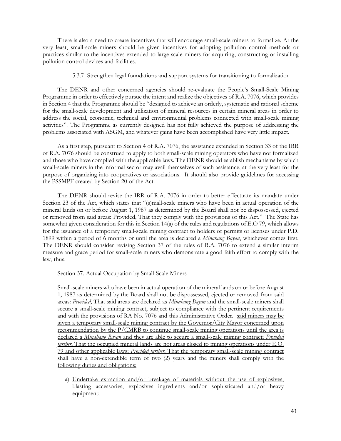There is also a need to create incentives that will encourage small-scale miners to formalize. At the very least, small-scale miners should be given incentives for adopting pollution control methods or practices similar to the incentives extended to large-scale miners for acquiring, constructing or installing pollution control devices and facilities.

#### 5.3.7 Strengthen legal foundations and support systems for transitioning to formalization

 The DENR and other concerned agencies should re-evaluate the People's Small-Scale Mining Programme in order to effectively pursue the intent and realize the objectives of R.A. 7076, which provides in Section 4 that the Programme should be "designed to achieve an orderly, systematic and rational scheme for the small-scale development and utilization of mineral resources in certain mineral areas in order to address the social, economic, technical and environmental problems connected with small-scale mining activities". The Programme as currently designed has not fully achieved the purpose of addressing the problems associated with ASGM, and whatever gains have been accomplished have very little impact.

 As a first step, pursuant to Section 4 of R.A. 7076, the assistance extended in Section 33 of the IRR of R.A. 7076 should be construed to apply to both small-scale mining operators who have not formalized and those who have complied with the applicable laws. The DENR should establish mechanisms by which small-scale miners in the informal sector may avail themselves of such assistance, at the very least for the purpose of organizing into cooperatives or associations. It should also provide guidelines for accessing the PSSMPF created by Section 20 of the Act.

 The DENR should revise the IRR of R.A. 7076 in order to better effectuate its mandate under Section 23 of the Act, which states that "(s)mall-scale miners who have been in actual operation of the mineral lands on or before August 1, 1987 as determined by the Board shall not be dispossessed, ejected or removed from said areas: Provided, That they comply with the provisions of this Act." The State has somewhat given consideration for this in Section 14(a) of the rules and regulations of E.O 79, which allows for the issuance of a temporary small-scale mining contract to holders of permits or licenses under P.D. 1899 within a period of 6 months or until the area is declared a *Minahang Bayan*, whichever comes first. The DENR should consider revising Section 37 of the rules of R.A. 7076 to extend a similar interim measure and grace period for small-scale miners who demonstrate a good faith effort to comply with the law, thus:

Section 37. Actual Occupation by Small-Scale Miners

Small-scale miners who have been in actual operation of the mineral lands on or before August 1, 1987 as determined by the Board shall not be dispossessed, ejected or removed from said areas: *Provided*, That said areas are declared as *Minahang Bayan* and the small-scale miners shall secure a small-scale mining contract, subject to compliance with the pertinent requirements and with the provisions of RA No. 7076 and this Administrative Order. said miners may be given a temporary small-scale mining contract by the Governor/City Mayor concerned upon recommendation by the P/CMRB to continue small-scale mining operations until the area is declared a *Minahang Bayan* and they are able to secure a small-scale mining contract; *Provided further*, That the occupied mineral lands are not areas closed to mining operations under E.O. 79 and other applicable laws; *Provided further*, That the temporary small-scale mining contract shall have a non-extendible term of two (2) years and the miners shall comply with the following duties and obligations:

a) Undertake extraction and/or breakage of materials without the use of explosives, blasting accessories, explosives ingredients and/or sophisticated and/or heavy equipment;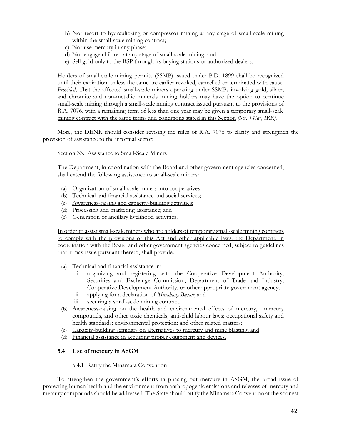- b) Not resort to hydraulicking or compressor mining at any stage of small-scale mining within the small-scale mining contract;
- c) Not use mercury in any phase;
- d) Not engage children at any stage of small-scale mining; and
- e) Sell gold only to the BSP through its buying stations or authorized dealers.

Holders of small-scale mining permits (SSMP) issued under P.D. 1899 shall be recognized until their expiration, unless the same are earlier revoked, cancelled or terminated with cause: *Provided*, That the affected small-scale miners operating under SSMPs involving gold, silver, and chromite and non-metallic minerals mining holders may have the option to continue small-scale mining through a small-scale mining contract issued pursuant to the provisions of R.A. 7076. with a remaining term of less than one year may be given a temporary small-scale mining contract with the same terms and conditions stated in this Section *(Sec. 14[a], IRR).*

 More, the DENR should consider revising the rules of R.A. 7076 to clarify and strengthen the provision of assistance to the informal sector:

Section 33. Assistance to Small-Scale Miners

The Department, in coordination with the Board and other government agencies concerned, shall extend the following assistance to small-scale miners:

(a) Organization of small-scale miners into cooperatives;

- (b) Technical and financial assistance and social services;
- (c) Awareness-raising and capacity-building activities;
- (d) Processing and marketing assistance; and
- (e) Generation of ancillary livelihood activities.

In order to assist small-scale miners who are holders of temporary small-scale mining contracts to comply with the provisions of this Act and other applicable laws, the Department, in coordination with the Board and other government agencies concerned, subject to guidelines that it may issue pursuant thereto, shall provide:

- (a) Technical and financial assistance in:
	- i. organizing and registering with the Cooperative Development Authority, Securities and Exchange Commission, Department of Trade and Industry, Cooperative Development Authority, or other appropriate government agency;
	- ii. applying for a declaration of *Minahang Bayan*; and
	- iii. securing a small-scale mining contract.
- (b) Awareness-raising on the health and environmental effects of mercury, mercury compounds, and other toxic chemicals; anti-child labour laws; occupational safety and health standards; environmental protection; and other related matters;
- (c) Capacity-building seminars on alternatives to mercury and mine blasting; and
- (d) Financial assistance in acquiring proper equipment and devices.

## **5.4 Use of mercury in ASGM**

## 5.4.1 Ratify the Minamata Convention

 To strengthen the government's efforts in phasing out mercury in ASGM, the broad issue of protecting human health and the environment from anthropogenic emissions and releases of mercury and mercury compounds should be addressed. The State should ratify the Minamata Convention at the soonest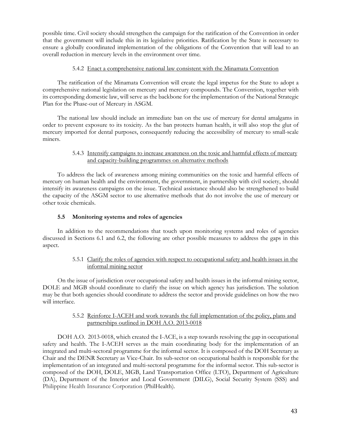possible time. Civil society should strengthen the campaign for the ratification of the Convention in order that the government will include this in its legislative priorities. Ratification by the State is necessary to ensure a globally coordinated implementation of the obligations of the Convention that will lead to an overall reduction in mercury levels in the environment over time.

# 5.4.2 Enact a comprehensive national law consistent with the Minamata Convention

 The ratification of the Minamata Convention will create the legal impetus for the State to adopt a comprehensive national legislation on mercury and mercury compounds. The Convention, together with its corresponding domestic law, will serve as the backbone for the implementation of the National Strategic Plan for the Phase-out of Mercury in ASGM.

 The national law should include an immediate ban on the use of mercury for dental amalgams in order to prevent exposure to its toxicity. As the ban protects human health, it will also stop the glut of mercury imported for dental purposes, consequently reducing the accessibility of mercury to small-scale miners.

# 5.4.3 Intensify campaigns to increase awareness on the toxic and harmful effects of mercury and capacity-building programmes on alternative methods

 To address the lack of awareness among mining communities on the toxic and harmful effects of mercury on human health and the environment, the government, in partnership with civil society, should intensify its awareness campaigns on the issue. Technical assistance should also be strengthened to build the capacity of the ASGM sector to use alternative methods that do not involve the use of mercury or other toxic chemicals.

# **5.5 Monitoring systems and roles of agencies**

 In addition to the recommendations that touch upon monitoring systems and roles of agencies discussed in Sections 6.1 and 6.2, the following are other possible measures to address the gaps in this aspect.

# 5.5.1 Clarify the roles of agencies with respect to occupational safety and health issues in the informal mining sector

 On the issue of jurisdiction over occupational safety and health issues in the informal mining sector, DOLE and MGB should coordinate to clarify the issue on which agency has jurisdiction. The solution may be that both agencies should coordinate to address the sector and provide guidelines on how the two will interface.

# 5.5.2 Reinforce I-ACEH and work towards the full implementation of the policy, plans and partnerships outlined in DOH A.O. 2013-0018

 DOH A.O. 2013-0018, which created the I-ACE, is a step towards resolving the gap in occupational safety and health. The I-ACEH serves as the main coordinating body for the implementation of an integrated and multi-sectoral programme for the informal sector. It is composed of the DOH Secretary as Chair and the DENR Secretary as Vice-Chair. Its sub-sector on occupational health is responsible for the implementation of an integrated and multi-sectoral programme for the informal sector. This sub-sector is composed of the DOH, DOLE, MGB, Land Transportation Office (LTO), Department of Agriculture (DA), Department of the Interior and Local Government (DILG), Social Security System (SSS) and Philippine Health Insurance Corporation (PhilHealth).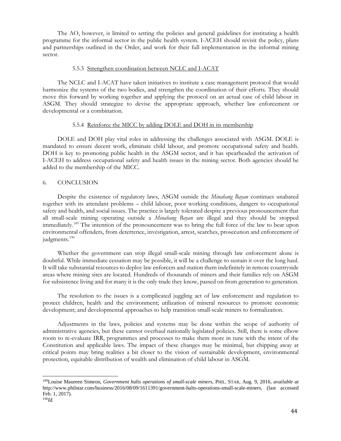The AO, however, is limited to setting the policies and general guidelines for instituting a health programme for the informal sector in the public health system. I-ACEH should revisit the policy, plans and partnerships outlined in the Order, and work for their full implementation in the informal mining sector.

#### 5.5.3 Strengthen coordination between NCLC and I-ACAT

 The NCLC and I-ACAT have taken initiatives to institute a case management protocol that would harmonize the systems of the two bodies, and strengthen the coordination of their efforts. They should move this forward by working together and applying the protocol on an actual case of child labour in ASGM. They should strategize to devise the appropriate approach, whether law enforcement or developmental or a combination.

#### 5.5.4 Reinforce the MICC by adding DOLE and DOH in its membership

 DOLE and DOH play vital roles in addressing the challenges associated with ASGM. DOLE is mandated to ensure decent work, eliminate child labour, and promote occupational safety and health. DOH is key to promoting public health in the ASGM sector, and it has spearheaded the activation of I-ACEH to address occupational safety and health issues in the mining sector. Both agencies should be added to the membership of the MICC.

#### 6. CONCLUSION

 $\overline{a}$ 

 Despite the existence of regulatory laws, ASGM outside the *Minahang Bayan* continues unabated together with its attendant problems – child labour, poor working conditions, dangers to occupational safety and health, and social issues. The practice is largely tolerated despite a previous pronouncement that all small-scale mining operating outside a *Minahang Bayan* are illegal and they should be stopped immediately.<sup>189</sup> The intention of the pronouncement was to bring the full force of the law to bear upon environmental offenders, from deterrence, investigation, arrest, searches, prosecution and enforcement of judgments.<sup>190</sup>

 Whether the government can stop illegal small-scale mining through law enforcement alone is doubtful. While immediate cessation may be possible, it will be a challenge to sustain it over the long haul. It will take substantial resources to deploy law enforcers and station them indefinitely in remote countryside areas where mining sites are located. Hundreds of thousands of miners and their families rely on ASGM for subsistence living and for many it is the only trade they know, passed on from generation to generation.

 The resolution to the issues is a complicated juggling act of law enforcement and regulation to protect children, health and the environment; utilization of mineral resources to promote economic development; and developmental approaches to help transition small-scale miners to formalization.

 Adjustments in the laws, policies and systems may be done within the scope of authority of administrative agencies, but these cannot overhaul nationally legislated policies. Still, there is some elbow room to re-evaluate IRR, programmes and processes to make them more in tune with the intent of the Constitution and applicable laws. The impact of these changes may be minimal, but chipping away at critical points may bring realities a bit closer to the vision of sustainable development, environmental protection, equitable distribution of wealth and elimination of child labour in ASGM.

<sup>189</sup>Louise Maureen Simeon, *Government halts operations of small-scale miners*, PHIL. STAR, Aug. 9, 2016, *available at* http://www.philstar.com/business/2016/08/09/1611391/government-halts-operations-small-scale-miners, (last accessed Feb. 1, 2017). 190*Id.*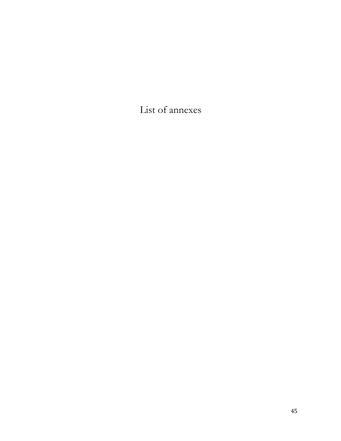List of annexes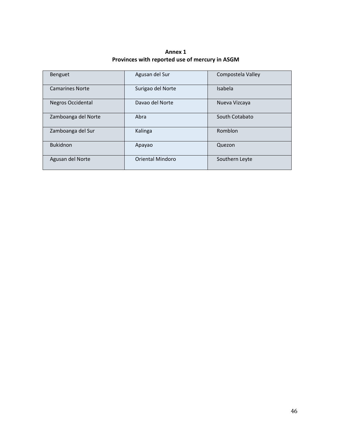**Annex 1 Provinces with reported use of mercury in ASGM** 

| Benguet                | Agusan del Sur    | Compostela Valley |
|------------------------|-------------------|-------------------|
| <b>Camarines Norte</b> | Surigao del Norte | Isabela           |
| Negros Occidental      | Davao del Norte   | Nueva Vizcaya     |
| Zamboanga del Norte    | Abra              | South Cotabato    |
| Zamboanga del Sur      | Kalinga           | Romblon           |
| <b>Bukidnon</b>        | Apayao            | Quezon            |
| Agusan del Norte       | Oriental Mindoro  | Southern Leyte    |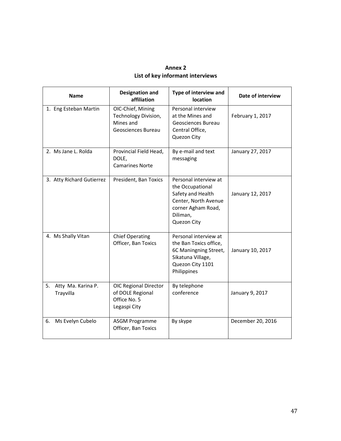| <b>Annex 2</b>                   |
|----------------------------------|
| List of key informant interviews |

| <b>Name</b>                           | <b>Designation and</b><br>affiliation                                            | Type of interview and<br>location                                                                                                       | Date of interview |
|---------------------------------------|----------------------------------------------------------------------------------|-----------------------------------------------------------------------------------------------------------------------------------------|-------------------|
| 1. Eng Esteban Martin                 | OIC-Chief, Mining<br>Technology Division,<br>Mines and<br>Geosciences Bureau     | Personal interview<br>at the Mines and<br>Geosciences Bureau<br>Central Office,<br>Quezon City                                          | February 1, 2017  |
| 2. Ms Jane L. Rolda                   | Provincial Field Head,<br>DOLE,<br><b>Camarines Norte</b>                        | By e-mail and text<br>messaging                                                                                                         | January 27, 2017  |
| 3. Atty Richard Gutierrez             | President, Ban Toxics                                                            | Personal interview at<br>the Occupational<br>Safety and Health<br>Center, North Avenue<br>corner Agham Road,<br>Diliman,<br>Quezon City | January 12, 2017  |
| 4. Ms Shally Vitan                    | <b>Chief Operating</b><br>Officer, Ban Toxics                                    | Personal interview at<br>the Ban Toxics office,<br>6C Maningning Street,<br>Sikatuna Village,<br>Quezon City 1101<br>Philippines        | January 10, 2017  |
| 5.<br>Atty Ma. Karina P.<br>Trayvilla | <b>OIC Regional Director</b><br>of DOLE Regional<br>Office No. 5<br>Legaspi City | By telephone<br>conference                                                                                                              | January 9, 2017   |
| Ms Evelyn Cubelo<br>6.                | <b>ASGM Programme</b><br>Officer, Ban Toxics                                     | By skype                                                                                                                                | December 20, 2016 |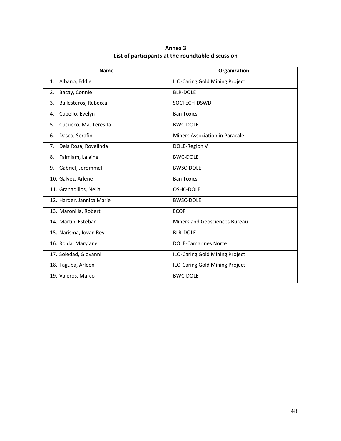| Annex 3                                           |
|---------------------------------------------------|
| List of participants at the roundtable discussion |

| <b>Name</b>                     | Organization                   |
|---------------------------------|--------------------------------|
| Albano, Eddie<br>$\mathbf{1}$ . | ILO-Caring Gold Mining Project |
| Bacay, Connie<br>2.             | <b>BLR-DOLF</b>                |
| 3.<br>Ballesteros, Rebecca      | SOCTECH-DSWD                   |
| Cubello, Evelyn<br>4.           | <b>Ban Toxics</b>              |
| 5.<br>Cucueco, Ma. Teresita     | <b>BWC-DOLE</b>                |
| Dasco, Serafin<br>6.            | Miners Association in Paracale |
| Dela Rosa, Rovelinda<br>7.      | DOLE-Region V                  |
| Faimlam, Lalaine<br>8.          | <b>BWC-DOLE</b>                |
| Gabriel, Jerommel<br>9.         | <b>BWSC-DOLE</b>               |
| 10. Galvez, Arlene              | <b>Ban Toxics</b>              |
| 11. Granadillos, Nelia          | OSHC-DOLE                      |
| 12. Harder, Jannica Marie       | <b>BWSC-DOLE</b>               |
| 13. Maronilla, Robert           | <b>ECOP</b>                    |
| 14. Martin, Esteban             | Miners and Geosciences Bureau  |
| 15. Narisma, Jovan Rey          | <b>BLR-DOLE</b>                |
| 16. Rolda. Maryjane             | <b>DOLE-Camarines Norte</b>    |
| 17. Soledad, Giovanni           | ILO-Caring Gold Mining Project |
| 18. Taguba, Arleen              | ILO-Caring Gold Mining Project |
| 19. Valeros, Marco              | <b>BWC-DOLE</b>                |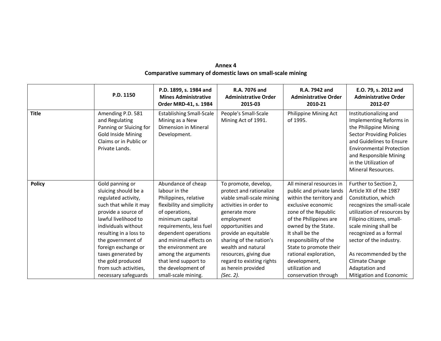| Annex 4                                                    |
|------------------------------------------------------------|
| Comparative summary of domestic laws on small-scale mining |

|               | P.D. 1150                                                                                                                                                                                                                                                                                                                        | P.D. 1899, s. 1984 and<br><b>Mines Administrative</b><br>Order MRD-41, s. 1984                                                                                                                                                                                                                                                  | R.A. 7076 and<br><b>Administrative Order</b><br>2015-03                                                                                                                                                                                                                                                                      | R.A. 7942 and<br><b>Administrative Order</b><br>2010-21                                                                                                                                                                                                                                                                                   | E.O. 79, s. 2012 and<br><b>Administrative Order</b><br>2012-07                                                                                                                                                                                                                                                                                 |
|---------------|----------------------------------------------------------------------------------------------------------------------------------------------------------------------------------------------------------------------------------------------------------------------------------------------------------------------------------|---------------------------------------------------------------------------------------------------------------------------------------------------------------------------------------------------------------------------------------------------------------------------------------------------------------------------------|------------------------------------------------------------------------------------------------------------------------------------------------------------------------------------------------------------------------------------------------------------------------------------------------------------------------------|-------------------------------------------------------------------------------------------------------------------------------------------------------------------------------------------------------------------------------------------------------------------------------------------------------------------------------------------|------------------------------------------------------------------------------------------------------------------------------------------------------------------------------------------------------------------------------------------------------------------------------------------------------------------------------------------------|
| <b>Title</b>  | Amending P.D. 581<br>and Regulating<br>Panning or Sluicing for<br><b>Gold Inside Mining</b><br>Claims or in Public or<br>Private Lands.                                                                                                                                                                                          | <b>Establishing Small-Scale</b><br>Mining as a New<br>Dimension in Mineral<br>Development.                                                                                                                                                                                                                                      | People's Small-Scale<br>Mining Act of 1991.                                                                                                                                                                                                                                                                                  | Philippine Mining Act<br>of 1995.                                                                                                                                                                                                                                                                                                         | Institutionalizing and<br>Implementing Reforms in<br>the Philippine Mining<br><b>Sector Providing Policies</b><br>and Guidelines to Ensure<br><b>Environmental Protection</b><br>and Responsible Mining<br>in the Utilization of<br>Mineral Resources.                                                                                         |
| <b>Policy</b> | Gold panning or<br>sluicing should be a<br>regulated activity,<br>such that while it may<br>provide a source of<br>lawful livelihood to<br>individuals without<br>resulting in a loss to<br>the government of<br>foreign exchange or<br>taxes generated by<br>the gold produced<br>from such activities,<br>necessary safeguards | Abundance of cheap<br>labour in the<br>Philippines, relative<br>flexibility and simplicity<br>of operations,<br>minimum capital<br>requirements, less fuel<br>dependent operations<br>and minimal effects on<br>the environment are<br>among the arguments<br>that lend support to<br>the development of<br>small-scale mining. | To promote, develop,<br>protect and rationalize<br>viable small-scale mining<br>activities in order to<br>generate more<br>employment<br>opportunities and<br>provide an equitable<br>sharing of the nation's<br>wealth and natural<br>resources, giving due<br>regard to existing rights<br>as herein provided<br>(Sec. 2). | All mineral resources in<br>public and private lands<br>within the territory and<br>exclusive economic<br>zone of the Republic<br>of the Philippines are<br>owned by the State.<br>It shall be the<br>responsibility of the<br>State to promote their<br>rational exploration,<br>development,<br>utilization and<br>conservation through | Further to Section 2,<br>Article XII of the 1987<br>Constitution, which<br>recognizes the small-scale<br>utilization of resources by<br>Filipino citizens, small-<br>scale mining shall be<br>recognized as a formal<br>sector of the industry.<br>As recommended by the<br>Climate Change<br>Adaptation and<br><b>Mitigation and Economic</b> |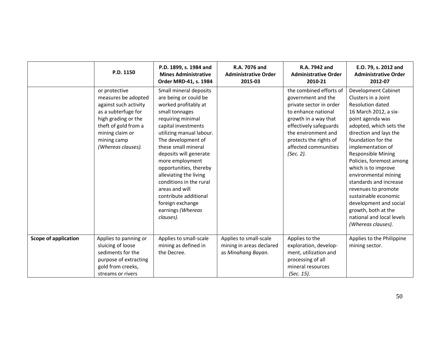|                             | P.D. 1150                                                                                                                                                                                   | P.D. 1899, s. 1984 and<br><b>Mines Administrative</b><br>Order MRD-41, s. 1984                                                                                                                                                                                                                                                                                                                                                              | R.A. 7076 and<br><b>Administrative Order</b><br>2015-03                  | R.A. 7942 and<br><b>Administrative Order</b><br>2010-21                                                                                                                                                                                 | E.O. 79, s. 2012 and<br><b>Administrative Order</b><br>2012-07                                                                                                                                                                                                                                                                                                                                                                                                                                                 |
|-----------------------------|---------------------------------------------------------------------------------------------------------------------------------------------------------------------------------------------|---------------------------------------------------------------------------------------------------------------------------------------------------------------------------------------------------------------------------------------------------------------------------------------------------------------------------------------------------------------------------------------------------------------------------------------------|--------------------------------------------------------------------------|-----------------------------------------------------------------------------------------------------------------------------------------------------------------------------------------------------------------------------------------|----------------------------------------------------------------------------------------------------------------------------------------------------------------------------------------------------------------------------------------------------------------------------------------------------------------------------------------------------------------------------------------------------------------------------------------------------------------------------------------------------------------|
|                             | or protective<br>measures be adopted<br>against such activity<br>as a subterfuge for<br>high grading or the<br>theft of gold from a<br>mining claim or<br>mining camp<br>(Whereas clauses). | Small mineral deposits<br>are being or could be<br>worked profitably at<br>small tonnages<br>requiring minimal<br>capital investments<br>utilizing manual labour.<br>The development of<br>these small mineral<br>deposits will generate<br>more employment<br>opportunities, thereby<br>alleviating the living<br>conditions in the rural<br>areas and will<br>contribute additional<br>foreign exchange<br>earnings (Whereas<br>clauses). |                                                                          | the combined efforts of<br>government and the<br>private sector in order<br>to enhance national<br>growth in a way that<br>effectively safeguards<br>the environment and<br>protects the rights of<br>affected communities<br>(Sec. 2). | <b>Development Cabinet</b><br>Clusters in a Joint<br><b>Resolution dated</b><br>16 March 2012, a six-<br>point agenda was<br>adopted, which sets the<br>direction and lays the<br>foundation for the<br>implementation of<br><b>Responsible Mining</b><br>Policies, foremost among<br>which is to improve<br>environmental mining<br>standards and increase<br>revenues to promote<br>sustainable economic<br>development and social<br>growth, both at the<br>national and local levels<br>(Whereas clauses). |
| <b>Scope of application</b> | Applies to panning or<br>sluicing of loose<br>sediments for the<br>purpose of extracting<br>gold from creeks,<br>streams or rivers                                                          | Applies to small-scale<br>mining as defined in<br>the Decree.                                                                                                                                                                                                                                                                                                                                                                               | Applies to small-scale<br>mining in areas declared<br>as Minahang Bayan. | Applies to the<br>exploration, develop-<br>ment, utilization and<br>processing of all<br>mineral resources<br>(Sec. 15).                                                                                                                | Applies to the Philippine<br>mining sector.                                                                                                                                                                                                                                                                                                                                                                                                                                                                    |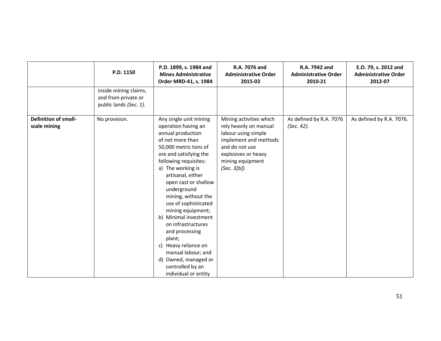|                                             | P.D. 1150                                                              | P.D. 1899, s. 1984 and<br><b>Mines Administrative</b><br>Order MRD-41, s. 1984                                                                                                                                                                                                                                                                                                                                                                                                                                       | R.A. 7076 and<br><b>Administrative Order</b><br>2015-03                                                                                                                        | R.A. 7942 and<br><b>Administrative Order</b><br>2010-21 | E.O. 79, s. 2012 and<br><b>Administrative Order</b><br>2012-07 |
|---------------------------------------------|------------------------------------------------------------------------|----------------------------------------------------------------------------------------------------------------------------------------------------------------------------------------------------------------------------------------------------------------------------------------------------------------------------------------------------------------------------------------------------------------------------------------------------------------------------------------------------------------------|--------------------------------------------------------------------------------------------------------------------------------------------------------------------------------|---------------------------------------------------------|----------------------------------------------------------------|
|                                             | inside mining claims,<br>and from private or<br>public lands (Sec. 1). |                                                                                                                                                                                                                                                                                                                                                                                                                                                                                                                      |                                                                                                                                                                                |                                                         |                                                                |
| <b>Definition of small-</b><br>scale mining | No provision.                                                          | Any single unit mining<br>operation having an<br>annual production<br>of not more than<br>50,000 metric tons of<br>ore and satisfying the<br>following requisites:<br>a) The working is<br>artisanal, either<br>open cast or shallow<br>underground<br>mining, without the<br>use of sophisticated<br>mining equipment;<br>b) Minimal investment<br>on infrastructures<br>and processing<br>plant;<br>c) Heavy reliance on<br>manual labour; and<br>d) Owned, managed or<br>controlled by an<br>individual or entity | Mining activities which<br>rely heavily on manual<br>labour using simple<br>implement and methods<br>and do not use<br>explosives or heavy<br>mining equipment<br>(Sec. 3[b]). | As defined by R.A. 7076<br>(Sec. 42).                   | As defined by R.A. 7076.                                       |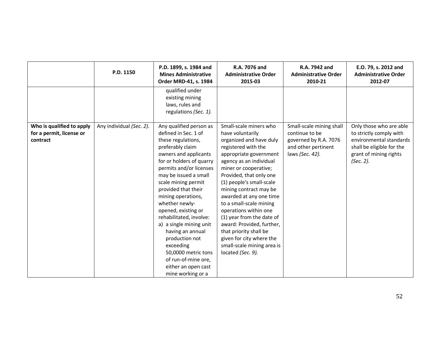|                                                                   | P.D. 1150                | P.D. 1899, s. 1984 and<br><b>Mines Administrative</b><br>Order MRD-41, s. 1984                                                                                                                                                                                                                                                                                                                                                                                                                                     | R.A. 7076 and<br><b>Administrative Order</b><br>2015-03                                                                                                                                                                                                                                                                                                                                                                                                                                                       | R.A. 7942 and<br><b>Administrative Order</b><br>2010-21                                                       | E.O. 79, s. 2012 and<br><b>Administrative Order</b><br>2012-07                                                                                    |
|-------------------------------------------------------------------|--------------------------|--------------------------------------------------------------------------------------------------------------------------------------------------------------------------------------------------------------------------------------------------------------------------------------------------------------------------------------------------------------------------------------------------------------------------------------------------------------------------------------------------------------------|---------------------------------------------------------------------------------------------------------------------------------------------------------------------------------------------------------------------------------------------------------------------------------------------------------------------------------------------------------------------------------------------------------------------------------------------------------------------------------------------------------------|---------------------------------------------------------------------------------------------------------------|---------------------------------------------------------------------------------------------------------------------------------------------------|
|                                                                   |                          | qualified under<br>existing mining<br>laws, rules and<br>regulations (Sec. 1).                                                                                                                                                                                                                                                                                                                                                                                                                                     |                                                                                                                                                                                                                                                                                                                                                                                                                                                                                                               |                                                                                                               |                                                                                                                                                   |
| Who is qualified to apply<br>for a permit, license or<br>contract | Any individual (Sec. 2). | Any qualified person as<br>defined in Sec. 1 of<br>these regulations,<br>preferably claim<br>owners and applicants<br>for or holders of quarry<br>permits and/or licenses<br>may be issued a small<br>scale mining permit<br>provided that their<br>mining operations,<br>whether newly-<br>opened, existing or<br>rehabilitated, involve:<br>a) a single mining unit<br>having an annual<br>production not<br>exceeding<br>50,0000 metric tons<br>of run-of-mine ore,<br>either an open cast<br>mine working or a | Small-scale miners who<br>have voluntarily<br>organized and have duly<br>registered with the<br>appropriate government<br>agency as an individual<br>miner or cooperative;<br>Provided, that only one<br>(1) people's small-scale<br>mining contract may be<br>awarded at any one time<br>to a small-scale mining<br>operations within one<br>(1) year from the date of<br>award: Provided, further,<br>that priority shall be<br>given for city where the<br>small-scale mining area is<br>located (Sec. 9). | Small-scale mining shall<br>continue to be<br>governed by R.A. 7076<br>and other pertinent<br>laws (Sec. 42). | Only those who are able<br>to strictly comply with<br>environmental standards<br>shall be eligible for the<br>grant of mining rights<br>(Sec. 2). |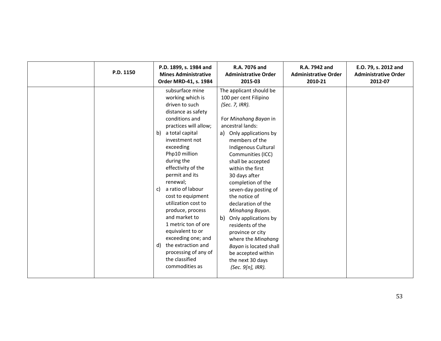| P.D. 1150 | P.D. 1899, s. 1984 and<br><b>Mines Administrative</b><br>Order MRD-41, s. 1984                                                                                                                                                                                                                                                                                                                                                                                                                                                         | R.A. 7076 and<br><b>Administrative Order</b><br>2015-03                                                                                                                                                                                                                                                                                                                                                                                                                                                                                                     | R.A. 7942 and<br><b>Administrative Order</b><br>2010-21 | E.O. 79, s. 2012 and<br><b>Administrative Order</b><br>2012-07 |
|-----------|----------------------------------------------------------------------------------------------------------------------------------------------------------------------------------------------------------------------------------------------------------------------------------------------------------------------------------------------------------------------------------------------------------------------------------------------------------------------------------------------------------------------------------------|-------------------------------------------------------------------------------------------------------------------------------------------------------------------------------------------------------------------------------------------------------------------------------------------------------------------------------------------------------------------------------------------------------------------------------------------------------------------------------------------------------------------------------------------------------------|---------------------------------------------------------|----------------------------------------------------------------|
|           | subsurface mine<br>working which is<br>driven to such<br>distance as safety<br>conditions and<br>practices will allow;<br>a total capital<br>b)<br>investment not<br>exceeding<br>Php10 million<br>during the<br>effectivity of the<br>permit and its<br>renewal;<br>a ratio of labour<br>C)<br>cost to equipment<br>utilization cost to<br>produce, process<br>and market to<br>1 metric ton of ore<br>equivalent to or<br>exceeding one; and<br>the extraction and<br>d)<br>processing of any of<br>the classified<br>commodities as | The applicant should be<br>100 per cent Filipino<br>(Sec. 7, IRR).<br>For Minahang Bayan in<br>ancestral lands:<br>a) Only applications by<br>members of the<br>Indigenous Cultural<br>Communities (ICC)<br>shall be accepted<br>within the first<br>30 days after<br>completion of the<br>seven-day posting of<br>the notice of<br>declaration of the<br>Minahang Bayan.<br>b) Only applications by<br>residents of the<br>province or city<br>where the Minahang<br>Bayan is located shall<br>be accepted within<br>the next 30 days<br>(Sec. 9[n], IRR). |                                                         |                                                                |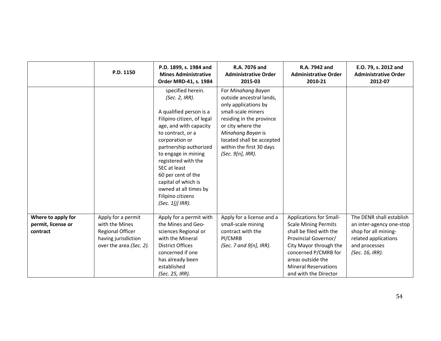|                                                      | P.D. 1150                                                                                                         | P.D. 1899, s. 1984 and<br><b>Mines Administrative</b><br>Order MRD-41, s. 1984                                                                                                                                                                                                                                                                                         | R.A. 7076 and<br><b>Administrative Order</b><br>2015-03                                                                                                                                                                                          | R.A. 7942 and<br><b>Administrative Order</b><br>2010-21                                                                                                                                                                                         | E.O. 79, s. 2012 and<br><b>Administrative Order</b><br>2012-07                                                                           |
|------------------------------------------------------|-------------------------------------------------------------------------------------------------------------------|------------------------------------------------------------------------------------------------------------------------------------------------------------------------------------------------------------------------------------------------------------------------------------------------------------------------------------------------------------------------|--------------------------------------------------------------------------------------------------------------------------------------------------------------------------------------------------------------------------------------------------|-------------------------------------------------------------------------------------------------------------------------------------------------------------------------------------------------------------------------------------------------|------------------------------------------------------------------------------------------------------------------------------------------|
|                                                      |                                                                                                                   | specified herein.<br>(Sec. 2, IRR).<br>A qualified person is a<br>Filipino citizen, of legal<br>age, and with capacity<br>to contract, or a<br>corporation or<br>partnership authorized<br>to engage in mining<br>registered with the<br>SEC at least<br>60 per cent of the<br>capital of which is<br>owned at all times by<br>Filipino citizens<br>$(Sec. 1[j]$ IRR). | For Minahang Bayan<br>outside ancestral lands,<br>only applications by<br>small-scale miners<br>residing in the province<br>or city where the<br>Minahang Bayan is<br>located shall be accepted<br>within the first 30 days<br>(Sec. 9[n], IRR). |                                                                                                                                                                                                                                                 |                                                                                                                                          |
| Where to apply for<br>permit, license or<br>contract | Apply for a permit<br>with the Mines<br><b>Regional Officer</b><br>having jurisdiction<br>over the area (Sec. 2). | Apply for a permit with<br>the Mines and Geo-<br>sciences Regional or<br>with the Mineral<br><b>District Offices</b><br>concerned if one<br>has already been<br>established<br>(Sec. 25, IRR).                                                                                                                                                                         | Apply for a license and a<br>small-scale mining<br>contract with the<br>Pl/CMRB<br>(Sec. 7 and $9[n]$ , IRR).                                                                                                                                    | <b>Applications for Small-</b><br><b>Scale Mining Permits</b><br>shall be filed with the<br>Provincial Governor/<br>City Mayor through the<br>concerned P/CMRB for<br>areas outside the<br><b>Mineral Reservations</b><br>and with the Director | The DENR shall establish<br>an inter-agency one-stop<br>shop for all mining-<br>related applications<br>and processes<br>(Sec. 16, IRR). |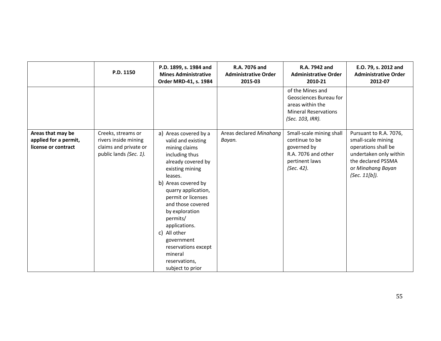|                                                                   | P.D. 1150                                                                                     | P.D. 1899, s. 1984 and<br><b>Mines Administrative</b><br>Order MRD-41, s. 1984                                                                                                                                                                                                                                                                                                  | R.A. 7076 and<br><b>Administrative Order</b><br>2015-03 | R.A. 7942 and<br><b>Administrative Order</b><br>2010-21                                                           | E.O. 79, s. 2012 and<br><b>Administrative Order</b><br>2012-07                                                                                               |
|-------------------------------------------------------------------|-----------------------------------------------------------------------------------------------|---------------------------------------------------------------------------------------------------------------------------------------------------------------------------------------------------------------------------------------------------------------------------------------------------------------------------------------------------------------------------------|---------------------------------------------------------|-------------------------------------------------------------------------------------------------------------------|--------------------------------------------------------------------------------------------------------------------------------------------------------------|
|                                                                   |                                                                                               |                                                                                                                                                                                                                                                                                                                                                                                 |                                                         | of the Mines and<br>Geosciences Bureau for<br>areas within the<br><b>Mineral Reservations</b><br>(Sec. 103, IRR). |                                                                                                                                                              |
| Areas that may be<br>applied for a permit,<br>license or contract | Creeks, streams or<br>rivers inside mining<br>claims and private or<br>public lands (Sec. 1). | a) Areas covered by a<br>valid and existing<br>mining claims<br>including thus<br>already covered by<br>existing mining<br>leases.<br>b) Areas covered by<br>quarry application,<br>permit or licenses<br>and those covered<br>by exploration<br>permits/<br>applications.<br>c) All other<br>government<br>reservations except<br>mineral<br>reservations,<br>subject to prior | Areas declared Minahang<br>Bayan.                       | Small-scale mining shall<br>continue to be<br>governed by<br>R.A. 7076 and other<br>pertinent laws<br>(Sec. 42).  | Pursuant to R.A. 7076,<br>small-scale mining<br>operations shall be<br>undertaken only within<br>the declared PSSMA<br>or Minahang Bayan<br>(Sec. $11[b]$ ). |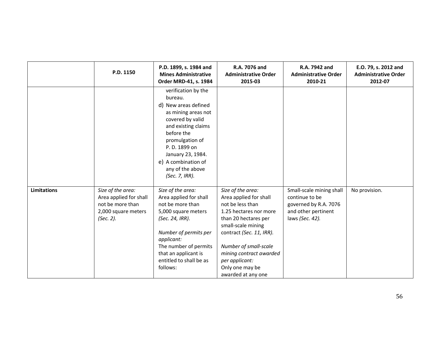|                    | P.D. 1150                                                                                           | P.D. 1899, s. 1984 and<br><b>Mines Administrative</b><br>Order MRD-41, s. 1984                                                                                                                                                                               | R.A. 7076 and<br><b>Administrative Order</b><br>2015-03                                                                                                                                                                                                                            | R.A. 7942 and<br><b>Administrative Order</b><br>2010-21                                                       | E.O. 79, s. 2012 and<br><b>Administrative Order</b><br>2012-07 |
|--------------------|-----------------------------------------------------------------------------------------------------|--------------------------------------------------------------------------------------------------------------------------------------------------------------------------------------------------------------------------------------------------------------|------------------------------------------------------------------------------------------------------------------------------------------------------------------------------------------------------------------------------------------------------------------------------------|---------------------------------------------------------------------------------------------------------------|----------------------------------------------------------------|
|                    |                                                                                                     | verification by the<br>bureau.<br>d) New areas defined<br>as mining areas not<br>covered by valid<br>and existing claims<br>before the<br>promulgation of<br>P. D. 1899 on<br>January 23, 1984.<br>e) A combination of<br>any of the above<br>(Sec. 7, IRR). |                                                                                                                                                                                                                                                                                    |                                                                                                               |                                                                |
| <b>Limitations</b> | Size of the area:<br>Area applied for shall<br>not be more than<br>2,000 square meters<br>(Sec. 2). | Size of the area:<br>Area applied for shall<br>not be more than<br>5,000 square meters<br>(Sec. 24, IRR).<br>Number of permits per<br>applicant:<br>The number of permits<br>that an applicant is<br>entitled to shall be as<br>follows:                     | Size of the area:<br>Area applied for shall<br>not be less than<br>1.25 hectares nor more<br>than 20 hectares per<br>small-scale mining<br>contract (Sec. 11, IRR).<br>Number of small-scale<br>mining contract awarded<br>per applicant:<br>Only one may be<br>awarded at any one | Small-scale mining shall<br>continue to be<br>governed by R.A. 7076<br>and other pertinent<br>laws (Sec. 42). | No provision.                                                  |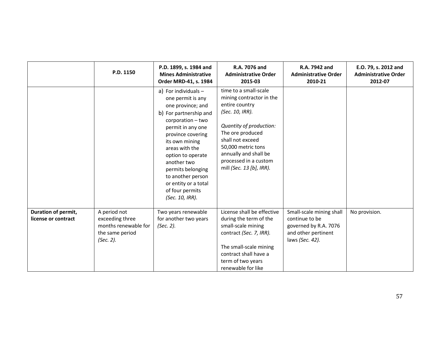|                                            | P.D. 1150                                                                               | P.D. 1899, s. 1984 and<br><b>Mines Administrative</b><br>Order MRD-41, s. 1984                                                                                                                                                                                                                                                            | R.A. 7076 and<br><b>Administrative Order</b><br>2015-03                                                                                                                                                                                                       | R.A. 7942 and<br><b>Administrative Order</b><br>2010-21                                                       | E.O. 79, s. 2012 and<br><b>Administrative Order</b><br>2012-07 |
|--------------------------------------------|-----------------------------------------------------------------------------------------|-------------------------------------------------------------------------------------------------------------------------------------------------------------------------------------------------------------------------------------------------------------------------------------------------------------------------------------------|---------------------------------------------------------------------------------------------------------------------------------------------------------------------------------------------------------------------------------------------------------------|---------------------------------------------------------------------------------------------------------------|----------------------------------------------------------------|
|                                            |                                                                                         | a) For individuals $-$<br>one permit is any<br>one province; and<br>b) For partnership and<br>corporation – two<br>permit in any one<br>province covering<br>its own mining<br>areas with the<br>option to operate<br>another two<br>permits belonging<br>to another person<br>or entity or a total<br>of four permits<br>(Sec. 10, IRR). | time to a small-scale<br>mining contractor in the<br>entire country<br>(Sec. 10, IRR).<br>Quantity of production:<br>The ore produced<br>shall not exceed<br>50,000 metric tons<br>annually and shall be<br>processed in a custom<br>mill (Sec. 13 [b], IRR). |                                                                                                               |                                                                |
| Duration of permit,<br>license or contract | A period not<br>exceeding three<br>months renewable for<br>the same period<br>(Sec. 2). | Two years renewable<br>for another two years<br>(Sec. 2).                                                                                                                                                                                                                                                                                 | License shall be effective<br>during the term of the<br>small-scale mining<br>contract (Sec. 7, IRR).<br>The small-scale mining<br>contract shall have a<br>term of two years<br>renewable for like                                                           | Small-scale mining shall<br>continue to be<br>governed by R.A. 7076<br>and other pertinent<br>laws (Sec. 42). | No provision.                                                  |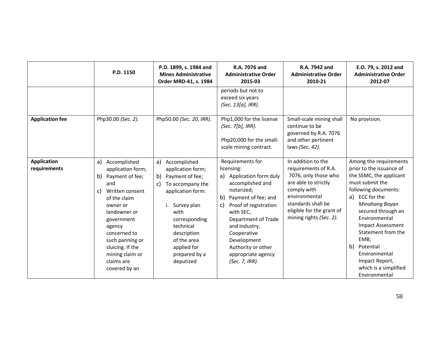|                                    | P.D. 1150                                                                                                                                                                                                                                                                     | P.D. 1899, s. 1984 and<br><b>Mines Administrative</b><br>Order MRD-41, s. 1984                                                                                                                                                                        | R.A. 7076 and<br><b>Administrative Order</b><br>2015-03                                                                                                                                                                                                                                                   | R.A. 7942 and<br><b>Administrative Order</b><br>2010-21                                                                                                                                                  | E.O. 79, s. 2012 and<br><b>Administrative Order</b><br>2012-07                                                                                                                                                                                                                                                                                                   |
|------------------------------------|-------------------------------------------------------------------------------------------------------------------------------------------------------------------------------------------------------------------------------------------------------------------------------|-------------------------------------------------------------------------------------------------------------------------------------------------------------------------------------------------------------------------------------------------------|-----------------------------------------------------------------------------------------------------------------------------------------------------------------------------------------------------------------------------------------------------------------------------------------------------------|----------------------------------------------------------------------------------------------------------------------------------------------------------------------------------------------------------|------------------------------------------------------------------------------------------------------------------------------------------------------------------------------------------------------------------------------------------------------------------------------------------------------------------------------------------------------------------|
|                                    |                                                                                                                                                                                                                                                                               |                                                                                                                                                                                                                                                       | periods but not to<br>exceed six years<br>(Sec. 13[a], IRR).                                                                                                                                                                                                                                              |                                                                                                                                                                                                          |                                                                                                                                                                                                                                                                                                                                                                  |
| <b>Application fee</b>             | Php30.00 (Sec. 2).                                                                                                                                                                                                                                                            | Php50.00 (Sec. 20, IRR).                                                                                                                                                                                                                              | Php1,000 for the license<br>(Sec. 7[b], IRR).<br>Php20,000 for the small-<br>scale mining contract.                                                                                                                                                                                                       | Small-scale mining shall<br>continue to be<br>governed by R.A. 7076<br>and other pertinent<br>laws (Sec. 42).                                                                                            | No provision.                                                                                                                                                                                                                                                                                                                                                    |
| <b>Application</b><br>requirements | Accomplished<br>a)<br>application form;<br>b)<br>Payment of fee;<br>and<br>Written consent<br>C)<br>of the claim<br>owner or<br>landowner or<br>government<br>agency<br>concerned to<br>such panning or<br>sluicing. If the<br>mining claim or<br>claims are<br>covered by an | Accomplished<br>a)<br>application form;<br>Payment of fee;<br>b)<br>To accompany the<br>C)<br>application form:<br>Survey plan<br>i.<br>with<br>corresponding<br>technical<br>description<br>of the area<br>applied for<br>prepared by a<br>deputized | Requirements for<br>licensing:<br>a) Application form duly<br>accomplished and<br>notarized;<br>b)<br>Payment of fee; and<br>Proof of registration<br>C)<br>with SEC,<br>Department of Trade<br>and Industry,<br>Cooperative<br>Development<br>Authority or other<br>appropriate agency<br>(Sec. 7, IRR). | In addition to the<br>requirements of R.A.<br>7076, only those who<br>are able to strictly<br>comply with<br>environmental<br>standards shall be<br>eligible for the grant of<br>mining rights (Sec. 2). | Among the requirements<br>prior to the issuance of<br>the SSMC, the applicant<br>must submit the<br>following documents:<br>ECC for the<br>a)<br>Minahang Bayan<br>secured through an<br>Environmental<br><b>Impact Assessment</b><br>Statement from the<br>EMB;<br>b)<br>Potential<br>Environmental<br>Impact Report,<br>which is a simplified<br>Environmental |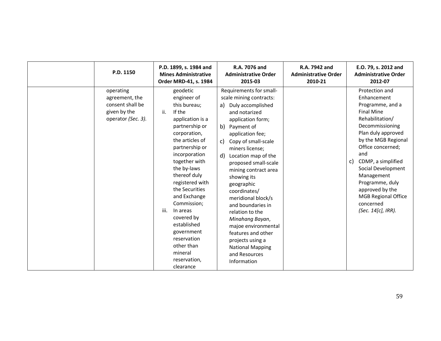| P.D. 1150                                                                             | P.D. 1899, s. 1984 and<br><b>Mines Administrative</b><br>Order MRD-41, s. 1984                                                                                                                                                                                                                                                                                                                                               | R.A. 7076 and<br><b>Administrative Order</b><br>2015-03                                                                                                                                                                                                                                                                                                                                                                                                                                                                                         | R.A. 7942 and<br><b>Administrative Order</b><br>2010-21 | E.O. 79, s. 2012 and<br><b>Administrative Order</b><br>2012-07                                                                                                                                                                                                                                                                                               |
|---------------------------------------------------------------------------------------|------------------------------------------------------------------------------------------------------------------------------------------------------------------------------------------------------------------------------------------------------------------------------------------------------------------------------------------------------------------------------------------------------------------------------|-------------------------------------------------------------------------------------------------------------------------------------------------------------------------------------------------------------------------------------------------------------------------------------------------------------------------------------------------------------------------------------------------------------------------------------------------------------------------------------------------------------------------------------------------|---------------------------------------------------------|--------------------------------------------------------------------------------------------------------------------------------------------------------------------------------------------------------------------------------------------------------------------------------------------------------------------------------------------------------------|
| operating<br>agreement, the<br>consent shall be<br>given by the<br>operator (Sec. 3). | geodetic<br>engineer of<br>this bureau;<br>If the<br>ii.<br>application is a<br>partnership or<br>corporation,<br>the articles of<br>partnership or<br>incorporation<br>together with<br>the by-laws<br>thereof duly<br>registered with<br>the Securities<br>and Exchange<br>Commission;<br>iii.<br>In areas<br>covered by<br>established<br>government<br>reservation<br>other than<br>mineral<br>reservation,<br>clearance | Requirements for small-<br>scale mining contracts:<br>Duly accomplished<br>a)<br>and notarized<br>application form;<br>b) Payment of<br>application fee;<br>Copy of small-scale<br>C)<br>miners license;<br>d)<br>Location map of the<br>proposed small-scale<br>mining contract area<br>showing its<br>geographic<br>coordinates/<br>meridional block/s<br>and boundaries in<br>relation to the<br>Minahang Bayan,<br>majoe environmental<br>features and other<br>projects using a<br><b>National Mapping</b><br>and Resources<br>Information |                                                         | Protection and<br>Enhancement<br>Programme, and a<br><b>Final Mine</b><br>Rehabilitation/<br>Decommissioning<br>Plan duly approved<br>by the MGB Regional<br>Office concerned;<br>and<br>CDMP, a simplified<br>c)<br>Social Development<br>Management<br>Programme, duly<br>approved by the<br><b>MGB Regional Office</b><br>concerned<br>(Sec. 14[c], IRR). |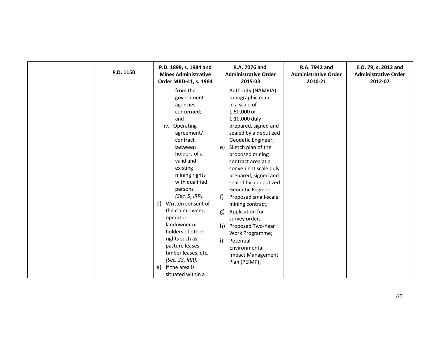| P.D. 1150 | P.D. 1899, s. 1984 and<br><b>Mines Administrative</b><br>Order MRD-41, s. 1984                                                                                                                                                                                                                                                                                                                                                                         | R.A. 7076 and<br><b>Administrative Order</b><br>2015-03                                                                                                                                                                                                                                                                                                                                                                                                                                                                                                          | R.A. 7942 and<br><b>Administrative Order</b><br>2010-21 | E.O. 79, s. 2012 and<br><b>Administrative Order</b><br>2012-07 |
|-----------|--------------------------------------------------------------------------------------------------------------------------------------------------------------------------------------------------------------------------------------------------------------------------------------------------------------------------------------------------------------------------------------------------------------------------------------------------------|------------------------------------------------------------------------------------------------------------------------------------------------------------------------------------------------------------------------------------------------------------------------------------------------------------------------------------------------------------------------------------------------------------------------------------------------------------------------------------------------------------------------------------------------------------------|---------------------------------------------------------|----------------------------------------------------------------|
|           | from the<br>government<br>agencies<br>concerned;<br>and<br>Operating<br>iv.<br>agreement/<br>contract<br>between<br>holders of a<br>valid and<br>existing<br>mining rights<br>with qualified<br>persons<br>(Sec. 5, IRR).<br>d)<br>Written consent of<br>the claim owner,<br>operator,<br>landowner or<br>holders of other<br>rights such as<br>pasture leases,<br>timber leases, etc.<br>(Sec. 23, IRR).<br>If the area is<br>e)<br>situated within a | Authority (NAMRIA)<br>topographic map<br>in a scale of<br>1:50,000 or<br>1:10,000 duly<br>prepared, signed and<br>sealed by a deputized<br>Geodetic Engineer;<br>Sketch plan of the<br>e)<br>proposed mining<br>contract area at a<br>convenient scale duly<br>prepared, signed and<br>sealed by a deputized<br>Geodetic Engineer;<br>f)<br>Proposed small-scale<br>mining contract;<br>Application for<br>g)<br>survey order;<br>h)<br>Proposed Two-Year<br>Work Programme;<br>$\mathbf{i}$<br>Potential<br>Environmental<br>Impact Management<br>Plan (PEIMP); |                                                         |                                                                |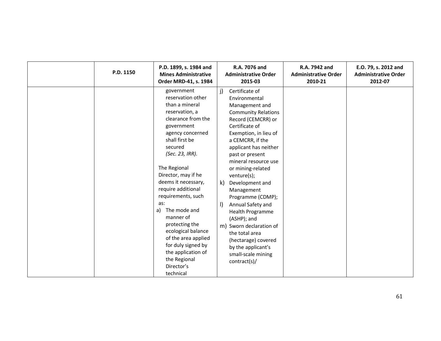| P.D. 1150 | P.D. 1899, s. 1984 and<br><b>Mines Administrative</b><br>Order MRD-41, s. 1984                                                                                                                                                                                                                                                                                                                                                                                                        | R.A. 7076 and<br><b>Administrative Order</b><br>2015-03                                                                                                                                                                                                                                                                                                                                                                                                                                                                                                  | R.A. 7942 and<br><b>Administrative Order</b><br>2010-21 | E.O. 79, s. 2012 and<br><b>Administrative Order</b><br>2012-07 |
|-----------|---------------------------------------------------------------------------------------------------------------------------------------------------------------------------------------------------------------------------------------------------------------------------------------------------------------------------------------------------------------------------------------------------------------------------------------------------------------------------------------|----------------------------------------------------------------------------------------------------------------------------------------------------------------------------------------------------------------------------------------------------------------------------------------------------------------------------------------------------------------------------------------------------------------------------------------------------------------------------------------------------------------------------------------------------------|---------------------------------------------------------|----------------------------------------------------------------|
|           | government<br>reservation other<br>than a mineral<br>reservation, a<br>clearance from the<br>government<br>agency concerned<br>shall first be<br>secured<br>(Sec. 23, IRR).<br>The Regional<br>Director, may if he<br>deems it necessary,<br>require additional<br>requirements, such<br>as:<br>The mode and<br>a)<br>manner of<br>protecting the<br>ecological balance<br>of the area applied<br>for duly signed by<br>the application of<br>the Regional<br>Director's<br>technical | Certificate of<br>j)<br>Environmental<br>Management and<br><b>Community Relations</b><br>Record (CEMCRR) or<br>Certificate of<br>Exemption, in lieu of<br>a CEMCRR, if the<br>applicant has neither<br>past or present<br>mineral resource use<br>or mining-related<br>venture(s);<br>Development and<br>k)<br>Management<br>Programme (CDMP);<br>$\vert$<br>Annual Safety and<br><b>Health Programme</b><br>(ASHP); and<br>m) Sworn declaration of<br>the total area<br>(hectarage) covered<br>by the applicant's<br>small-scale mining<br>contract(s)/ |                                                         |                                                                |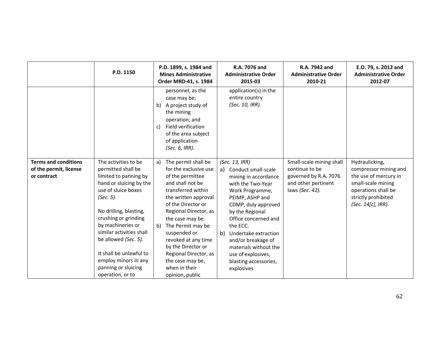|                                                                      | P.D. 1150                                                                                                                                                                                                                                                                                                                                                   | P.D. 1899, s. 1984 and<br><b>Mines Administrative</b><br>Order MRD-41, s. 1984                                                                                                                                                                                                                                                                                                       | R.A. 7076 and<br><b>Administrative Order</b><br>2015-03                                                                                                                                                                                                                                                                                             | R.A. 7942 and<br><b>Administrative Order</b><br>2010-21                                                       | E.O. 79, s. 2012 and<br><b>Administrative Order</b><br>2012-07                                                                                             |
|----------------------------------------------------------------------|-------------------------------------------------------------------------------------------------------------------------------------------------------------------------------------------------------------------------------------------------------------------------------------------------------------------------------------------------------------|--------------------------------------------------------------------------------------------------------------------------------------------------------------------------------------------------------------------------------------------------------------------------------------------------------------------------------------------------------------------------------------|-----------------------------------------------------------------------------------------------------------------------------------------------------------------------------------------------------------------------------------------------------------------------------------------------------------------------------------------------------|---------------------------------------------------------------------------------------------------------------|------------------------------------------------------------------------------------------------------------------------------------------------------------|
|                                                                      |                                                                                                                                                                                                                                                                                                                                                             | personnel, as the<br>case may be;<br>A project study of<br>b)<br>the mining<br>operation; and<br>Field verification<br>C)<br>of the area subject<br>of application<br>(Sec. 6, IRR).                                                                                                                                                                                                 | application(s) in the<br>entire country<br>(Sec. 10, IRR).                                                                                                                                                                                                                                                                                          |                                                                                                               |                                                                                                                                                            |
| <b>Terms and conditions</b><br>of the permit, license<br>or contract | The activities to be<br>permitted shall be<br>limited to panning by<br>hand or sluicing by the<br>use of sluice boxes<br>(Sec. 5).<br>No drilling, blasting,<br>crushing or grinding<br>by machineries or<br>similar activities shall<br>be allowed (Sec. 5).<br>It shall be unlawful to<br>employ minors in any<br>panning or sluicing<br>operation, or to | The permit shall be<br>a)<br>for the exclusive use<br>of the permittee<br>and shall not be<br>transferred within<br>the written approval<br>of the Director or<br>Regional Director, as<br>the case may be.<br>The Permit may be<br>b)<br>suspended or<br>revoked at any time<br>by the Director or<br>Regional Director, as<br>the case may be,<br>when in their<br>opinion, public | (Sec. 13, IRR)<br>a) Conduct small-scale<br>mining in accordance<br>with the Two-Year<br>Work Programme,<br>PEIMP, ASHP and<br>CDMP, duly approved<br>by the Regional<br>Office concerned and<br>the ECC.<br>b)<br>Undertake extraction<br>and/or breakage of<br>materials without the<br>use of explosives,<br>blasting accessories,<br>explosives | Small-scale mining shall<br>continue to be<br>governed by R.A. 7076<br>and other pertinent<br>laws (Sec. 42). | Hydraulicking,<br>compressor mining and<br>the use of mercury in<br>small-scale mining<br>operations shall be<br>strictly prohibited<br>(Sec. 14[c], IRR). |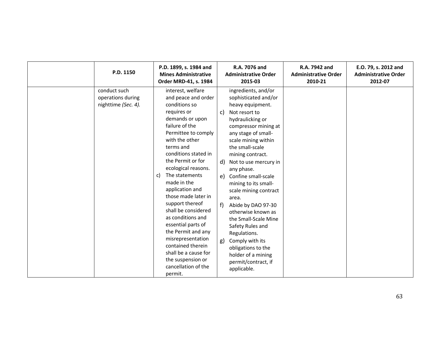| P.D. 1150                                                | P.D. 1899, s. 1984 and<br><b>Mines Administrative</b><br>Order MRD-41, s. 1984                                                                                                                                                                                                                                                                                                                                                                                                                                                                               | R.A. 7076 and<br><b>Administrative Order</b><br>2015-03                                                                                                                                                                                                                                                                                                                                                                                                                                                                                                                             | R.A. 7942 and<br><b>Administrative Order</b><br>2010-21 | E.O. 79, s. 2012 and<br><b>Administrative Order</b><br>2012-07 |
|----------------------------------------------------------|--------------------------------------------------------------------------------------------------------------------------------------------------------------------------------------------------------------------------------------------------------------------------------------------------------------------------------------------------------------------------------------------------------------------------------------------------------------------------------------------------------------------------------------------------------------|-------------------------------------------------------------------------------------------------------------------------------------------------------------------------------------------------------------------------------------------------------------------------------------------------------------------------------------------------------------------------------------------------------------------------------------------------------------------------------------------------------------------------------------------------------------------------------------|---------------------------------------------------------|----------------------------------------------------------------|
| conduct such<br>operations during<br>nighttime (Sec. 4). | interest, welfare<br>and peace and order<br>conditions so<br>requires or<br>demands or upon<br>failure of the<br>Permittee to comply<br>with the other<br>terms and<br>conditions stated in<br>the Permit or for<br>ecological reasons.<br>The statements<br>C)<br>made in the<br>application and<br>those made later in<br>support thereof<br>shall be considered<br>as conditions and<br>essential parts of<br>the Permit and any<br>misrepresentation<br>contained therein<br>shall be a cause for<br>the suspension or<br>cancellation of the<br>permit. | ingredients, and/or<br>sophisticated and/or<br>heavy equipment.<br>Not resort to<br>c)<br>hydraulicking or<br>compressor mining at<br>any stage of small-<br>scale mining within<br>the small-scale<br>mining contract.<br>Not to use mercury in<br>d)<br>any phase.<br>Confine small-scale<br>e)<br>mining to its small-<br>scale mining contract<br>area.<br>f<br>Abide by DAO 97-30<br>otherwise known as<br>the Small-Scale Mine<br>Safety Rules and<br>Regulations.<br>Comply with its<br>g)<br>obligations to the<br>holder of a mining<br>permit/contract, if<br>applicable. |                                                         |                                                                |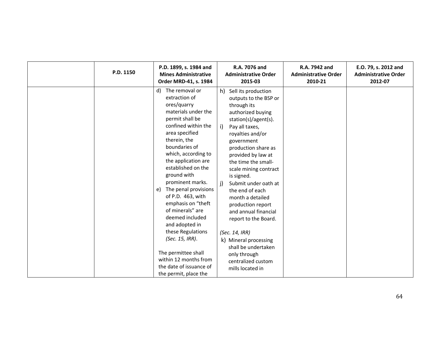| P.D. 1150 | P.D. 1899, s. 1984 and<br><b>Mines Administrative</b><br>Order MRD-41, s. 1984                                                                                                                                                                                                                                                                                                                                                                                                                                                                                | R.A. 7076 and<br><b>Administrative Order</b><br>2015-03                                                                                                                                                                                                                                                                                                                                                                                                                                                                                                | R.A. 7942 and<br><b>Administrative Order</b><br>2010-21 | E.O. 79, s. 2012 and<br><b>Administrative Order</b><br>2012-07 |
|-----------|---------------------------------------------------------------------------------------------------------------------------------------------------------------------------------------------------------------------------------------------------------------------------------------------------------------------------------------------------------------------------------------------------------------------------------------------------------------------------------------------------------------------------------------------------------------|--------------------------------------------------------------------------------------------------------------------------------------------------------------------------------------------------------------------------------------------------------------------------------------------------------------------------------------------------------------------------------------------------------------------------------------------------------------------------------------------------------------------------------------------------------|---------------------------------------------------------|----------------------------------------------------------------|
|           | The removal or<br>d)<br>extraction of<br>ores/quarry<br>materials under the<br>permit shall be<br>confined within the<br>area specified<br>therein, the<br>boundaries of<br>which, according to<br>the application are<br>established on the<br>ground with<br>prominent marks.<br>The penal provisions<br>e)<br>of P.D. 463, with<br>emphasis on "theft<br>of minerals" are<br>deemed included<br>and adopted in<br>these Regulations<br>(Sec. 15, IRR).<br>The permittee shall<br>within 12 months from<br>the date of issuance of<br>the permit, place the | h) Sell its production<br>outputs to the BSP or<br>through its<br>authorized buying<br>station(s)/agent(s).<br>i)<br>Pay all taxes,<br>royalties and/or<br>government<br>production share as<br>provided by law at<br>the time the small-<br>scale mining contract<br>is signed.<br>j)<br>Submit under oath at<br>the end of each<br>month a detailed<br>production report<br>and annual financial<br>report to the Board.<br>(Sec. 14, IRR)<br>k) Mineral processing<br>shall be undertaken<br>only through<br>centralized custom<br>mills located in |                                                         |                                                                |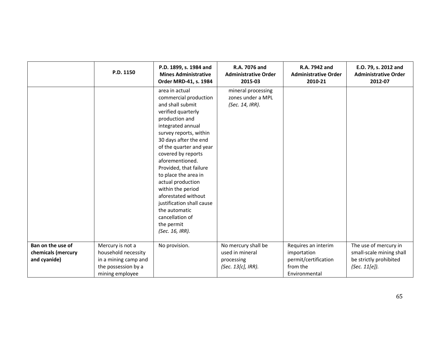|                                                         | P.D. 1150                                                                                                 | P.D. 1899, s. 1984 and<br><b>Mines Administrative</b><br>Order MRD-41, s. 1984                                                                                                                                                                                                                                                                                                                                                                                       | R.A. 7076 and<br><b>Administrative Order</b><br>2015-03                    | R.A. 7942 and<br><b>Administrative Order</b><br>2010-21                                 | E.O. 79, s. 2012 and<br><b>Administrative Order</b><br>2012-07                               |
|---------------------------------------------------------|-----------------------------------------------------------------------------------------------------------|----------------------------------------------------------------------------------------------------------------------------------------------------------------------------------------------------------------------------------------------------------------------------------------------------------------------------------------------------------------------------------------------------------------------------------------------------------------------|----------------------------------------------------------------------------|-----------------------------------------------------------------------------------------|----------------------------------------------------------------------------------------------|
|                                                         |                                                                                                           | area in actual<br>commercial production<br>and shall submit<br>verified quarterly<br>production and<br>integrated annual<br>survey reports, within<br>30 days after the end<br>of the quarter and year<br>covered by reports<br>aforementioned.<br>Provided, that failure<br>to place the area in<br>actual production<br>within the period<br>aforestated without<br>justification shall cause<br>the automatic<br>cancellation of<br>the permit<br>(Sec. 16, IRR). | mineral processing<br>zones under a MPL<br>(Sec. 14, IRR).                 |                                                                                         |                                                                                              |
| Ban on the use of<br>chemicals (mercury<br>and cyanide) | Mercury is not a<br>household necessity<br>in a mining camp and<br>the possession by a<br>mining employee | No provision.                                                                                                                                                                                                                                                                                                                                                                                                                                                        | No mercury shall be<br>used in mineral<br>processing<br>(Sec. 13[c], IRR). | Requires an interim<br>importation<br>permit/certification<br>from the<br>Environmental | The use of mercury in<br>small-scale mining shall<br>be strictly prohibited<br>(Sec. 11[e]). |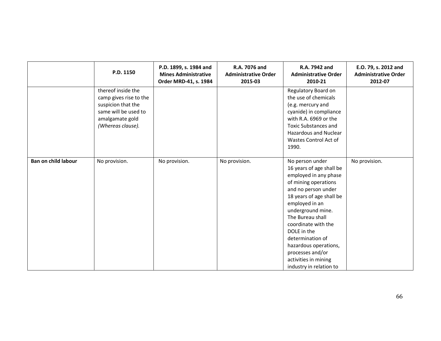|                            | P.D. 1150                                                                                                                          | P.D. 1899, s. 1984 and<br><b>Mines Administrative</b><br>Order MRD-41, s. 1984 | R.A. 7076 and<br><b>Administrative Order</b><br>2015-03 | R.A. 7942 and<br><b>Administrative Order</b><br>2010-21                                                                                                                                                                                                                                                                                                              | E.O. 79, s. 2012 and<br><b>Administrative Order</b><br>2012-07 |
|----------------------------|------------------------------------------------------------------------------------------------------------------------------------|--------------------------------------------------------------------------------|---------------------------------------------------------|----------------------------------------------------------------------------------------------------------------------------------------------------------------------------------------------------------------------------------------------------------------------------------------------------------------------------------------------------------------------|----------------------------------------------------------------|
|                            | thereof inside the<br>camp gives rise to the<br>suspicion that the<br>same will be used to<br>amalgamate gold<br>(Whereas clause). |                                                                                |                                                         | Regulatory Board on<br>the use of chemicals<br>(e.g. mercury and<br>cyanide) in compliance<br>with R.A. 6969 or the<br><b>Toxic Substances and</b><br><b>Hazardous and Nuclear</b><br>Wastes Control Act of<br>1990.                                                                                                                                                 |                                                                |
| <b>Ban on child labour</b> | No provision.                                                                                                                      | No provision.                                                                  | No provision.                                           | No person under<br>16 years of age shall be<br>employed in any phase<br>of mining operations<br>and no person under<br>18 years of age shall be<br>employed in an<br>underground mine.<br>The Bureau shall<br>coordinate with the<br>DOLE in the<br>determination of<br>hazardous operations,<br>processes and/or<br>activities in mining<br>industry in relation to | No provision.                                                  |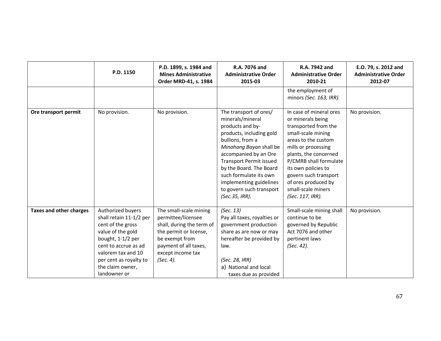|                                | P.D. 1150                                                                                                                                                                                                               | P.D. 1899, s. 1984 and<br><b>Mines Administrative</b><br>Order MRD-41, s. 1984                                                                                                   | R.A. 7076 and<br><b>Administrative Order</b><br>2015-03                                                                                                                                                                                                                                                                            | R.A. 7942 and<br><b>Administrative Order</b><br>2010-21                                                                                                                                                                                                                                                      | E.O. 79, s. 2012 and<br><b>Administrative Order</b><br>2012-07 |
|--------------------------------|-------------------------------------------------------------------------------------------------------------------------------------------------------------------------------------------------------------------------|----------------------------------------------------------------------------------------------------------------------------------------------------------------------------------|------------------------------------------------------------------------------------------------------------------------------------------------------------------------------------------------------------------------------------------------------------------------------------------------------------------------------------|--------------------------------------------------------------------------------------------------------------------------------------------------------------------------------------------------------------------------------------------------------------------------------------------------------------|----------------------------------------------------------------|
|                                |                                                                                                                                                                                                                         |                                                                                                                                                                                  |                                                                                                                                                                                                                                                                                                                                    | the employment of<br>minors (Sec. 163, IRR).                                                                                                                                                                                                                                                                 |                                                                |
| Ore transport permit           | No provision.                                                                                                                                                                                                           | No provision.                                                                                                                                                                    | The transport of ores/<br>minerals/mineral<br>products and by-<br>products, including gold<br>bullions, from a<br>Minahang Bayan shall be<br>accompanied by an Ore<br><b>Transport Permit issued</b><br>by the Board. The Board<br>such formulate its own<br>implementing guidelines<br>to govern such transport<br>(Sec.35, IRR). | In case of mineral ores<br>or minerals being<br>transported from the<br>small-scale mining<br>areas to the custom<br>mills or processing<br>plants, the concerned<br>P/CMRB shall formulate<br>its own policies to<br>govern such transport<br>of ores produced by<br>small-scale miners<br>(Sec. 117, IRR). | No provision.                                                  |
| <b>Taxes and other charges</b> | Authorized buyers<br>shall retain 11-1/2 per<br>cent of the gross<br>value of the gold<br>bought, 1-1/2 per<br>cent to accrue as ad<br>valorem tax and 10<br>per cent as royalty to<br>the claim owner,<br>landowner or | The small-scale mining<br>permittee/licensee<br>shall, during the term of<br>the permit or license,<br>be exempt from<br>payment of all taxes,<br>except income tax<br>(Sec. 4). | (Sec. 13)<br>Pay all taxes, royalties or<br>government production<br>share as are now or may<br>hereafter be provided by<br>law.<br>(Sec. 28, IRR)<br>a) National and local<br>taxes due as provided                                                                                                                               | Small-scale mining shall<br>continue to be<br>governed by Republic<br>Act 7076 and other<br>pertinent laws<br>(Sec. 42).                                                                                                                                                                                     | No provision.                                                  |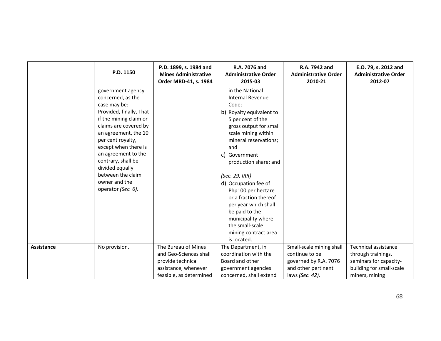|                   | P.D. 1150                                                                                                                                                    | P.D. 1899, s. 1984 and<br><b>Mines Administrative</b><br>Order MRD-41, s. 1984                                        | R.A. 7076 and<br><b>Administrative Order</b><br>2015-03                                                                                                                        | R.A. 7942 and<br><b>Administrative Order</b><br>2010-21                                                       | E.O. 79, s. 2012 and<br><b>Administrative Order</b><br>2012-07                                                     |
|-------------------|--------------------------------------------------------------------------------------------------------------------------------------------------------------|-----------------------------------------------------------------------------------------------------------------------|--------------------------------------------------------------------------------------------------------------------------------------------------------------------------------|---------------------------------------------------------------------------------------------------------------|--------------------------------------------------------------------------------------------------------------------|
|                   | government agency<br>concerned, as the<br>case may be:<br>Provided, finally, That<br>if the mining claim or<br>claims are covered by<br>an agreement, the 10 |                                                                                                                       | in the National<br><b>Internal Revenue</b><br>Code;<br>b) Royalty equivalent to<br>5 per cent of the<br>gross output for small<br>scale mining within                          |                                                                                                               |                                                                                                                    |
|                   | per cent royalty,<br>except when there is<br>an agreement to the<br>contrary, shall be<br>divided equally<br>between the claim                               |                                                                                                                       | mineral reservations;<br>and<br>c) Government<br>production share; and<br>(Sec. 29, IRR)                                                                                       |                                                                                                               |                                                                                                                    |
|                   | owner and the<br>operator (Sec. 6).                                                                                                                          |                                                                                                                       | d) Occupation fee of<br>Php100 per hectare<br>or a fraction thereof<br>per year which shall<br>be paid to the<br>municipality where<br>the small-scale<br>mining contract area |                                                                                                               |                                                                                                                    |
| <b>Assistance</b> | No provision.                                                                                                                                                | The Bureau of Mines<br>and Geo-Sciences shall<br>provide technical<br>assistance, whenever<br>feasible, as determined | is located.<br>The Department, in<br>coordination with the<br>Board and other<br>government agencies<br>concerned, shall extend                                                | Small-scale mining shall<br>continue to be<br>governed by R.A. 7076<br>and other pertinent<br>laws (Sec. 42). | Technical assistance<br>through trainings,<br>seminars for capacity-<br>building for small-scale<br>miners, mining |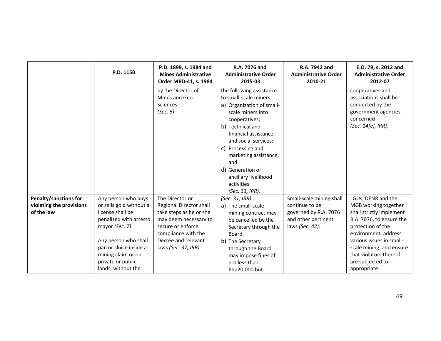|                                                                 | P.D. 1150                                                                                                                                                                                                                          | P.D. 1899, s. 1984 and<br><b>Mines Administrative</b><br>Order MRD-41, s. 1984                                                                                                                   | R.A. 7076 and<br><b>Administrative Order</b><br>2015-03                                                                                                                                                                                                                                                                     | R.A. 7942 and<br><b>Administrative Order</b><br>2010-21                                                       | E.O. 79, s. 2012 and<br><b>Administrative Order</b><br>2012-07                                                                                                                                                                                                       |
|-----------------------------------------------------------------|------------------------------------------------------------------------------------------------------------------------------------------------------------------------------------------------------------------------------------|--------------------------------------------------------------------------------------------------------------------------------------------------------------------------------------------------|-----------------------------------------------------------------------------------------------------------------------------------------------------------------------------------------------------------------------------------------------------------------------------------------------------------------------------|---------------------------------------------------------------------------------------------------------------|----------------------------------------------------------------------------------------------------------------------------------------------------------------------------------------------------------------------------------------------------------------------|
|                                                                 |                                                                                                                                                                                                                                    | by the Director of<br>Mines and Geo-<br><b>Sciences</b><br>(Sec. 5)                                                                                                                              | the following assistance<br>to small-scale miners:<br>a) Organization of small-<br>scale miners into<br>cooperatives;<br>b) Technical and<br>financial assistance<br>and social services;<br>c) Processing and<br>marketing assistance;<br>and<br>d) Generation of<br>ancillary livelihood<br>activities<br>(Sec. 33, IRR). |                                                                                                               | cooperatives and<br>associations shall be<br>conducted by the<br>government agencies<br>concerned<br>(Sec. 14[e], IRR).                                                                                                                                              |
| Penalty/sanctions for<br>violating the provisions<br>of the law | Any person who buys<br>or sells gold without a<br>license shall be<br>penalized with arresto<br>mayor (Sec. 7).<br>Any person who shall<br>pan or sluice inside a<br>mining claim or on<br>private or public<br>lands, without the | The Director or<br><b>Regional Director shall</b><br>take steps as he or she<br>may deem necessary to<br>secure or enforce<br>compliance with the<br>Decree and relevant<br>laws (Sec. 37, IRR). | (Sec. 31, IRR)<br>a) The small-scale<br>mining contract may<br>be cancelled by the<br>Secretary through the<br>Board.<br>b) The Secretary<br>through the Board<br>may impose fines of<br>not less than<br>Php20,000 but                                                                                                     | Small-scale mining shall<br>continue to be<br>governed by R.A. 7076<br>and other pertinent<br>laws (Sec. 42). | LGUs, DENR and the<br>MGB working together<br>shall strictly implement<br>R.A. 7076, to ensure the<br>protection of the<br>environment, address<br>various issues in small-<br>scale mining, and ensure<br>that violators thereof<br>are subjected to<br>appropriate |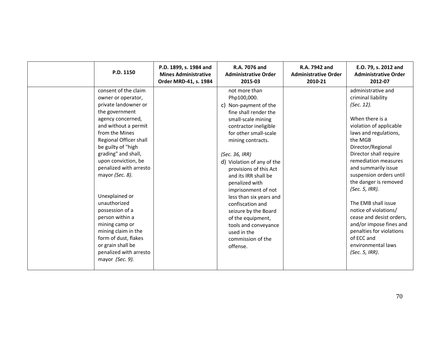| P.D. 1150                                                                                                                                                                                                                                                                                                                                                                                                                                                                                                 | P.D. 1899, s. 1984 and<br><b>Mines Administrative</b><br>Order MRD-41, s. 1984 | R.A. 7076 and<br><b>Administrative Order</b><br>2015-03                                                                                                                                                                                                                                                                                                                                                                                                                                    | R.A. 7942 and<br><b>Administrative Order</b><br>2010-21 | E.O. 79, s. 2012 and<br><b>Administrative Order</b><br>2012-07                                                                                                                                                                                                                                                                                                                                                                                                                                        |
|-----------------------------------------------------------------------------------------------------------------------------------------------------------------------------------------------------------------------------------------------------------------------------------------------------------------------------------------------------------------------------------------------------------------------------------------------------------------------------------------------------------|--------------------------------------------------------------------------------|--------------------------------------------------------------------------------------------------------------------------------------------------------------------------------------------------------------------------------------------------------------------------------------------------------------------------------------------------------------------------------------------------------------------------------------------------------------------------------------------|---------------------------------------------------------|-------------------------------------------------------------------------------------------------------------------------------------------------------------------------------------------------------------------------------------------------------------------------------------------------------------------------------------------------------------------------------------------------------------------------------------------------------------------------------------------------------|
| consent of the claim<br>owner or operator,<br>private landowner or<br>the government<br>agency concerned,<br>and without a permit<br>from the Mines<br>Regional Officer shall<br>be guilty of "high<br>grading" and shall,<br>upon conviction, be<br>penalized with arresto<br>mayor (Sec. 8).<br>Unexplained or<br>unauthorized<br>possession of a<br>person within a<br>mining camp or<br>mining claim in the<br>form of dust, flakes<br>or grain shall be<br>penalized with arresto<br>mayor (Sec. 9). |                                                                                | not more than<br>Php100,000.<br>c) Non-payment of the<br>fine shall render the<br>small-scale mining<br>contractor ineligible<br>for other small-scale<br>mining contracts.<br>(Sec. 36, IRR)<br>d) Violation of any of the<br>provisions of this Act<br>and its IRR shall be<br>penalized with<br>imprisonment of not<br>less than six years and<br>confiscation and<br>seizure by the Board<br>of the equipment,<br>tools and conveyance<br>used in the<br>commission of the<br>offense. |                                                         | administrative and<br>criminal liability<br>(Sec. 12).<br>When there is a<br>violation of applicable<br>laws and regulations,<br>the MGB<br>Director/Regional<br>Director shall require<br>remediation measures<br>and summarily issue<br>suspension orders until<br>the danger is removed<br>(Sec. 5, IRR).<br>The EMB shall issue<br>notice of violations/<br>cease and desist orders,<br>and/or impose fines and<br>penalties for violations<br>of ECC and<br>environmental laws<br>(Sec. 5, IRR). |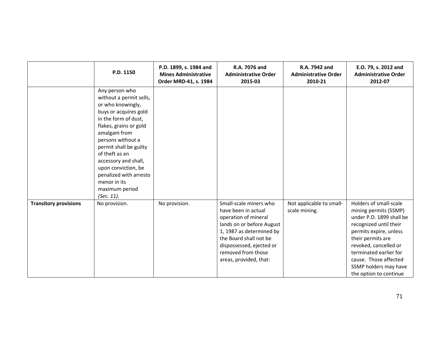|                              | P.D. 1150                                                                                                                                                                                                                                                                                                                                           | P.D. 1899, s. 1984 and<br><b>Mines Administrative</b><br>Order MRD-41, s. 1984 | R.A. 7076 and<br><b>Administrative Order</b><br>2015-03                                                                                                                                                                              | R.A. 7942 and<br><b>Administrative Order</b><br>2010-21 | E.O. 79, s. 2012 and<br><b>Administrative Order</b><br>2012-07                                                                                                                                                                                                                      |
|------------------------------|-----------------------------------------------------------------------------------------------------------------------------------------------------------------------------------------------------------------------------------------------------------------------------------------------------------------------------------------------------|--------------------------------------------------------------------------------|--------------------------------------------------------------------------------------------------------------------------------------------------------------------------------------------------------------------------------------|---------------------------------------------------------|-------------------------------------------------------------------------------------------------------------------------------------------------------------------------------------------------------------------------------------------------------------------------------------|
|                              | Any person who<br>without a permit sells,<br>or who knowingly,<br>buys or acquires gold<br>in the form of dust,<br>flakes, grains or gold<br>amalgam from<br>persons without a<br>permit shall be guilty<br>of theft as an<br>accessory and shall,<br>upon conviction, be<br>penalized with arresto<br>menor in its<br>maximum period<br>(Sec. 11). |                                                                                |                                                                                                                                                                                                                                      |                                                         |                                                                                                                                                                                                                                                                                     |
| <b>Transitory provisions</b> | No provision.                                                                                                                                                                                                                                                                                                                                       | No provision.                                                                  | Small-scale miners who<br>have been in actual<br>operation of mineral<br>lands on or before August<br>1, 1987 as determined by<br>the Board shall not be<br>dispossessed, ejected or<br>removed from those<br>areas, provided, that: | Not applicable to small-<br>scale mining.               | Holders of small-scale<br>mining permits (SSMP)<br>under P.D. 1899 shall be<br>recognized until their<br>permits expire, unless<br>their permits are<br>revoked, cancelled or<br>terminated earlier for<br>cause. Those affected<br>SSMP holders may have<br>the option to continue |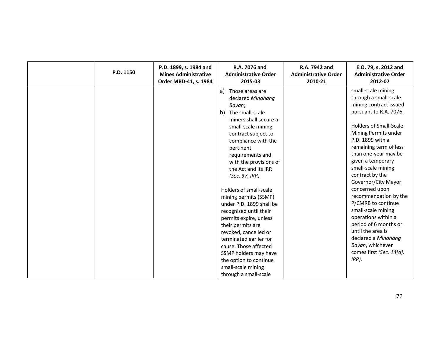| P.D. 1150 | R.A. 7076 and<br>P.D. 1899, s. 1984 and<br><b>Mines Administrative</b><br><b>Administrative Order</b><br>Order MRD-41, s. 1984<br>2015-03                                                                                                                                                                                                                                                                                                                                                                                                                                                                      | R.A. 7942 and<br><b>Administrative Order</b><br>2010-21 | E.O. 79, s. 2012 and<br><b>Administrative Order</b><br>2012-07                                                                                                                                                                                                                                                                                                                                                                                                                                                                                                  |
|-----------|----------------------------------------------------------------------------------------------------------------------------------------------------------------------------------------------------------------------------------------------------------------------------------------------------------------------------------------------------------------------------------------------------------------------------------------------------------------------------------------------------------------------------------------------------------------------------------------------------------------|---------------------------------------------------------|-----------------------------------------------------------------------------------------------------------------------------------------------------------------------------------------------------------------------------------------------------------------------------------------------------------------------------------------------------------------------------------------------------------------------------------------------------------------------------------------------------------------------------------------------------------------|
|           | a) Those areas are<br>declared Minahang<br>Bayan;<br>b) The small-scale<br>miners shall secure a<br>small-scale mining<br>contract subject to<br>compliance with the<br>pertinent<br>requirements and<br>with the provisions of<br>the Act and its IRR<br>(Sec. 37, IRR)<br>Holders of small-scale<br>mining permits (SSMP)<br>under P.D. 1899 shall be<br>recognized until their<br>permits expire, unless<br>their permits are<br>revoked, cancelled or<br>terminated earlier for<br>cause. Those affected<br>SSMP holders may have<br>the option to continue<br>small-scale mining<br>through a small-scale |                                                         | small-scale mining<br>through a small-scale<br>mining contract issued<br>pursuant to R.A. 7076.<br><b>Holders of Small-Scale</b><br>Mining Permits under<br>P.D. 1899 with a<br>remaining term of less<br>than one-year may be<br>given a temporary<br>small-scale mining<br>contract by the<br>Governor/City Mayor<br>concerned upon<br>recommendation by the<br>P/CMRB to continue<br>small-scale mining<br>operations within a<br>period of 6 months or<br>until the area is<br>declared a Minahang<br>Bayan, whichever<br>comes first (Sec. 14[a],<br>IRR). |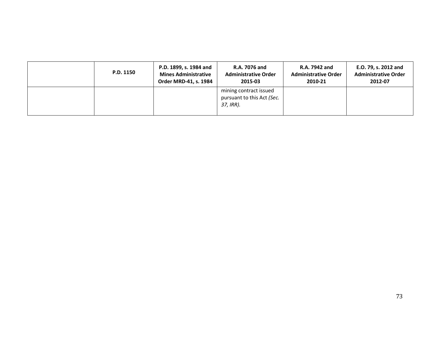| P.D. 1150 | P.D. 1899, s. 1984 and<br><b>Mines Administrative</b><br>Order MRD-41, s. 1984 | <b>R.A. 7076 and</b><br><b>Administrative Order</b><br>2015-03    | R.A. 7942 and<br><b>Administrative Order</b><br>2010-21 | E.O. 79, s. 2012 and<br><b>Administrative Order</b><br>2012-07 |
|-----------|--------------------------------------------------------------------------------|-------------------------------------------------------------------|---------------------------------------------------------|----------------------------------------------------------------|
|           |                                                                                | mining contract issued<br>pursuant to this Act (Sec.<br>37, IRR). |                                                         |                                                                |